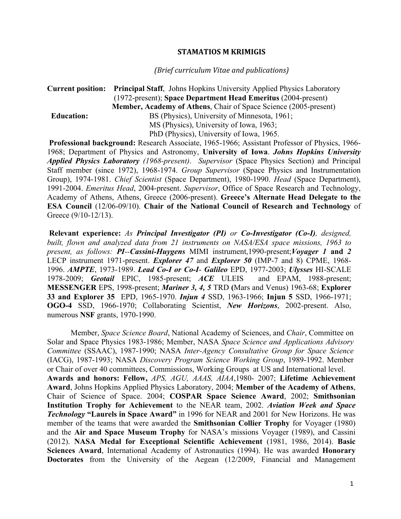## **STAMATIOS M KRIMIGIS**

## *(Brief curriculum Vitae and publications)*

## **Current position: Principal Staff**, Johns Hopkins University Applied Physics Laboratory (1972-present); **Space Department Head Emeritus** (2004-present)  **Member, Academy of Athens**, Chair of Space Science (2005-present) **Education:** BS (Physics), University of Minnesota, 1961; MS (Physics), University of Iowa, 1963; PhD (Physics), University of Iowa, 1965.

**Professional background:** Research Associate, 1965-1966; Assistant Professor of Physics, 1966- 1968; Department of Physics and Astronomy, **University of Iowa**. *Johns Hopkins University Applied Physics Laboratory (1968-present)*. *Supervisor* (Space Physics Section) and Principal Staff member (since 1972), 1968-1974. *Group Supervisor* (Space Physics and Instrumentation Group), 1974-1981. *Chief Scientist* (Space Department), 1980-1990. *Head* (Space Department), 1991-2004. *Emeritus Head*, 2004-present. *Supervisor*, Office of Space Research and Technology, Academy of Athens, Athens, Greece (2006-present). **Greece's Alternate Head Delegate to the ESA Council** (12/06-09/10). **Chair of the National Council of Research and Technology** of Greece (9/10-12/13).

**Relevant experience:** *As Principal Investigator (PI) or Co-Investigator (Co-I), designed, built, flown and analyzed data from 21 instruments on NASA/ESA space missions, 1963 to present, as follows: PI--Cassini-Huygens* MIMI instrument,1990-present;*Voyager 1* **and** *2* LECP instrument 1971-present. *Explorer 47* and *Explorer 50* (IMP-7 and 8) CPME, 1968- 1996. *AMPTE*, 1973-1989. *Lead Co-I or Co-I*- *Galileo* EPD, 1977-2003; *Ulysses* HI-SCALE 1978-2009; *Geotail* EPIC, 1985-present; *ACE* ULEIS and EPAM, 1988-present; **MESSENGER** EPS, 1998-present; *Mariner 3, 4, 5* TRD **(**Mars and Venus) 1963-68; **Explorer 33 and Explorer 35** EPD, 1965-1970. *Injun 4* SSD, 1963-1966; **Injun 5** SSD, 1966-1971; **OGO-4** SSD, 1966-1970; Collaborating Scientist, *New Horizons*, 2002-present. Also, numerous **NSF** grants, 1970-1990.

Member, *Space Science Board*, National Academy of Sciences, and *Chair*, Committee on Solar and Space Physics 1983-1986; Member, NASA *Space Science and Applications Advisory Committee* (SSAAC), 1987-1990; NASA *Inter-Agency Consultative Group for Space Science*  (IACG), 1987-1993; NASA *Discovery Program Science Working Group*, 1989-1992. Member or Chair of over 40 committees, Commissions, Working Groups at US and International level. **Awards and honors: Fellow,** *APS, AGU, AAAS, AIAA*,1980- 2007; **Lifetime Achievement Award**, Johns Hopkins Applied Physics Laboratory, 2004; **Member of the Academy of Athens**, Chair of Science of Space. 2004; **COSPAR Space Science Award**, 2002; **Smithsonian Institution Trophy for Achievement** to the NEAR team, 2002. *Aviation Week and Space Technology* **"Laurels in Space Award"** in 1996 for NEAR and 2001 for New Horizons. He was member of the teams that were awarded the **Smithsonian Collier Trophy** for Voyager (1980) and the **Air and Space Museum Trophy** for NASA's missions Voyager (1989), and Cassini (2012). **NASA Medal for Exceptional Scientific Achievement** (1981, 1986, 2014). **Basic Sciences Award**, International Academy of Astronautics (1994). He was awarded **Honorary Doctorates** from the University of the Aegean (12/2009, Financial and Management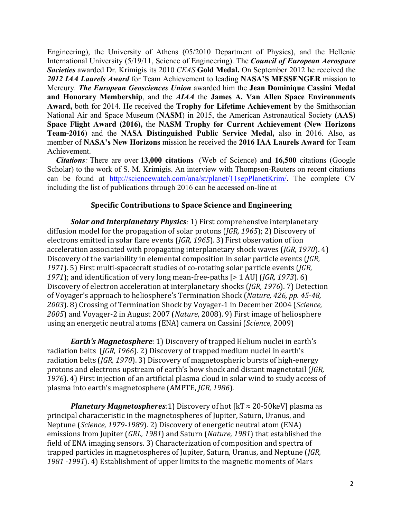Engineering), the University of Athens (05/2010 Department of Physics), and the Hellenic International University (5/19/11, Science of Engineering). The *Council of European Aerospace Societies* awarded Dr. Krimigis its 2010 *CEAS* **Gold Medal.** On September 2012 he received the *2012 IAA Laurels Award* for Team Achievement to leading **NASA'S MESSENGER** mission to Mercury*. The European Geosciences Union* awarded him the **Jean Dominique Cassini Medal and Honorary Membership**, and the *AIAA* the **James A. Van Allen Space Environments Award,** both for 2014. He received the **Trophy for Lifetime Achievement** by the Smithsonian National Air and Space Museum (**NASM**) in 2015, the American Astronautical Society **(AAS) Space Flight Award (2016),** the **NASM Trophy for Current Achievement (New Horizons Team-2016**) and the **NASA Distinguished Public Service Medal,** also in 2016. Also, as member of **NASA's New Horizons** mission he received the **2016 IAA Laurels Award** for Team Achievement.

 *Citations:* There are over **13,000 citations** (Web of Science) and **16,500** citations (Google Scholar) to the work of S. M. Krimigis. An interview with Thompson-Reuters on recent citations can be found at http://sciencewatch.com/ana/st/planet/11sepPlanetKrim/. The complete CV including the list of publications through 2016 can be accessed on-line at

# **Specific Contributions to Space Science and Engineering**

**Solar and Interplanetary Physics**: 1) First comprehensive interplanetary diffusion model for the propagation of solar protons (*JGR, 1965*); 2) Discovery of electrons emitted in solar flare events (*JGR, 1965*). 3) First observation of ion acceleration associated with propagating interplanetary shock waves (*JGR*, 1970). 4) Discovery of the variability in elemental composition in solar particle events (*JGR*, 1971). 5) First multi-spacecraft studies of co-rotating solar particle events (*JGR*, 1971); and identification of very long mean-free-paths  $[> 1 \text{ AU}]$  (*JGR, 1973*). 6) Discovery of electron acceleration at interplanetary shocks (*JGR, 1976*). 7) Detection of Voyager's approach to heliosphere's Termination Shock (*Nature, 426, pp. 45-48, 2003*). 8) Crossing of Termination Shock by Voyager-1 in December 2004 (*Science,*  2005) and Voyager-2 in August 2007 (*Nature*, 2008). 9) First image of heliosphere using an energetic neutral atoms (ENA) camera on Cassini (*Science*, 2009)

*Earth's Magnetosphere*: 1) Discovery of trapped Helium nuclei in earth's radiation belts (*JGR, 1966*). 2) Discovery of trapped medium nuclei in earth's radiation belts (*JGR, 1970*). 3) Discovery of magnetospheric bursts of high-energy protons and electrons upstream of earth's bow shock and distant magnetotail (*JGR*, 1976]. 4) First injection of an artificial plasma cloud in solar wind to study access of plasma into earth's magnetosphere (AMPTE, *JGR*, 1986).

*Planetary Magnetospheres*:1) Discovery of hot  $[kT \approx 20-50 \text{keV}]$  plasma as principal characteristic in the magnetospheres of Jupiter, Saturn, Uranus, and Neptune (*Science, 1979-1989*). 2) Discovery of energetic neutral atom (ENA) emissions from Jupiter (*GRL, 1981*) and Saturn (*Nature, 1981*) that established the field of ENA imaging sensors. 3) Characterization of composition and spectra of trapped particles in magnetospheres of Jupiter, Saturn, Uranus, and Neptune (*JGR*, 1981 -1991). 4) Establishment of upper limits to the magnetic moments of Mars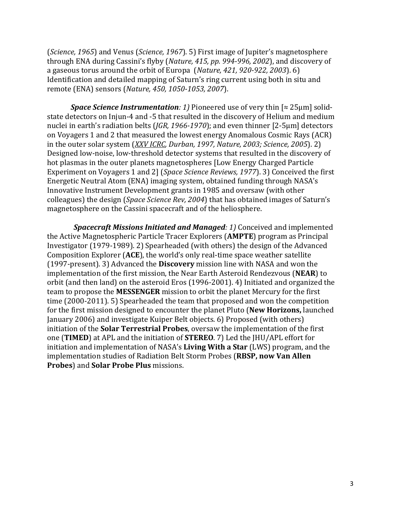(*Science, 1965*) and Venus (*Science, 1967*). 5) First image of Jupiter's magnetosphere through ENA during Cassini's flyby (*Nature, 415, pp. 994-996, 2002*), and discovery of a gaseous torus around the orbit of Europa (*Nature, 421, 920-922, 2003*). 6) Identification and detailed mapping of Saturn's ring current using both in situ and remote (ENA) sensors (*Nature, 450, 1050-1053, 2007*).

*Space Science Instrumentation: 1)* Pioneered use of very thin [≈ 25µm] solidstate detectors on Injun-4 and -5 that resulted in the discovery of Helium and medium nuclei in earth's radiation belts (*JGR, 1966-1970*); and even thinner [2-5µm] detectors on Voyagers 1 and 2 that measured the lowest energy Anomalous Cosmic Rays (ACR) in the outer solar system (*XXV ICRC, Durban, 1997, Nature, 2003; Science, 2005*). 2) Designed low-noise, low-threshold detector systems that resulted in the discovery of hot plasmas in the outer planets magnetospheres [Low Energy Charged Particle Experiment on Voyagers 1 and 2] (*Space Science Reviews, 1977*). 3) Conceived the first Energetic Neutral Atom (ENA) imaging system, obtained funding through NASA's Innovative Instrument Development grants in 1985 and oversaw (with other colleagues) the design (*Space Science Rev, 2004*) that has obtained images of Saturn's magnetosphere on the Cassini spacecraft and of the heliosphere.

*Spacecraft Missions Initiated and Managed: 1)* **Conceived and implemented** the Active Magnetospheric Particle Tracer Explorers (**AMPTE**) program as Principal Investigator (1979-1989). 2) Spearheaded (with others) the design of the Advanced Composition Explorer (ACE), the world's only real-time space weather satellite (1997-present). 3) Advanced the **Discovery** mission line with NASA and won the implementation of the first mission, the Near Earth Asteroid Rendezvous (NEAR) to orbit (and then land) on the asteroid Eros (1996-2001). 4) Initiated and organized the team to propose the **MESSENGER** mission to orbit the planet Mercury for the first time  $(2000-2011)$ . 5) Spearheaded the team that proposed and won the competition for the first mission designed to encounter the planet Pluto (New Horizons, launched January 2006) and investigate Kuiper Belt objects. 6) Proposed (with others) initiation of the **Solar Terrestrial Probes**, oversaw the implementation of the first one (TIMED) at APL and the initiation of **STEREO**. 7) Led the JHU/APL effort for initiation and implementation of NASA's **Living With a Star** (LWS) program, and the implementation studies of Radiation Belt Storm Probes (RBSP, now Van Allen **Probes**) and **Solar Probe Plus** missions.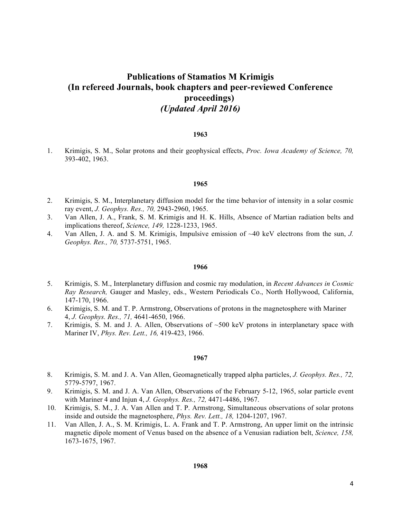# **Publications of Stamatios M Krimigis (In refereed Journals, book chapters and peer-reviewed Conference proceedings)** *(Updated April 2016)*

## **1963**

1. Krimigis, S. M., Solar protons and their geophysical effects, *Proc. Iowa Academy of Science, 70,*  393-402, 1963.

## **1965**

- 2. Krimigis, S. M., Interplanetary diffusion model for the time behavior of intensity in a solar cosmic ray event, *J. Geophys. Res., 70,* 2943-2960, 1965.
- 3. Van Allen, J. A., Frank, S. M. Krimigis and H. K. Hills, Absence of Martian radiation belts and implications thereof, *Science, 149,* 1228-1233, 1965.
- 4. Van Allen, J. A. and S. M. Krimigis, Impulsive emission of ~40 keV electrons from the sun, *J. Geophys. Res., 70,* 5737-5751, 1965.

## **1966**

- 5. Krimigis, S. M., Interplanetary diffusion and cosmic ray modulation, in *Recent Advances in Cosmic Ray Research,* Gauger and Masley, eds., Western Periodicals Co., North Hollywood, California, 147-170, 1966.
- 6. Krimigis, S. M. and T. P. Armstrong, Observations of protons in the magnetosphere with Mariner 4, *J. Geophys. Res., 71,* 4641-4650, 1966.
- 7. Krimigis, S. M. and J. A. Allen, Observations of ~500 keV protons in interplanetary space with Mariner IV, *Phys. Rev. Lett., 16,* 419-423, 1966.

- 8. Krimigis, S. M. and J. A. Van Allen, Geomagnetically trapped alpha particles, *J. Geophys. Res., 72,*  5779-5797, 1967.
- 9. Krimigis, S. M. and J. A. Van Allen, Observations of the February 5-12, 1965, solar particle event with Mariner 4 and Injun 4, *J. Geophys. Res., 72,* 4471-4486, 1967.
- 10. Krimigis, S. M., J. A. Van Allen and T. P. Armstrong, Simultaneous observations of solar protons inside and outside the magnetosphere, *Phys. Rev. Lett., 18,* 1204-1207, 1967.
- 11. Van Allen, J. A., S. M. Krimigis, L. A. Frank and T. P. Armstrong, An upper limit on the intrinsic magnetic dipole moment of Venus based on the absence of a Venusian radiation belt, *Science, 158,*  1673-1675, 1967.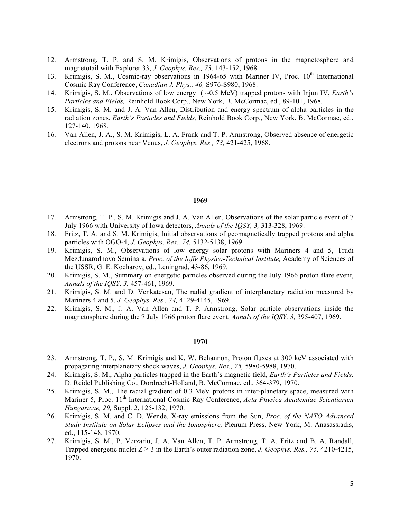- 12. Armstrong, T. P. and S. M. Krimigis, Observations of protons in the magnetosphere and magnetotail with Explorer 33, *J. Geophys. Res., 73,* 143-152, 1968.
- 13. Krimigis, S. M., Cosmic-ray observations in 1964-65 with Mariner IV, Proc. 10<sup>th</sup> International Cosmic Ray Conference, *Canadian J. Phys., 46,* S976-S980, 1968.
- 14. Krimigis, S. M., Observations of low energy ( ~0.5 MeV) trapped protons with Injun IV, *Earth's Particles and Fields,* Reinhold Book Corp., New York, B. McCormac, ed., 89-101, 1968.
- 15. Krimigis, S. M. and J. A. Van Allen, Distribution and energy spectrum of alpha particles in the radiation zones, *Earth's Particles and Fields,* Reinhold Book Corp., New York, B. McCormac, ed., 127-140, 1968.
- 16. Van Allen, J. A., S. M. Krimigis, L. A. Frank and T. P. Armstrong, Observed absence of energetic electrons and protons near Venus, *J. Geophys. Res., 73,* 421-425, 1968.

- 17. Armstrong, T. P., S. M. Krimigis and J. A. Van Allen, Observations of the solar particle event of 7 July 1966 with University of Iowa detectors, *Annals of the IQSY, 3,* 313-328, 1969.
- 18. Fritz, T. A. and S. M. Krimigis, Initial observations of geomagnetically trapped protons and alpha particles with OGO-4, *J. Geophys. Res., 74,* 5132-5138, 1969.
- 19. Krimigis, S. M., Observations of low energy solar protons with Mariners 4 and 5, Trudi Mezdunarodnovo Seminara, *Proc. of the Ioffe Physico-Technical Institute,* Academy of Sciences of the USSR, G. E. Kocharov, ed., Leningrad, 43-86, 1969.
- 20. Krimigis, S. M., Summary on energetic particles observed during the July 1966 proton flare event, *Annals of the IQSY, 3,* 457-461, 1969.
- 21. Krimigis, S. M. and D. Venkatesan, The radial gradient of interplanetary radiation measured by Mariners 4 and 5, *J. Geophys. Res., 74,* 4129-4145, 1969.
- 22. Krimigis, S. M., J. A. Van Allen and T. P. Armstrong, Solar particle observations inside the magnetosphere during the 7 July 1966 proton flare event, *Annals of the IQSY, 3,* 395-407, 1969.

- 23. Armstrong, T. P., S. M. Krimigis and K. W. Behannon, Proton fluxes at 300 keV associated with propagating interplanetary shock waves, *J. Geophys. Res., 75,* 5980-5988, 1970.
- 24. Krimigis, S. M., Alpha particles trapped in the Earth's magnetic field, *Earth's Particles and Fields,*  D. Reidel Publishing Co., Dordrecht-Holland, B. McCormac, ed., 364-379, 1970.
- 25. Krimigis, S. M., The radial gradient of 0.3 MeV protons in inter-planetary space, measured with Mariner 5, Proc. 11<sup>th</sup> International Cosmic Ray Conference, *Acta Physica Academiae Scientiarum Hungaricae, 29,* Suppl. 2, 125-132, 1970.
- 26. Krimigis, S. M. and C. D. Wende, X-ray emissions from the Sun, *Proc. of the NATO Advanced Study Institute on Solar Eclipses and the Ionosphere,* Plenum Press, New York, M. Anasassiadis, ed., 115-148, 1970.
- 27. Krimigis, S. M., P. Verzariu, J. A. Van Allen, T. P. Armstrong, T. A. Fritz and B. A. Randall, Trapped energetic nuclei  $Z \ge 3$  in the Earth's outer radiation zone, *J. Geophys. Res., 75, 4210-4215*, 1970.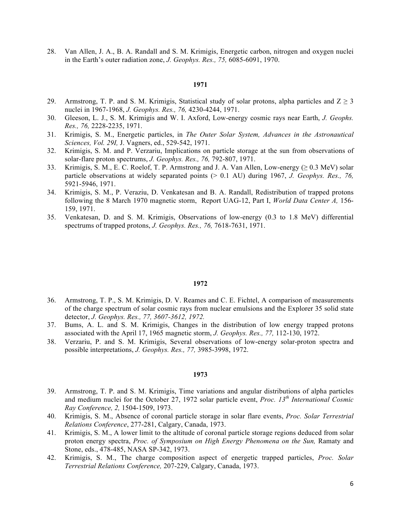28. Van Allen, J. A., B. A. Randall and S. M. Krimigis, Energetic carbon, nitrogen and oxygen nuclei in the Earth's outer radiation zone, *J. Geophys. Res., 75,* 6085-6091, 1970.

## **1971**

- 29. Armstrong, T. P. and S. M. Krimigis, Statistical study of solar protons, alpha particles and  $Z \ge 3$ nuclei in 1967-1968, *J. Geophys. Res., 76,* 4230-4244, 1971.
- 30. Gleeson, L. J., S. M. Krimigis and W. I. Axford, Low-energy cosmic rays near Earth, *J. Geophs. Res., 76,* 2228-2235, 1971.
- 31. Krimigis, S. M., Energetic particles, in *The Outer Solar System, Advances in the Astronautical Sciences, Vol. 29I,* J. Vagners, ed., 529-542, 1971.
- 32. Krimigis, S. M. and P. Verzariu, Implications on particle storage at the sun from observations of solar-flare proton spectrums, *J. Geophys. Res., 76,* 792-807, 1971.
- 33. Krimigis, S. M., E. C. Roelof, T. P. Armstrong and J. A. Van Allen, Low-energy ( $\geq 0.3$  MeV) solar particle observations at widely separated points (> 0.1 AU) during 1967, *J. Geophys. Res., 76,*  5921-5946, 1971.
- 34. Krimigis, S. M., P. Veraziu, D. Venkatesan and B. A. Randall, Redistribution of trapped protons following the 8 March 1970 magnetic storm, Report UAG-12, Part I, *World Data Center A,* 156- 159, 1971.
- 35. Venkatesan, D. and S. M. Krimigis, Observations of low-energy (0.3 to 1.8 MeV) differential spectrums of trapped protons, *J. Geophys. Res., 76,* 7618-7631, 1971.

#### **1972**

- 36. Armstrong, T. P., S. M. Krimigis, D. V. Reames and C. E. Fichtel, A comparison of measurements of the charge spectrum of solar cosmic rays from nuclear emulsions and the Explorer 35 solid state detector, *J. Geophys. Res., 77, 3607-3612, 1972.*
- 37. Bums, A. L. and S. M. Krimigis, Changes in the distribution of low energy trapped protons associated with the April 17, 1965 magnetic storm, *J. Geophys. Res., 77,* 112-130, 1972.
- 38. Verzariu, P. and S. M. Krimigis, Several observations of low-energy solar-proton spectra and possible interpretations, *J. Geophys. Res., 77,* 3985-3998, 1972.

- 39. Armstrong, T. P. and S. M. Krimigis, Time variations and angular distributions of alpha particles and medium nuclei for the October 27, 1972 solar particle event, *Proc. 13th International Cosmic Ray Conference, 2,* 1504-1509, 1973.
- 40. Krimigis, S. M., Absence of coronal particle storage in solar flare events, *Proc. Solar Terrestrial Relations Conference*, 277-281, Calgary, Canada, 1973.
- 41. Krimigis, S. M., A lower limit to the altitude of coronal particle storage regions deduced from solar proton energy spectra, *Proc. of Symposium on High Energy Phenomena on the Sun,* Ramaty and Stone, eds., 478-485, NASA SP-342, 1973.
- 42. Krimigis, S. M., The charge composition aspect of energetic trapped particles, *Proc. Solar Terrestrial Relations Conference,* 207-229, Calgary, Canada, 1973.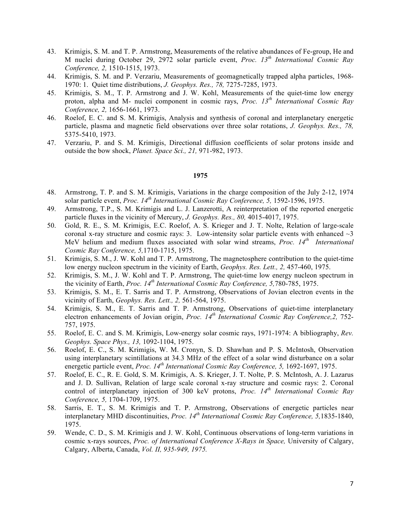- 43. Krimigis, S. M. and T. P. Armstrong, Measurements of the relative abundances of Fe-group, He and M nuclei during October 29, 2972 solar particle event, *Proc. 13th International Cosmic Ray Conference, 2,* 1510-1515, 1973.
- 44. Krimigis, S. M. and P. Verzariu, Measurements of geomagnetically trapped alpha particles, 1968- 1970: 1. Quiet time distributions, *J. Geophys. Res., 78,* 7275-7285, 1973.
- 45. Krimigis, S. M., T. P. Armstrong and J. W. Kohl, Measurements of the quiet-time low energy proton, alpha and M- nuclei component in cosmic rays, *Proc. 13th International Cosmic Ray Conference, 2,* 1656-1661, 1973.
- 46. Roelof, E. C. and S. M. Krimigis, Analysis and synthesis of coronal and interplanetary energetic particle, plasma and magnetic field observations over three solar rotations, *J. Geophys. Res., 78,*  5375-5410, 1973.
- 47. Verzariu, P. and S. M. Krimigis, Directional diffusion coefficients of solar protons inside and outside the bow shock, *Planet. Space Sci., 21,* 971-982, 1973.

- 48. Armstrong, T. P. and S. M. Krimigis, Variations in the charge composition of the July 2-12, 1974 solar particle event, *Proc. 14th International Cosmic Ray Conference, 5,* 1592-1596, 1975.
- 49. Armstrong, T.P., S. M. Krimigis and L. J. Lanzerotti, A reinterpretation of the reported energetic particle fluxes in the vicinity of Mercury, *J. Geophys. Res., 80,* 4015-4017, 1975.
- 50. Gold, R. E., S. M. Krimigis, E.C. Roelof, A. S. Krieger and J. T. Nolte, Relation of large-scale coronal x-ray structure and cosmic rays: 3. Low-intensity solar particle events with enhanced  $\sim$ 3 MeV helium and medium fluxes associated with solar wind streams, *Proc. 14th International Cosmic Ray Conference, 5,*1710-1715, 1975.
- 51. Krimigis, S. M., J. W. Kohl and T. P. Armstrong, The magnetosphere contribution to the quiet-time low energy nucleon spectrum in the vicinity of Earth, *Geophys. Res. Lett., 2,* 457-460, 1975.
- 52. Krimigis, S. M., J. W. Kohl and T. P. Armstrong, The quiet-time low energy nucleon spectrum in the vicinity of Earth, *Proc. 14th International Cosmic Ray Conference, 5,*780-785, 1975.
- 53. Krimigis, S. M., E. T. Sarris and T. P. Armstrong, Observations of Jovian electron events in the vicinity of Earth, *Geophys. Res. Lett., 2,* 561-564, 1975.
- 54. Krimigis, S. M., E. T. Sarris and T. P. Armstrong, Observations of quiet-time interplanetary electron enhancements of Jovian origin, *Proc. 14th International Cosmic Ray Conference,2,* 752- 757, 1975.
- 55. Roelof, E. C. and S. M. Krimigis, Low-energy solar cosmic rays, 1971-1974: A bibliography, *Rev. Geophys. Space Phys., 13,* 1092-1104, 1975.
- 56. Roelof, E. C., S. M. Krimigis, W. M. Cronyn, S. D. Shawhan and P. S. McIntosh, Observation using interplanetary scintillations at 34.3 MHz of the effect of a solar wind disturbance on a solar energetic particle event, *Proc. 14th International Cosmic Ray Conference, 5,* 1692-1697, 1975.
- 57. Roelof, E. C., R. E. Gold, S. M. Krimigis, A. S. Krieger, J. T. Nolte, P. S. McIntosh, A. J. Lazarus and J. D. Sullivan, Relation of large scale coronal x-ray structure and cosmic rays: 2. Coronal control of interplanetary injection of 300 keV protons, *Proc. 14th International Cosmic Ray Conference, 5,* 1704-1709, 1975.
- 58. Sarris, E. T., S. M. Krimigis and T. P. Armstrong, Observations of energetic particles near interplanetary MHD discontinuities, *Proc. 14th International Cosmic Ray Conference, 5,*1835-1840, 1975.
- 59. Wende, C. D., S. M. Krimigis and J. W. Kohl, Continuous observations of long-term variations in cosmic x-rays sources, *Proc. of International Conference X-Rays in Space,* University of Calgary, Calgary, Alberta, Canada, *Vol. II, 935-949, 1975.*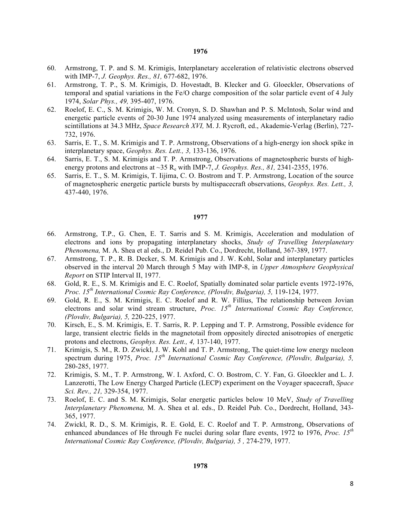- 60. Armstrong, T. P. and S. M. Krimigis, Interplanetary acceleration of relativistic electrons observed with IMP-7, *J. Geophys. Res., 81,* 677-682, 1976.
- 61. Armstrong, T. P., S. M. Krimigis, D. Hovestadt, B. Klecker and G. Gloeckler, Observations of temporal and spatial variations in the Fe/O charge composition of the solar particle event of 4 July 1974, *Solar Phys., 49,* 395-407, 1976.
- 62. Roelof, E. C., S. M. Krimigis, W. M. Cronyn, S. D. Shawhan and P. S. McIntosh, Solar wind and energetic particle events of 20-30 June 1974 analyzed using measurements of interplanetary radio scintillations at 34.3 MHz, *Space Research XVI,* M. J. Rycroft, ed., Akademie-Verlag (Berlin), 727- 732, 1976.
- 63. Sarris, E. T., S. M. Krimigis and T. P. Armstrong, Observations of a high-energy ion shock spike in interplanetary space, *Geophys. Res. Lett., 3,* 133-136, 1976.
- 64. Sarris, E. T., S. M. Krimigis and T. P. Armstrong, Observations of magnetospheric bursts of highenergy protons and electrons at ~35 R<sub>e</sub> with IMP-7, *J. Geophys. Res., 81,* 2341-2355, 1976.
- 65. Sarris, E. T., S. M. Krimigis, T. Iijima, C. O. Bostrom and T. P. Armstrong, Location of the source of magnetospheric energetic particle bursts by multispacecraft observations, *Geophys. Res. Lett., 3,*  437-440, 1976.

- 66. Armstrong, T.P., G. Chen, E. T. Sarris and S. M. Krimigis, Acceleration and modulation of electrons and ions by propagating interplanetary shocks, *Study of Travelling Interplanetary Phenomena,* M. A. Shea et al eds., D. Reidel Pub. Co., Dordrecht, Holland, 367-389, 1977.
- 67. Armstrong, T. P., R. B. Decker, S. M. Krimigis and J. W. Kohl, Solar and interplanetary particles observed in the interval 20 March through 5 May with IMP-8, in *Upper Atmosphere Geophysical Report* on STIP Interval II, 1977.
- 68. Gold, R. E., S. M. Krimigis and E. C. Roelof, Spatially dominated solar particle events 1972-1976, *Proc. 15th International Cosmic Ray Conference, (Plovdiv, Bulgaria), 5,* 119-124, 1977.
- 69. Gold, R. E., S. M. Krimigis, E. C. Roelof and R. W. Fillius, The relationship between Jovian electrons and solar wind stream structure, *Proc. 15th International Cosmic Ray Conference, (Plovdiv, Bulgaria), 5,* 220-225, 1977.
- 70. Kirsch, E., S. M. Krimigis, E. T. Sarris, R. P. Lepping and T. P. Armstrong, Possible evidence for large, transient electric fields in the magnetotail from oppositely directed anisotropies of energetic protons and electrons, *Geophys. Res. Lett., 4,* 137-140, 1977.
- 71. Krimigis, S. M., R. D. Zwickl, J. W. Kohl and T. P. Armstrong, The quiet-time low energy nucleon spectrum during 1975, *Proc. 15th International Cosmic Ray Conference, (Plovdiv, Bulgaria), 5,* 280-285, 1977.
- 72. Krimigis, S. M., T. P. Armstrong, W. I. Axford, C. O. Bostrom, C. Y. Fan, G. Gloeckler and L. J. Lanzerotti, The Low Energy Charged Particle (LECP) experiment on the Voyager spacecraft, *Space Sci. Rev., 21,* 329-354, 1977.
- 73. Roelof, E. C. and S. M. Krimigis, Solar energetic particles below 10 MeV, *Study of Travelling Interplanetary Phenomena,* M. A. Shea et al. eds., D. Reidel Pub. Co., Dordrecht, Holland, 343- 365, 1977.
- 74. Zwickl, R. D., S. M. Krimigis, R. E. Gold, E. C. Roelof and T. P. Armstrong, Observations of enhanced abundances of He through Fe nuclei during solar flare events, 1972 to 1976, *Proc. 15th International Cosmic Ray Conference, (Plovdiv, Bulgaria), 5, 274-279, 1977.*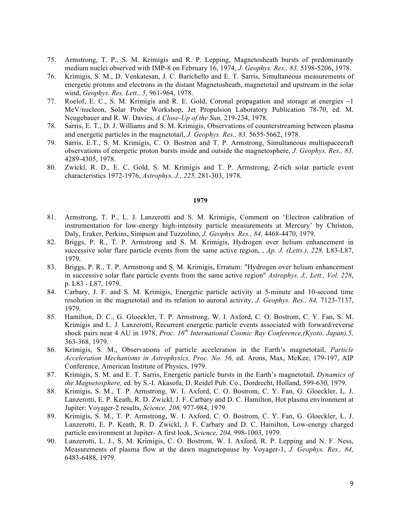- 75. Armstrong, T. P., S. M. Krimigis and R. P. Lepping, Magnetosheath bursts of predominantly medium nuclei observed with IMP-8 on February 16, 1974, *J. Geophys. Res., 83,* 5198-5206, 1978.
- 76. Krimigis, S. M., D. Venkatesan, J. C. Barichello and E. T. Sarris, Simultaneous measurements of energetic protons and electrons in the distant Magnetosheath, magnetotail and upstream in the solar wind, *Geophys. Res. Lett., 5,* 961-964, 1978.
- 77. Roelof, E. C., S. M. Krimigis and R. E. Gold, Coronal propagation and storage at energies ~1 MeV/nucleon, Solar Probe Workshop, Jet Propulsion Laboratory Publication 78-70, ed. M. Neugebauer and R. W. Davies, *A Close-Up of the Sun,* 219-234, 1978.
- 78. Sarris, E. T., D. J. Williams and S. M. Krimigis, Observations of counterstreaming between plasma and energetic particles in the magnetotail, *J. Geophys. Res., 83,* 5655-5662, 1978.
- 79. Sarris, E.T., S. M. Krimigis, C. O. Bostron and T. P. Armstrong, Simultaneous multispacecraft observations of energetic proton bursts inside and outside the magnetosphere, *J. Geophys. Res., 83,*  4289-4305, 1978.
- 80. Zwickl, R. D., E. C. Gold, S. M. Krimigis and T. P. Armstrong, Z-rich solar particle event characteristics 1972-1976, *Astrophys. J., 225,* 281-303, 1978.

- 81. Armstrong, T. P., L. J. Lanzerotti and S. M. Krimigis, Comment on 'Electron calibration of instrumentation for low-energy high-intensity particle measurements at Mercury' by Christon, Daly, Eraker, Perkins, Simpson and Tuzzolino, *J. Geophys. Res., 84,* 4468-4470, 1979.
- 82. Briggs, P. R., T. P. Armstrong and S. M. Krimigis, Hydrogen over helium enhancement in successive solar flare particle events from the same active region, , *Ap. J. (Letts.), 228,* L83-L87, 1979.
- 83. Briggs, P. R., T. P. Armstrong and S. M. Krimigis, Erratum: "Hydrogen over helium enhancement in successive solar flare particle events from the same active region" *Astrophys. J., Lett., Vol. 228*, p. L83 - L87, 1979.
- 84. Carbary, J. F. and S. M. Krimigis, Energetic particle activity at 5-minute and 10-second time resolution in the magnetotail and its relation to auroral activity, *J. Geophys. Res., 84,* 7123-7137, 1979.
- 85. Hamilton, D. C., G. Gloeckler, T. P. Armstrong, W. I. Axford, C. O. Bostrom, C. Y. Fan, S. M. Krimigis and L. J. Lanzerotti, Recurrent energetic particle events associated with forward/reverse shock pairs near 4 AU in 1978, *Proc. 16th International Cosmic Ray Conference,(Kyoto, Japan),5,*  363-368, 1979.
- 86. Krimigis, S. M., Observations of particle acceleration in the Earth's magnetotail, *Particle Acceleration Mechanisms in Astrophysics, Proc. No. 56,* ed. Arons, Max, McKee, 179-197, AIP Conference, American Institute of Physics, 1979.
- 87. Krimigis, S. M. and E. T. Sarris, Energetic particle bursts in the Earth's magnetotail, *Dynamics of the Magnetosphere,* ed. by S.-I. Akasofu, D. Reidel Pub. Co., Dordrecht, Holland, 599-630, 1979.
- 88. Krimigis, S. M., T. P. Armstrong, W. I. Axford, C. O. Bostrom, C. Y. Fan, G. Gloeckler, L. J. Lanzerotti, E. P. Keath, R. D. Zwickl, J. F. Carbary and D. C. Hamilton, Hot plasma environment at Jupiter: Voyager-2 results, *Science, 206,* 977-984, 1979.
- 89. Krimigis, S. M., T. P. Armstrong, W. I. Axford, C. O. Bostrom, C. Y. Fan, G. Gloeckler, L. J. Lanzerotti, E. P. Keath, R. D. Zwickl, J. F. Carbary and D. C. Hamilton, Low-energy charged particle environment at Jupiter- A first look, *Science, 204,* 998-1003, 1979.
- 90. Lanzerotti, L. J., S. M. Krimigis, C. O. Bostrom, W. I. Axford, R. P. Lepping and N. F. Ness, Measurements of plasma flow at the dawn magnetopause by Voyager-1, *J. Geophys. Res., 84,*  6483-6488, 1979.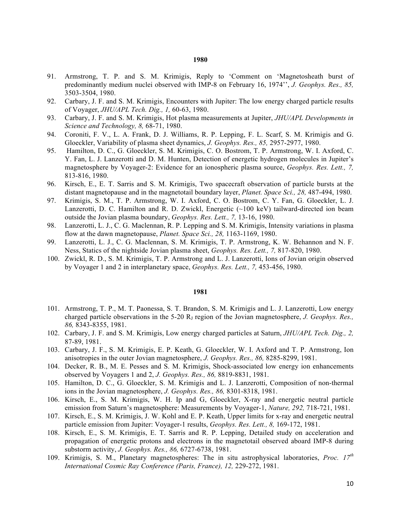- 91. Armstrong, T. P. and S. M. Krimigis, Reply to 'Comment on 'Magnetosheath burst of predominantly medium nuclei observed with IMP-8 on February 16, 1974'', *J. Geophys. Res., 85,*  3503-3504, 1980.
- 92. Carbary, J. F. and S. M. Krimigis, Encounters with Jupiter: The low energy charged particle results of Voyager, *JHU/APL Tech. Dig., 1,* 60-63, 1980.
- 93. Carbary, J. F. and S. M. Krimigis, Hot plasma measurements at Jupiter, *JHU/APL Developments in Science and Technology, 8,* 68-71, 1980.
- 94. Coroniti, F. V., L. A. Frank, D. J. Williams, R. P. Lepping, F. L. Scarf, S. M. Krimigis and G. Gloeckler, Variability of plasma sheet dynamics, *J. Geophys. Res., 85,* 2957-2977, 1980.
- 95. Hamilton, D. C., G. Gloeckler, S. M. Krimigis, C. O. Bostrom, T. P. Armstrong, W. I. Axford, C. Y. Fan, L. J. Lanzerotti and D. M. Hunten, Detection of energetic hydrogen molecules in Jupiter's magnetosphere by Voyager-2: Evidence for an ionospheric plasma source, *Geophys. Res. Lett., 7,*  813-816, 1980.
- 96. Kirsch, E., E. T. Sarris and S. M. Krimigis, Two spacecraft observation of particle bursts at the distant magnetopause and in the magnetotail boundary layer, *Planet. Space Sci., 28,* 487-494, 1980.
- 97. Krimigis, S. M., T. P. Armstrong, W. I. Axford, C. O. Bostrom, C. Y. Fan, G. Gloeckler, L. J. Lanzerotti, D. C. Hamilton and R. D. Zwickl, Energetic (~100 keV) tailward-directed ion beam outside the Jovian plasma boundary, *Geophys. Res. Lett., 7,* 13-16, 1980.
- 98. Lanzerotti, L. J., C. G. Maclennan, R. P. Lepping and S. M. Krimigis, Intensity variations in plasma flow at the dawn magnetopause, *Planet. Space Sci., 28,* 1163-1169, 1980.
- 99. Lanzerotti, L. J., C. G. Maclennan, S. M. Krimigis, T. P. Armstrong, K. W. Behannon and N. F. Ness, Statics of the nightside Jovian plasma sheet, *Geophys. Res. Lett., 7,* 817-820, 1980.
- 100. Zwickl, R. D., S. M. Krimigis, T. P. Armstrong and L. J. Lanzerotti, Ions of Jovian origin observed by Voyager 1 and 2 in interplanetary space, *Geophys. Res. Lett., 7,* 453-456, 1980.

- 101. Armstrong, T. P., M. T. Paonessa, S. T. Brandon, S. M. Krimigis and L. J. Lanzerotti, Low energy charged particle observations in the 5-20 R<sub>I</sub> region of the Jovian magnetosphere, *J. Geophys. Res.*, *86,* 8343-8355, 1981.
- 102. Carbary, J. F. and S. M. Krimigis, Low energy charged particles at Saturn, *JHU/APL Tech. Dig., 2,*  87-89, 1981.
- 103. Carbary, J. F., S. M. Krimigis, E. P. Keath, G. Gloeckler, W. I. Axford and T. P. Armstrong, Ion anisotropies in the outer Jovian magnetosphere, *J. Geophys. Res., 86,* 8285-8299, 1981.
- 104. Decker, R. B., M. E. Pesses and S. M. Krimigis, Shock-associated low energy ion enhancements observed by Voyagers 1 and 2, *J. Geophys. Res., 86,* 8819-8831, 1981.
- 105. Hamilton, D. C., G. Gloeckler, S. M. Krimigis and L. J. Lanzerotti, Composition of non-thermal ions in the Jovian magnetosphere, *J. Geophys. Res., 86,* 8301-8318, 1981.
- 106. Kirsch, E., S. M. Krimigis, W. H. Ip and G, Gloeckler, X-ray and energetic neutral particle emission from Saturn's magnetosphere: Measurements by Voyager-1, *Nature, 292,* 718-721, 1981.
- 107. Kirsch, E., S. M. Krimigis, J. W. Kohl and E. P. Keath, Upper limits for x-ray and energetic neutral particle emission from Jupiter: Voyager-1 results, *Geophys. Res. Lett., 8,* 169-172, 1981.
- 108. Kirsch, E., S. M. Krimigis, E. T. Sarris and R. P. Lepping, Detailed study on acceleration and propagation of energetic protons and electrons in the magnetotail observed aboard IMP-8 during substorm activity, *J. Geophys. Res., 86,* 6727-6738, 1981.
- 109. Krimigis, S. M., Planetary magnetospheres: The in situ astrophysical laboratories, *Proc. 17th International Cosmic Ray Conference (Paris, France), 12,* 229-272, 1981.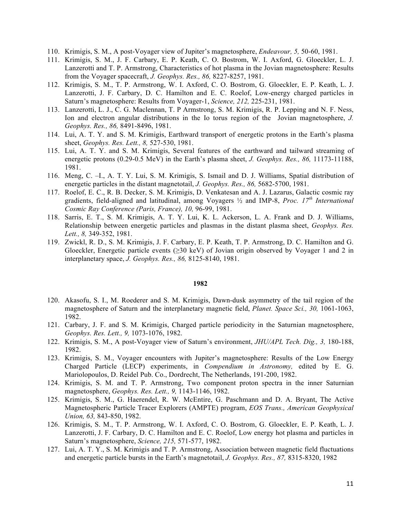- 110. Krimigis, S. M., A post-Voyager view of Jupiter's magnetosphere, *Endeavour, 5,* 50-60, 1981.
- 111. Krimigis, S. M., J. F. Carbary, E. P. Keath, C. O. Bostrom, W. I. Axford, G. Gloeckler, L. J. Lanzerotti and T. P. Armstrong, Characteristics of hot plasma in the Jovian magnetosphere: Results from the Voyager spacecraft, *J. Geophys. Res., 86,* 8227-8257, 1981.
- 112. Krimigis, S. M., T. P. Armstrong, W. I. Axford, C. O. Bostrom, G. Gloeckler, E. P. Keath, L. J. Lanzerotti, J. F. Carbary, D. C. Hamilton and E. C. Roelof, Low-energy charged particles in Saturn's magnetosphere: Results from Voyager-1, *Science, 212,* 225-231, 1981.
- 113. Lanzerotti, L. J., C. G. Maclennan, T. P Armstrong, S. M. Krimigis, R. P. Lepping and N. F. Ness, Ion and electron angular distributions in the Io torus region of the Jovian magnetosphere, *J. Geophys. Res., 86,* 8491-8496, 1981.
- 114. Lui, A. T. Y. and S. M. Krimigis, Earthward transport of energetic protons in the Earth's plasma sheet, *Geophys. Res. Lett., 8,* 527-530, 1981.
- 115. Lui, A. T. Y. and S. M. Krimigis, Several features of the earthward and tailward streaming of energetic protons (0.29-0.5 MeV) in the Earth's plasma sheet, *J. Geophys. Res., 86,* 11173-11188, 1981.
- 116. Meng, C. –I., A. T. Y. Lui, S. M. Krimigis, S. Ismail and D. J. Williams, Spatial distribution of energetic particles in the distant magnetotail, *J. Geophys. Res., 86,* 5682-5700, 1981.
- 117. Roelof, E. C., R. B. Decker, S. M. Krimigis, D. Venkatesan and A. J. Lazarus, Galactic cosmic ray gradients, field-aligned and latitudinal, among Voyagers ½ and IMP-8, *Proc. 17th International Cosmic Ray Conference (Paris, France), 10,* 96-99, 1981.
- 118. Sarris, E. T., S. M. Krimigis, A. T. Y. Lui, K. L. Ackerson, L. A. Frank and D. J. Williams, Relationship between energetic particles and plasmas in the distant plasma sheet, *Geophys. Res. Lett., 8,* 349-352, 1981.
- 119. Zwickl, R. D., S. M. Krimigis, J. F. Carbary, E. P. Keath, T. P. Armstrong, D. C. Hamilton and G. Gloeckler, Energetic particle events ( $\geq$ 30 keV) of Jovian origin observed by Voyager 1 and 2 in interplanetary space, *J. Geophys. Res., 86,* 8125-8140, 1981.

- 120. Akasofu, S. I., M. Roederer and S. M. Krimigis, Dawn-dusk asymmetry of the tail region of the magnetosphere of Saturn and the interplanetary magnetic field, *Planet. Space Sci., 30,* 1061-1063, 1982.
- 121. Carbary, J. F. and S. M. Krimigis, Charged particle periodicity in the Saturnian magnetosphere, *Geophys. Res. Lett., 9,* 1073-1076, 1982.
- 122. Krimigis, S. M., A post-Voyager view of Saturn's environment, *JHU/APL Tech. Dig., 3,* 180-188, 1982.
- 123. Krimigis, S. M., Voyager encounters with Jupiter's magnetosphere: Results of the Low Energy Charged Particle (LECP) experiments, in *Compendium in Astronomy,* edited by E. G. Mariolopoulos, D. Reidel Pub. Co., Dordrecht, The Netherlands, 191-200, 1982.
- 124. Krimigis, S. M. and T. P. Armstrong, Two component proton spectra in the inner Saturnian magnetosphere, *Geophys. Res. Lett., 9,* 1143-1146, 1982.
- 125. Krimigis, S. M., G. Haerendel, R. W. McEntire, G. Paschmann and D. A. Bryant, The Active Magnetospheric Particle Tracer Explorers (AMPTE) program, *EOS Trans., American Geophysical Union, 63,* 843-850, 1982.
- 126. Krimigis, S. M., T. P. Armstrong, W. I. Axford, C. O. Bostrom, G. Gloeckler, E. P. Keath, L. J. Lanzerotti, J. F. Carbary, D. C. Hamilton and E. C. Roelof, Low energy hot plasma and particles in Saturn's magnetosphere, *Science, 215,* 571-577, 1982.
- 127. Lui, A. T. Y., S. M. Krimigis and T. P. Armstrong, Association between magnetic field fluctuations and energetic particle bursts in the Earth's magnetotail, *J. Geophys. Res., 87,* 8315-8320, 1982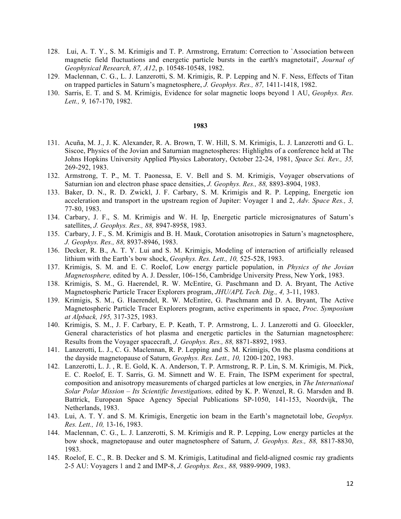- 128. Lui, A. T. Y., S. M. Krimigis and T. P. Armstrong, Erratum: Correction to `Association between magnetic field fluctuations and energetic particle bursts in the earth's magnetotail', *Journal of Geophysical Research, 87, A12*, p. 10548-10548, 1982.
- 129. Maclennan, C. G., L. J. Lanzerotti, S. M. Krimigis, R. P. Lepping and N. F. Ness, Effects of Titan on trapped particles in Saturn's magnetosphere, *J. Geophys. Res., 87,* 1411-1418, 1982.
- 130. Sarris, E. T. and S. M. Krimigis, Evidence for solar magnetic loops beyond 1 AU, *Geophys. Res. Lett., 9,* 167-170, 1982.

- 131. Acuña, M. J., J. K. Alexander, R. A. Brown, T. W. Hill, S. M. Krimigis, L. J. Lanzerotti and G. L. Siscoe, Physics of the Jovian and Saturnian magnetospheres: Highlights of a conference held at The Johns Hopkins University Applied Physics Laboratory, October 22-24, 1981, *Space Sci. Rev., 35,*  269-292, 1983.
- 132. Armstrong, T. P., M. T. Paonessa, E. V. Bell and S. M. Krimigis, Voyager observations of Saturnian ion and electron phase space densities, *J. Geophys. Res., 88,* 8893-8904, 1983.
- 133. Baker, D. N., R. D. Zwickl, J. F. Carbary, S. M. Krimigis and R. P. Lepping, Energetic ion acceleration and transport in the upstream region of Jupiter: Voyager 1 and 2, *Adv. Space Res., 3,*  77-80, 1983.
- 134. Carbary, J. F., S. M. Krimigis and W. H. Ip, Energetic particle microsignatures of Saturn's satellites, *J. Geophys. Res., 88,* 8947-8958, 1983.
- 135. Carbary, J. F., S. M. Krimigis and B. H. Mauk, Corotation anisotropies in Saturn's magnetosphere, *J. Geophys. Res., 88,* 8937-8946, 1983.
- 136. Decker, R. B., A. T. Y. Lui and S. M. Krimigis, Modeling of interaction of artificially released lithium with the Earth's bow shock, *Geophys. Res. Lett., 10,* 525-528, 1983.
- 137. Krimigis, S. M. and E. C. Roelof, Low energy particle population, in *Physics of the Jovian Magnetosphere,* edited by A. J. Dessler, 106-156, Cambridge University Press, New York, 1983.
- 138. Krimigis, S. M., G. Haerendel, R. W. McEntire, G. Paschmann and D. A. Bryant, The Active Magnetospheric Particle Tracer Explorers program, *JHU/APL Tech. Dig., 4,* 3-11, 1983.
- 139. Krimigis, S. M., G. Haerendel, R. W. McEntire, G. Paschmann and D. A. Bryant, The Active Magnetospheric Particle Tracer Explorers program, active experiments in space, *Proc. Symposium at Alpback, 195,* 317-325, 1983.
- 140. Krimigis, S. M., J. F. Carbary, E. P. Keath, T. P. Armstrong, L. J. Lanzerotti and G. Gloeckler, General characteristics of hot plasma and energetic particles in the Saturnian magnetosphere: Results from the Voyager spacecraft, *J. Geophys. Res., 88,* 8871-8892, 1983.
- 141. Lanzerotti, L. J., C. G. Maclennan, R. P. Lepping and S. M. Krimigis, On the plasma conditions at the dayside magnetopause of Saturn, *Geophys. Res. Lett., 10,* 1200-1202, 1983.
- 142. Lanzerotti, L. J. , R. E. Gold, K. A. Anderson, T. P. Armstrong, R. P. Lin, S. M. Krimigis, M. Pick, E. C. Roelof, E. T. Sarris, G. M. Simnett and W. E. Frain, The ISPM experiment for spectral, composition and anisotropy measurements of charged particles at low energies, in *The International Solar Polar Mission – Its Scientific Investigations,* edited by K. P. Wenzel, R. G. Marsden and B. Battrick, European Space Agency Special Publications SP-1050, 141-153, Noordvijk, The Netherlands, 1983.
- 143. Lui, A. T. Y. and S. M. Krimigis, Energetic ion beam in the Earth's magnetotail lobe, *Geophys. Res. Lett., 10,* 13-16, 1983.
- 144. Maclennan, C. G., L. J. Lanzerotti, S. M. Krimigis and R. P. Lepping, Low energy particles at the bow shock, magnetopause and outer magnetosphere of Saturn, *J. Geophys. Res., 88,* 8817-8830, 1983.
- 145. Roelof, E. C., R. B. Decker and S. M. Krimigis, Latitudinal and field-aligned cosmic ray gradients 2-5 AU: Voyagers 1 and 2 and IMP-8, *J. Geophys. Res., 88,* 9889-9909, 1983.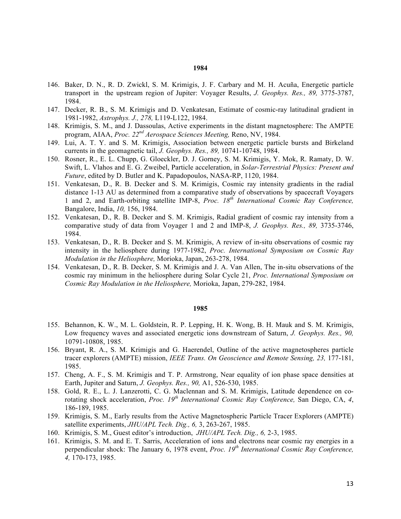- 146. Baker, D. N., R. D. Zwickl, S. M. Krimigis, J. F. Carbary and M. H. Acuña, Energetic particle transport in the upstream region of Jupiter: Voyager Results, *J. Geophys. Res., 89,* 3775-3787, 1984.
- 147. Decker, R. B., S. M. Krimigis and D. Venkatesan, Estimate of cosmic-ray latitudinal gradient in 1981-1982, *Astrophys. J., 278,* L119-L122, 1984.
- 148. Krimigis, S. M., and J. Dassoulas, Active experiments in the distant magnetosphere: The AMPTE program, AIAA, *Proc. 22nd Aerospace Sciences Meeting,* Reno, NV, 1984.
- 149. Lui, A. T. Y. and S. M. Krimigis, Association between energetic particle bursts and Birkeland currents in the geomagnetic tail, *J. Geophys. Res., 89,* 10741-10748, 1984.
- 150. Rosner, R., E. L. Chupp, G. Gloeckler, D. J. Gorney, S. M. Krimigis, Y. Mok, R. Ramaty, D. W. Swift, L. Vlahos and E. G. Zweibel, Particle acceleration, in *Solar-Terrestrial Physics: Present and Future*, edited by D. Butler and K. Papadopoulos, NASA-RP, 1120, 1984.
- 151. Venkatesan, D., R. B. Decker and S. M. Krimigis, Cosmic ray intensity gradients in the radial distance 1-13 AU as determined from a comparative study of observations by spacecraft Voyagers 1 and 2, and Earth-orbiting satellite IMP-8, *Proc. 18th International Cosmic Ray Conference,*  Bangalore, India, *10,* 156, 1984.
- 152. Venkatesan, D., R. B. Decker and S. M. Krimigis, Radial gradient of cosmic ray intensity from a comparative study of data from Voyager 1 and 2 and IMP-8, *J. Geophys. Res., 89,* 3735-3746, 1984.
- 153. Venkatesan, D., R. B. Decker and S. M. Krimigis, A review of in-situ observations of cosmic ray intensity in the heliosphere during 1977-1982, *Proc. International Symposium on Cosmic Ray Modulation in the Heliosphere,* Morioka, Japan, 263-278, 1984.
- 154. Venkatesan, D., R. B. Decker, S. M. Krimigis and J. A. Van Allen, The in-situ observations of the cosmic ray minimum in the heliosphere during Solar Cycle 21, *Proc. International Symposium on Cosmic Ray Modulation in the Heliosphere,* Morioka, Japan, 279-282, 1984.

- 155. Behannon, K. W., M. L. Goldstein, R. P. Lepping, H. K. Wong, B. H. Mauk and S. M. Krimigis, Low frequency waves and associated energetic ions downstream of Saturn, *J. Geophys. Res., 90,*  10791-10808, 1985.
- 156. Bryant, R. A., S. M. Krimigis and G. Haerendel, Outline of the active magnetospheres particle tracer explorers (AMPTE) mission, *IEEE Trans. On Geoscience and Remote Sensing, 23,* 177-181, 1985.
- 157. Cheng, A. F., S. M. Krimigis and T. P. Armstrong, Near equality of ion phase space densities at Earth, Jupiter and Saturn, *J. Geophys. Res., 90,* A1, 526-530, 1985.
- 158. Gold, R. E., L. J. Lanzerotti, C. G. Maclennan and S. M. Krimigis, Latitude dependence on corotating shock acceleration, *Proc. 19th International Cosmic Ray Conference,* San Diego, CA, *4*, 186-189, 1985.
- 159. Krimigis, S. M., Early results from the Active Magnetospheric Particle Tracer Explorers (AMPTE) satellite experiments, *JHU/APL Tech. Dig., 6,* 3, 263-267, 1985.
- 160. Krimigis, S. M., Guest editor's introduction, *JHU/APL Tech. Dig., 6,* 2-3, 1985.
- 161. Krimigis, S. M. and E. T. Sarris, Acceleration of ions and electrons near cosmic ray energies in a perpendicular shock: The January 6, 1978 event, *Proc. 19th International Cosmic Ray Conference, 4,* 170-173, 1985.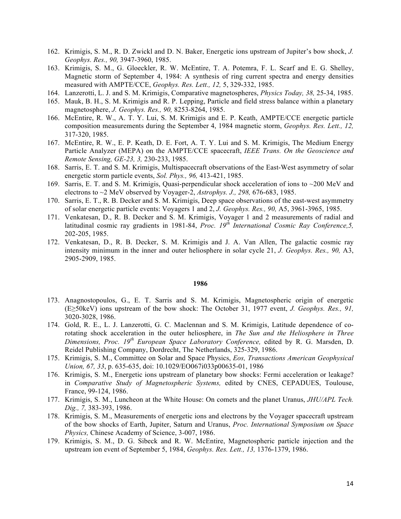- 162. Krimigis, S. M., R. D. Zwickl and D. N. Baker, Energetic ions upstream of Jupiter's bow shock, *J. Geophys. Res., 90,* 3947-3960, 1985.
- 163. Krimigis, S. M., G. Gloeckler, R. W. McEntire, T. A. Potemra, F. L. Scarf and E. G. Shelley, Magnetic storm of September 4, 1984: A synthesis of ring current spectra and energy densities measured with AMPTE/CCE, *Geophys. Res. Lett., 12,* 5, 329-332, 1985.
- 164. Lanzerotti, L. J. and S. M. Krimigis, Comparative magnetospheres, *Physics Today, 38,* 25-34, 1985.
- 165. Mauk, B. H., S. M. Krimigis and R. P. Lepping, Particle and field stress balance within a planetary magnetosphere, *J. Geophys. Res., 90,* 8253-8264, 1985.
- 166. McEntire, R. W., A. T. Y. Lui, S. M. Krimigis and E. P. Keath, AMPTE/CCE energetic particle composition measurements during the September 4, 1984 magnetic storm, *Geophys. Res. Lett., 12,*  317-320, 1985.
- 167. McEntire, R. W., E. P. Keath, D. E. Fort, A. T. Y. Lui and S. M. Krimigis, The Medium Energy Particle Analyzer (MEPA) on the AMPTE/CCE spacecraft, *IEEE Trans. On the Geoscience and Remote Sensing, GE-23, 3,* 230-233, 1985.
- 168. Sarris, E. T. and S. M. Krimigis, Multispacecraft observations of the East-West asymmetry of solar energetic storm particle events, *Sol. Phys., 96,* 413-421, 1985.
- 169. Sarris, E. T. and S. M. Krimigis, Quasi-perpendicular shock acceleration of ions to ~200 MeV and electrons to ~2 MeV observed by Voyager-2, *Astrophys. J., 298,* 676-683, 1985.
- 170. Sarris, E. T., R. B. Decker and S. M. Krimigis, Deep space observations of the east-west asymmetry of solar energetic particle events: Voyagers 1 and 2, *J. Geophys. Res., 90,* A5, 3961-3965, 1985.
- 171. Venkatesan, D., R. B. Decker and S. M. Krimigis, Voyager 1 and 2 measurements of radial and latitudinal cosmic ray gradients in 1981-84, *Proc. 19<sup>th</sup> International Cosmic Ray Conference, 5,* 202-205, 1985.
- 172. Venkatesan, D., R. B. Decker, S. M. Krimigis and J. A. Van Allen, The galactic cosmic ray intensity minimum in the inner and outer heliosphere in solar cycle 21, *J. Geophys. Res., 90,* A3, 2905-2909, 1985.

- 173. Anagnostopoulos, G., E. T. Sarris and S. M. Krimigis, Magnetospheric origin of energetic (E≥50keV) ions upstream of the bow shock: The October 31, 1977 event, *J. Geophys. Res., 91,* 3020-3028, 1986.
- 174. Gold, R. E., L. J. Lanzerotti, G. C. Maclennan and S. M. Krimigis, Latitude dependence of corotating shock acceleration in the outer heliosphere, in *The Sun and the Heliosphere in Three Dimensions, Proc. 19th European Space Laboratory Conference,* edited by R. G. Marsden, D. Reidel Publishing Company, Dordrecht, The Netherlands, 325-329, 1986.
- 175. Krimigis, S. M., Committee on Solar and Space Physics, *Eos, Transactions American Geophysical Union, 67, 33*, p. 635-635, doi: 10.1029/EO067i033p00635-01, 1986
- 176. Krimigis, S. M., Energetic ions upstream of planetary bow shocks: Fermi acceleration or leakage? in *Comparative Study of Magnetospheric Systems,* edited by CNES, CEPADUES, Toulouse, France, 99-124, 1986.
- 177. Krimigis, S. M., Luncheon at the White House: On comets and the planet Uranus, *JHU/APL Tech. Dig., 7,* 383-393, 1986.
- 178. Krimigis, S. M., Measurements of energetic ions and electrons by the Voyager spacecraft upstream of the bow shocks of Earth, Jupiter, Saturn and Uranus, *Proc. International Symposium on Space Physics,* Chinese Academy of Science, 3-007, 1986.
- 179. Krimigis, S. M., D. G. Sibeck and R. W. McEntire, Magnetospheric particle injection and the upstream ion event of September 5, 1984, *Geophys. Res. Lett., 13,* 1376-1379, 1986.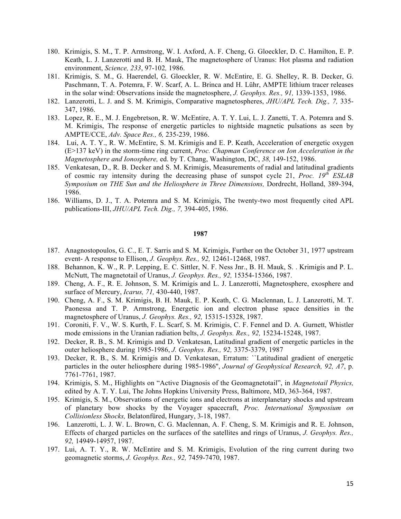- 180. Krimigis, S. M., T. P. Armstrong, W. I. Axford, A. F. Cheng, G. Gloeckler, D. C. Hamilton, E. P. Keath, L. J. Lanzerotti and B. H. Mauk, The magnetosphere of Uranus: Hot plasma and radiation environment, *Science, 233*, 97-102*,* 1986.
- 181. Krimigis, S. M., G. Haerendel, G. Gloeckler, R. W. McEntire, E. G. Shelley, R. B. Decker, G. Paschmann, T. A. Potemra, F. W. Scarf, A. L. Brinca and H. Lühr, AMPTE lithium tracer releases in the solar wind: Observations inside the magnetosphere, *J. Geophys. Res., 91,* 1339-1353, 1986.
- 182. Lanzerotti, L. J. and S. M. Krimigis, Comparative magnetospheres, *JHU/APL Tech. Dig., 7,* 335- 347, 1986.
- 183. Lopez, R. E., M. J. Engebretson, R. W. McEntire, A. T. Y. Lui, L. J. Zanetti, T. A. Potemra and S. M. Krimigis, The response of energetic particles to nightside magnetic pulsations as seen by AMPTE/CCE, *Adv. Space Res., 6,* 235-239, 1986.
- 184. Lui, A. T. Y., R. W. McEntire, S. M. Krimigis and E. P. Keath, Acceleration of energetic oxygen (E>137 keV) in the storm-time ring current, *Proc. Chapman Conference on Ion Acceleration in the Magnetosphere and Ionosphere,* ed. by T. Chang, Washington, DC, *38,* 149-152, 1986.
- 185. Venkatesan, D., R. B. Decker and S. M. Krimigis, Measurements of radial and latitudinal gradients of cosmic ray intensity during the decreasing phase of sunspot cycle 21, *Proc. 19th ESLAB Symposium on THE Sun and the Heliosphere in Three Dimensions,* Dordrecht, Holland, 389-394, 1986.
- 186. Williams, D. J., T. A. Potemra and S. M. Krimigis, The twenty-two most frequently cited APL publications-III, *JHU/APL Tech. Dig., 7,* 394-405, 1986.

- 187. Anagnostopoulos, G. C., E. T. Sarris and S. M. Krimigis, Further on the October 31, 1977 upstream event- A response to Ellison, *J. Geophys. Res., 92,* 12461-12468, 1987.
- 188. Behannon, K. W., R. P. Lepping, E. C. Sittler, N. F. Ness Jnr., B. H. Mauk, S. . Krimigis and P. L. McNutt, The magnetotail of Uranus, *J. Geophys. Res., 92,* 15354-15366, 1987.
- 189. Cheng, A. F., R. E. Johnson, S. M. Krimigis and L. J. Lanzerotti, Magnetosphere, exosphere and surface of Mercury, *Icarus, 71,* 430-440, 1987.
- 190. Cheng, A. F., S. M. Krimigis, B. H. Mauk, E. P. Keath, C. G. Maclennan, L. J. Lanzerotti, M. T. Paonessa and T. P. Armstrong, Energetic ion and electron phase space densities in the magnetosphere of Uranus, *J. Geophys. Res., 92,* 15315-15328, 1987.
- 191. Coroniti, F. V., W. S. Kurth, F. L. Scarf, S. M. Krimigis, C. F. Fennel and D. A. Gurnett, Whistler mode emissions in the Uranian radiation belts, *J. Geophys. Res., 92,* 15234-15248, 1987.
- 192. Decker, R. B., S. M. Krimigis and D. Venkatesan, Latitudinal gradient of energetic particles in the outer heliosphere during 1985-1986, *J. Geophys. Res., 92,* 3375-3379, 1987
- 193. Decker, R. B., S. M. Krimigis and D. Venkatesan, Erratum: ``Latitudinal gradient of energetic particles in the outer heliosphere during 1985-1986'', *Journal of Geophysical Research, 92, A7*, p. 7761-7761, 1987.
- 194. Krimigis, S. M., Highlights on "Active Diagnosis of the Geomagnetotail", in *Magnetotail Physics,*  edited by A. T. Y. Lui, The Johns Hopkins University Press, Baltimore, MD, 363-364, 1987.
- 195. Krimigis, S. M., Observations of energetic ions and electrons at interplanetary shocks and upstream of planetary bow shocks by the Voyager spacecraft, *Proc. International Symposium on Collisionless Shocks,* Belatonfüred, Hungary, 3-18, 1987.
- 196. Lanzerotti, L. J. W. L. Brown, C. G. Maclennan, A. F. Cheng, S. M. Krimigis and R. E. Johnson, Effects of charged particles on the surfaces of the satellites and rings of Uranus, *J. Geophys. Res., 92,* 14949-14957, 1987.
- 197. Lui, A. T. Y., R. W. McEntire and S. M. Krimigis, Evolution of the ring current during two geomagnetic storms, *J. Geophys. Res., 92,* 7459-7470, 1987.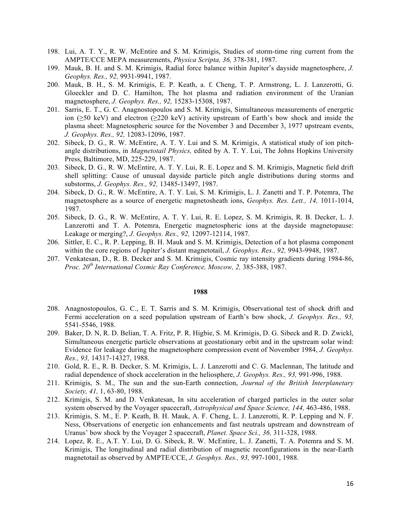- 198. Lui, A. T. Y., R. W. McEntire and S. M. Krimigis, Studies of storm-time ring current from the AMPTE/CCE MEPA measurements, *Physica Scripta, 36,* 378-381, 1987.
- 199. Mauk, B. H. and S. M. Krimigis, Radial force balance within Jupiter's dayside magnetosphere, *J. Geophys. Res., 92,* 9931-9941, 1987.
- 200. Mauk, B. H., S. M. Krimigis, E. P. Keath, a. f. Cheng, T. P. Armstrong, L. J. Lanzerotti, G. Gloeckler and D. C. Hamilton, The hot plasma and radiation environment of the Uranian magnetosphere, *J. Geophys. Res., 92,* 15283-15308, 1987.
- 201. Sarris, E. T., G. C. Anagnostopoulos and S. M. Krimigis, Simultaneous measurements of energetic ion (≥50 keV) and electron (≥220 keV) activity upstream of Earth's bow shock and inside the plasma sheet: Magnetospheric source for the November 3 and December 3, 1977 upstream events, *J. Geophys. Res., 92,* 12083-12096, 1987.
- 202. Sibeck, D. G., R. W. McEntire, A. T. Y. Lui and S. M. Krimigis, A statistical study of ion pitchangle distributions, in *Magnetotail Physics,* edited by A. T. Y. Lui, The Johns Hopkins University Press, Baltimore, MD, 225-229, 1987.
- 203. Sibeck, D. G., R. W. McEntire, A. T. Y. Lui, R. E. Lopez and S. M. Krimigis, Magnetic field drift shell splitting: Cause of unusual dayside particle pitch angle distributions during storms and substorms, *J. Geophys. Res., 92,* 13485-13497, 1987.
- 204. Sibeck, D. G., R. W. McEntire, A. T. Y. Lui, S. M. Krimigis, L. J. Zanetti and T. P. Potemra, The magnetosphere as a source of energetic magnetosheath ions, *Geophys. Res. Lett., 14,* 1011-1014, 1987.
- 205. Sibeck, D. G., R. W. McEntire, A. T. Y. Lui, R. E. Lopez, S. M. Krimigis, R. B. Decker, L. J. Lanzerotti and T. A. Potemra, Energetic magnetospheric ions at the dayside magnetopause: Leakage or merging?, *J. Geophys. Res., 92,* 12097-12114, 1987.
- 206. Sittler, E. C., R. P. Lepping, B. H. Mauk and S. M. Krimigis, Detection of a hot plasma component within the core regions of Jupiter's distant magnetotail, *J. Geophys. Res., 92,* 9943-9948, 1987.
- 207. Venkatesan, D., R. B. Decker and S. M. Krimigis, Cosmic ray intensity gradients during 1984-86, *Proc. 20th International Cosmic Ray Conference, Moscow, 2,* 385-388, 1987.

- 208. Anagnostopoulos, G. C., E. T. Sarris and S. M. Krimigis, Observational test of shock drift and Fermi acceleration on a seed population upstream of Earth's bow shock, *J. Geophys. Res., 93,*  5541-5546, 1988.
- 209. Baker, D. N, R. D. Belian, T. A. Fritz, P. R. Higbie, S. M. Krimigis, D. G. Sibeck and R. D. Zwickl, Simultaneous energetic particle observations at geostationary orbit and in the upstream solar wind: Evidence for leakage during the magnetosphere compression event of November 1984, *J. Geophys. Res., 93,* 14317-14327, 1988.
- 210. Gold, R. E., R. B. Decker, S. M. Krimigis, L. J. Lanzerotti and C. G. Maclennan, The latitude and radial dependence of shock acceleration in the heliosphere, *J. Geophys. Res., 93,* 991-996, 1988.
- 211. Krimigis, S. M., The sun and the sun-Earth connection, *Journal of the British Interplanetary Society, 41,* 1, 63-80, 1988.
- 212. Krimigis, S. M. and D. Venkatesan, In situ acceleration of charged particles in the outer solar system observed by the Voyager spacecraft, *Astrophysical and Space Science, 144,* 463-486, 1988.
- 213. Krimigis, S. M., E. P. Keath, B. H. Mauk, A. F. Cheng, L. J. Lanzerotti, R. P. Lepping and N. F. Ness, Observations of energetic ion enhancements and fast neutrals upstream and downstream of Uranus' bow shock by the Voyager 2 spacecraft, *Planet. Space Sci., 36,* 311-328, 1988.
- 214. Lopez, R. E., A.T. Y. Lui, D. G. Sibeck, R. W. McEntire, L. J. Zanetti, T. A. Potemra and S. M. Krimigis, The longitudinal and radial distribution of magnetic reconfigurations in the near-Earth magnetotail as observed by AMPTE/CCE, *J. Geophys. Res., 93,* 997-1001, 1988.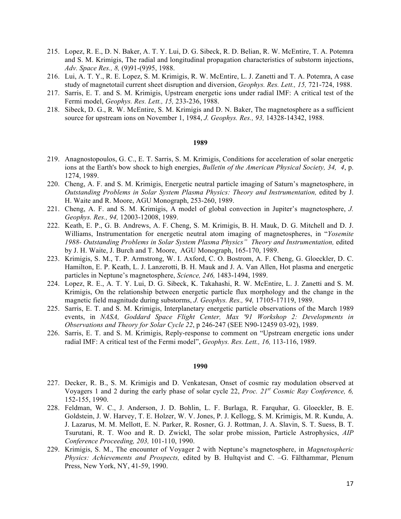- 215. Lopez, R. E., D. N. Baker, A. T. Y. Lui, D. G. Sibeck, R. D. Belian, R. W. McEntire, T. A. Potemra and S. M. Krimigis, The radial and longitudinal propagation characteristics of substorm injections, *Adv. Space Res., 8,* (9)91-(9)95, 1988.
- 216. Lui, A. T. Y., R. E. Lopez, S. M. Krimigis, R. W. McEntire, L. J. Zanetti and T. A. Potemra, A case study of magnetotail current sheet disruption and diversion, *Geophys. Res. Lett., 15,* 721-724, 1988.
- 217. Sarris, E. T. and S. M. Krimigis, Upstream energetic ions under radial IMF: A critical test of the Fermi model, *Geophys. Res. Lett., 15,* 233-236, 1988.
- 218. Sibeck, D. G., R. W. McEntire, S. M. Krimigis and D. N. Baker, The magnetosphere as a sufficient source for upstream ions on November 1, 1984, *J. Geophys. Res., 93,* 14328-14342, 1988.

- 219. Anagnostopoulos, G. C., E. T. Sarris, S. M. Krimigis, Conditions for acceleration of solar energetic ions at the Earth's bow shock to high energies, *Bulletin of the American Physical Society, 34, 4*, p. 1274, 1989.
- 220. Cheng, A. F. and S. M. Krimigis, Energetic neutral particle imaging of Saturn's magnetosphere, in *Outstanding Problems in Solar System Plasma Physics: Theory and Instrumentation,* edited by J. H. Waite and R. Moore, AGU Monograph, 253-260, 1989.
- 221. Cheng, A. F. and S. M. Krimigis, A model of global convection in Jupiter's magnetosphere, *J. Geophys. Res., 94,* 12003-12008, 1989.
- 222. Keath, E. P., G. B. Andrews, A. F. Cheng, S. M. Krimigis, B. H. Mauk, D. G. Mitchell and D. J. Williams, Instrumentation for energetic neutral atom imaging of magnetospheres, in "*Yosemite 1988- Outstanding Problems in Solar System Plasma Physics" Theory and Instrumentation,* edited by J. H. Waite, J. Burch and T. Moore, AGU Monograph, 165-170, 1989.
- 223. Krimigis, S. M., T. P. Armstrong, W. I. Axford, C. O. Bostrom, A. F. Cheng, G. Gloeckler, D. C. Hamilton, E. P. Keath, L. J. Lanzerotti, B. H. Mauk and J. A. Van Allen, Hot plasma and energetic particles in Neptune's magnetosphere, *Science, 246,* 1483-1494, 1989.
- 224. Lopez, R. E., A. T. Y. Lui, D. G. Sibeck, K. Takahashi, R. W. McEntire, L. J. Zanetti and S. M. Krimigis, On the relationship between energetic particle flux morphology and the change in the magnetic field magnitude during substorms, *J. Geophys. Res., 94,* 17105-17119, 1989.
- 225. Sarris, E. T. and S. M. Krimigis, Interplanetary energetic particle observations of the March 1989 events, in *NASA, Goddard Space Flight Center, Max '91 Workshop 2: Developments in Observations and Theory for Solar Cycle 22*, p 246-247 (SEE N90-12459 03-92), 1989.
- 226. Sarris, E. T. and S. M. Krimigis, Reply-response to comment on "Upstream energetic ions under radial IMF: A critical test of the Fermi model", *Geophys. Res. Lett., 16,* 113-116, 1989.

- 227. Decker, R. B., S. M. Krimigis and D. Venkatesan, Onset of cosmic ray modulation observed at Voyagers 1 and 2 during the early phase of solar cycle 22, *Proc. 21st Cosmic Ray Conference, 6,*  152-155, 1990.
- 228. Feldman, W. C., J. Anderson, J. D. Bohlin, L. F. Burlaga, R. Farquhar, G. Gloeckler, B. E. Goldstein, J. W. Harvey, T. E. Holzer, W. V. Jones, P. J. Kellogg, S. M. Krimigis, M. R. Kundu, A. J. Lazarus, M. M. Mellott, E. N. Parker, R. Rosner, G. J. Rottman, J. A. Slavin, S. T. Suess, B. T. Tsurutani, R. T. Woo and R. D. Zwickl, The solar probe mission, Particle Astrophysics, *AIP Conference Proceeding, 203,* 101-110, 1990.
- 229. Krimigis, S. M., The encounter of Voyager 2 with Neptune's magnetosphere, in *Magnetospheric Physics: Achievements and Prospects,* edited by B. Hultqvist and C. –G. Fälthammar, Plenum Press, New York, NY, 41-59, 1990.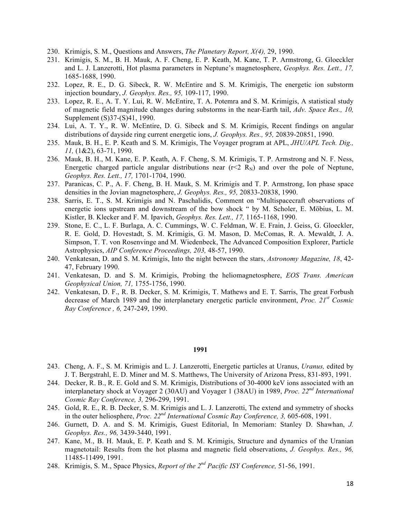- 230. Krimigis, S. M., Questions and Answers, *The Planetary Report, X(4),* 29, 1990.
- 231. Krimigis, S. M., B. H. Mauk, A. F. Cheng, E. P. Keath, M. Kane, T. P. Armstrong, G. Gloeckler and L. J. Lanzerotti, Hot plasma parameters in Neptune's magnetosphere, *Geophys. Res. Lett., 17,*  1685-1688, 1990.
- 232. Lopez, R. E., D. G. Sibeck, R. W. McEntire and S. M. Krimigis, The energetic ion substorm injection boundary, *J. Geophys. Res., 95,* 109-117, 1990.
- 233. Lopez, R. E., A. T. Y. Lui, R. W. McEntire, T. A. Potemra and S. M. Krimigis, A statistical study of magnetic field magnitude changes during substorms in the near-Earth tail, *Adv. Space Res., 10,*  Supplement (S)37-(S)41, 1990.
- 234. Lui, A. T. Y., R. W. McEntire, D. G. Sibeck and S. M. Krimigis, Recent findings on angular distributions of dayside ring current energetic ions, *J. Geophys. Res., 95,* 20839-20851, 1990.
- 235. Mauk, B. H., E. P. Keath and S. M. Krimigis, The Voyager program at APL, *JHU/APL Tech. Dig., 11,* (1&2), 63-71, 1990.
- 236. Mauk, B. H., M. Kane, E. P. Keath, A. F. Cheng, S. M. Krimigis, T. P. Armstrong and N. F. Ness, Energetic charged particle angular distributions near  $(r<2 R<sub>N</sub>)$  and over the pole of Neptune, *Geophys. Res. Lett., 17,* 1701-1704, 1990.
- 237. Paranicas, C. P., A. F. Cheng, B. H. Mauk, S. M. Krimigis and T. P. Armstrong, Ion phase space densities in the Jovian magnetosphere, *J. Geophys. Res., 95,* 20833-20838, 1990.
- 238. Sarris, E. T., S. M. Krimigis and N. Paschalidis, Comment on "Multispacecraft observations of energetic ions upstream and downstream of the bow shock " by M. Scholer, E. Möbius, L. M. Kistler, B. Klecker and F. M. Ipavich, *Geophys. Res. Lett., 17,* 1165-1168, 1990.
- 239. Stone, E. C., L. F. Burlaga, A. C. Cummings, W. C. Feldman, W. E. Frain, J. Geiss, G. Gloeckler, R. E. Gold, D. Hovestadt, S. M. Krimigis, G. M. Mason, D. McComas, R. A. Mewaldt, J. A. Simpson, T. T. von Rosenvinge and M. Wiedenbeck, The Advanced Composition Explorer, Particle Astrophysics, *AIP Conference Proceedings, 203,* 48-57, 1990.
- 240. Venkatesan, D. and S. M. Krimigis, Into the night between the stars, *Astronomy Magazine, 18*, 42- 47, February 1990.
- 241. Venkatesan, D. and S. M. Krimigis, Probing the heliomagnetosphere, *EOS Trans. American Geophysical Union, 71,* 1755-1756, 1990.
- 242. Venkatesan, D. F., R. B. Decker, S. M. Krimigis, T. Mathews and E. T. Sarris, The great Forbush decrease of March 1989 and the interplanetary energetic particle environment, *Proc. 21st Cosmic Ray Conference , 6,* 247-249, 1990.

- 243. Cheng, A. F., S. M. Krimigis and L. J. Lanzerotti, Energetic particles at Uranus, *Uranus,* edited by J. T. Bergstrahl, E. D. Miner and M. S. Matthews, The University of Arizona Press, 831-893, 1991.
- 244. Decker, R. B., R. E. Gold and S. M. Krimigis, Distributions of 30-4000 keV ions associated with an interplanetary shock at Voyager 2 (30AU) and Voyager 1 (38AU) in 1989, *Proc. 22nd International Cosmic Ray Conference, 3,* 296-299, 1991.
- 245. Gold, R. E., R. B. Decker, S. M. Krimigis and L. J. Lanzerotti, The extend and symmetry of shocks in the outer heliosphere, *Proc. 22nd International Cosmic Ray Conference, 3,* 605-608, 1991.
- 246. Gurnett, D. A. and S. M. Krimigis, Guest Editorial, In Memoriam: Stanley D. Shawhan, *J. Geophys. Res., 96,* 3439-3440, 1991.
- 247. Kane, M., B. H. Mauk, E. P. Keath and S. M. Krimigis, Structure and dynamics of the Uranian magnetotail: Results from the hot plasma and magnetic field observations, *J. Geophys. Res., 96,*  11485-11499, 1991.
- 248. Krimigis, S. M., Space Physics, *Report of the 2nd Pacific ISY Conference,* 51-56, 1991.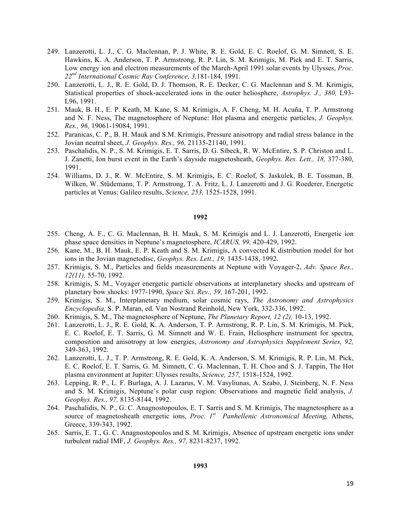- 249. Lanzerotti, L. J., C. G. Maclennan, P. J. White, R. E. Gold, E. C. Roelof, G. M. Simnett, S. E. Hawkins, K. A. Anderson, T. P. Armstrong, R. P. Lin, S. M. Krimigis, M. Pick and E. T. Sarris, Low energy ion and electron measurements of the March-April 1991 solar events by Ulysses, *Proc. 22nd International Cosmic Ray Conference, 3,*181-184, 1991.
- 250. Lanzerotti, L. J., R. E. Gold, D. J. Thomson, R. E. Decker, C. G. Maclennan and S. M. Krimigis, Statistical properties of shock-accelerated ions in the outer heliosphere, *Astrophys. J., 380,* L93- L96, 1991.
- 251. Mauk, B. H., E. P. Keath, M. Kane, S. M. Krimigis, A. F. Cheng, M. H. Acuña, T. P. Armstrong and N. F. Ness, The magnetosphere of Neptune: Hot plasma and energetic particles, *J. Geophys. Res., 96,* 19061-19084, 1991.
- 252. Paranicas, C. P., B. H. Mauk and S.M. Krimigis, Pressure anisotropy and radial stress balance in the Jovian neutral sheet, *J. Geophys. Res., 96,* 21135-21140, 1991.
- 253. Paschalidis, N. P., S. M. Krimigis, E. T. Sarris, D. G. Sibeck, R. W. McEntire, S. P. Christon and L. J. Zanetti, Ion burst event in the Earth's dayside magnetosheath, *Geophys. Res. Lett., 18,* 377-380, 1991.
- 254. Williams, D. J., R. W. McEntire, S. M. Krimigis, E. C. Roelof, S. Jaskulek, B. E. Tossman, B. Wilken, W. Stüdemann, T. P. Armstrong, T. A. Fritz, L. J. Lanzerotti and J. G. Roederer, Energetic particles at Venus: Galileo results, *Science, 253,* 1525-1528, 1991.

- 255. Cheng, A. F., C. G. Maclennan, B. H. Mauk, S. M. Krimigis and L. J. Lanzerotti, Energetic ion phase space densities in Neptune's magnetosphere, *ICARUS, 99,* 420-429, 1992.
- 256. Kane, M., B. H. Mauk, E. P. Keath and S. M. Krimigis, A convected K distribution model for hot ions in the Jovian magnetodisc, *Geophys. Res. Lett., 19,* 1435-1438, 1992.
- 257. Krimigis, S. M., Particles and fields measurements at Neptune with Voyager-2, *Adv. Space Res., 12(11),* 55-70, 1992.
- 258. Krimigis, S. M., Voyager energetic particle observations at interplanetary shocks and upstream of planetary bow shocks: 1977-1990, *Space Sci. Rev., 59,* 167-201, 1992.
- 259. Krimigis, S. M., Interplanetary medium, solar cosmic rays, *The Astronomy and Astrophysics Encyclopedia,* S. P. Maran, ed. Van Nostrand Reinhold, New York, 332-336, 1992.
- 260. Krimigis, S. M., The magnetosphere of Neptune, *The Planetary Report, 12 (2),* 10-13, 1992.
- 261. Lanzerotti, L. J., R. E. Gold, K. A. Anderson, T. P. Armstrong, R. P. Lin, S. M. Krimigis, M. Pick, E. C. Roelof, E. T. Sarris, G. M. Simnett and W. E. Frain, Heliosphere instrument for spectra, composition and anisotropy at low energies, *Astronomy and Astrophysics Supplement Series, 92,*  349-363, 1992.
- 262. Lanzerotti, L. J., T. P. Armstrong, R. E. Gold, K. A. Anderson, S. M. Krimigis, R. P. Lin, M. Pick, E. C. Roelof, E. T. Sarris, G. M. Simnett, C. G. Maclennan, T. H. Choo and S. J. Tappin, The Hot plasma environment at Jupiter: Ulysses results, *Science, 257,* 1518-1524, 1992.
- 263. Lepping, R. P., L. F. Burlaga, A. J. Lazarus, V. M. Vasyliunas, A. Szabo, J. Steinberg, N. F. Ness and S. M. Krimigis, Neptune's polar cusp region: Observations and magnetic field analysis, *J. Geophys. Res., 97,* 8135-8144, 1992.
- 264. Paschalidis, N. P., G. C. Anagnostopoulos, E. T. Sarris and S. M. Krimigis, The magnetosphere as a source of magnetosheath energetic ions, *Proc.* 1<sup>st</sup> Panhellenic Astronomical Meeting, Athens, Greece, 339-343, 1992.
- 265. Sarris, E. T., G. C. Anagnostopoulos and S. M. Krimigis, Absence of upstream energetic ions under turbulent radial IMF, *J. Geophys. Res., 97,* 8231-8237, 1992.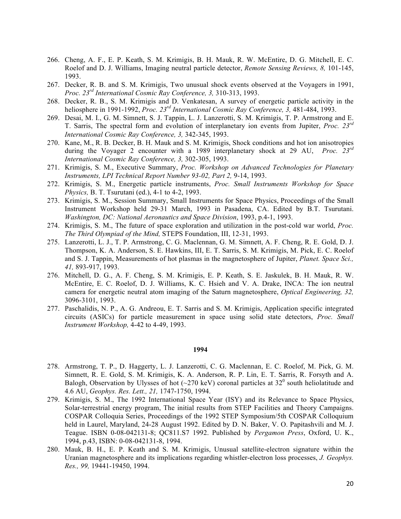- 266. Cheng, A. F., E. P. Keath, S. M. Krimigis, B. H. Mauk, R. W. McEntire, D. G. Mitchell, E. C. Roelof and D. J. Williams, Imaging neutral particle detector, *Remote Sensing Reviews, 8,* 101-145, 1993.
- 267. Decker, R. B. and S. M. Krimigis, Two unusual shock events observed at the Voyagers in 1991, *Proc. 23rd International Cosmic Ray Conference, 3,* 310-313, 1993.
- 268. Decker, R. B., S. M. Krimigis and D. Venkatesan, A survey of energetic particle activity in the heliosphere in 1991-1992, *Proc. 23rd International Cosmic Ray Conference, 3,* 481-484, 1993.
- 269. Desai, M. I., G. M. Simnett, S. J. Tappin, L. J. Lanzerotti, S. M. Krimigis, T. P. Armstrong and E. T. Sarris, The spectral form and evolution of interplanetary ion events from Jupiter, *Proc. 23rd International Cosmic Ray Conference, 3,* 342-345, 1993.
- 270. Kane, M., R. B. Decker, B. H. Mauk and S. M. Krimigis, Shock conditions and hot ion anisotropies during the Voyager 2 encounter with a 1989 interplanetary shock at 29 AU, *Proc. 23rd International Cosmic Ray Conference, 3,* 302-305, 1993.
- 271. Krimigis, S. M., Executive Summary, *Proc. Workshop on Advanced Technologies for Planetary Instruments, LPI Technical Report Number 93-02, Part 2,* 9-14, 1993.
- 272. Krimigis, S. M., Energetic particle instruments, *Proc. Small Instruments Workshop for Space Physics,* B. T. Tsurutani (ed.), 4-1 to 4-2, 1993.
- 273. Krimigis, S. M., Session Summary, Small Instruments for Space Physics, Proceedings of the Small Instrument Workshop held 29-31 March, 1993 in Pasadena, CA. Edited by B.T. Tsurutani. *Washington, DC: National Aeronautics and Space Division*, 1993, p.4-1, 1993.
- 274. Krimigis, S. M., The future of space exploration and utilization in the post-cold war world, *Proc. The Third Olympiad of the Mind,* STEPS Foundation, III, 12-31, 1993.
- 275. Lanzerotti, L. J., T. P. Armstrong, C. G. Maclennan, G. M. Simnett, A. F. Cheng, R. E. Gold, D. J. Thompson, K. A. Anderson, S. E. Hawkins, III, E. T. Sarris, S. M. Krimigis, M. Pick, E. C. Roelof and S. J. Tappin, Measurements of hot plasmas in the magnetosphere of Jupiter, *Planet. Space Sci., 41,* 893-917, 1993.
- 276. Mitchell, D. G., A. F. Cheng, S. M. Krimigis, E. P. Keath, S. E. Jaskulek, B. H. Mauk, R. W. McEntire, E. C. Roelof, D. J. Williams, K. C. Hsieh and V. A. Drake, INCA: The ion neutral camera for energetic neutral atom imaging of the Saturn magnetosphere, *Optical Engineering, 32,*  3096-3101, 1993.
- 277. Paschalidis, N. P., A. G. Andreou, E. T. Sarris and S. M. Krimigis, Application specific integrated circuits (ASICs) for particle measurement in space using solid state detectors, *Proc. Small Instrument Workshop,* 4-42 to 4-49, 1993.

- 278. Armstrong, T. P., D. Haggerty, L. J. Lanzerotti, C. G. Maclennan, E. C. Roelof, M. Pick, G. M. Simnett, R. E. Gold, S. M. Krimigis, K. A. Anderson, R. P. Lin, E. T. Sarris, R. Forsyth and A. Balogh, Observation by Ulysses of hot (~270 keV) coronal particles at  $32^{\circ}$  south heliolatitude and 4.6 AU, *Geophys. Res. Lett., 21,* 1747-1750, 1994.
- 279. Krimigis, S. M., The 1992 International Space Year (ISY) and its Relevance to Space Physics, Solar-terrestrial energy program, The initial results from STEP Facilities and Theory Campaigns. COSPAR Colloquia Series, Proceedings of the 1992 STEP Symposium/5th COSPAR Colloquium held in Laurel, Maryland, 24-28 August 1992. Edited by D. N. Baker, V. O. Papitashvili and M. J. Teague. ISBN 0-08-042131-8; QC811.S7 1992. Published by *Pergamon Press*, Oxford, U. K., 1994, p.43, ISBN: 0-08-042131-8, 1994.
- 280. Mauk, B. H., E. P. Keath and S. M. Krimigis, Unusual satellite-electron signature within the Uranian magnetosphere and its implications regarding whistler-electron loss processes, *J. Geophys. Res., 99,* 19441-19450, 1994.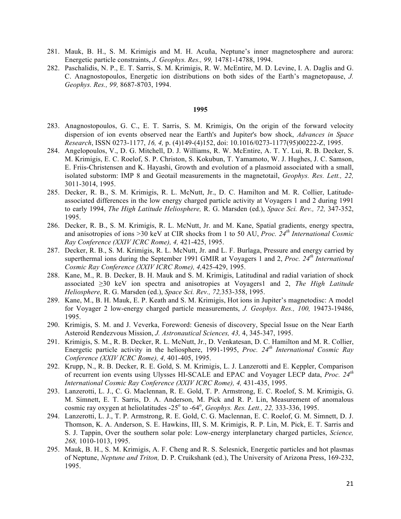- 281. Mauk, B. H., S. M. Krimigis and M. H. Acuña, Neptune's inner magnetosphere and aurora: Energetic particle constraints, *J. Geophys. Res., 99,* 14781-14788, 1994.
- 282. Paschalidis, N. P., E. T. Sarris, S. M. Krimigis, R. W. McEntire, M. D. Levine, I. A. Daglis and G. C. Anagnostopoulos, Energetic ion distributions on both sides of the Earth's magnetopause, *J. Geophys. Res., 99,* 8687-8703, 1994.

- 283. Anagnostopoulos, G. C., E. T. Sarris, S. M. Krimigis, On the origin of the forward velocity dispersion of ion events observed near the Earth's and Jupiter's bow shock, *Advances in Space Research*, ISSN 0273-1177, *16, 4,* p. (4)149-(4)152, doi: 10.1016/0273-1177(95)00222-Z, 1995.
- 284. Angelopoulos, V., D. G. Mitchell, D. J. Williams, R. W. McEntire, A. T. Y. Lui, R. B. Decker, S. M. Krimigis, E. C. Roelof, S. P. Christon, S. Kokubun, T. Yamamoto, W. J. Hughes, J. C. Samson, E. Friis-Christensen and K. Hayashi, Growth and evolution of a plasmoid associated with a small, isolated substorm: IMP 8 and Geotail measurements in the magnetotail, *Geophys. Res. Lett., 22,*  3011-3014, 1995.
- 285. Decker, R. B., S. M. Krimigis, R. L. McNutt, Jr., D. C. Hamilton and M. R. Collier, Latitudeassociated differences in the low energy charged particle activity at Voyagers 1 and 2 during 1991 to early 1994, *The High Latitude Heliosphere,* R. G. Marsden (ed.), *Space Sci. Rev., 72,* 347-352, 1995.
- 286. Decker, R. B., S. M. Krimigis, R. L. McNutt, Jr. and M. Kane, Spatial gradients, energy spectra, and anisotropies of ions >30 keV at CIR shocks from 1 to 50 AU, *Proc. 24th International Cosmic Ray Conference (XXIV ICRC Rome), 4,* 421-425, 1995.
- 287. Decker, R. B., S. M. Krimigis, R. L. McNutt, Jr. and L. F. Burlaga, Pressure and energy carried by superthermal ions during the September 1991 GMIR at Voyagers 1 and 2, *Proc. 24th International Cosmic Ray Conference (XXIV ICRC Rome), 4,*425-429, 1995.
- 288. Kane, M., R. B. Decker, B. H. Mauk and S. M. Krimigis, Latitudinal and radial variation of shock associated ≥30 keV ion spectra and anisotropies at Voyagers1 and 2, *The High Latitude Heliosphere,* R. G. Marsden (ed.), *Space Sci. Rev., 72,*353-358, 1995.
- 289. Kane, M., B. H. Mauk, E. P. Keath and S. M. Krimigis, Hot ions in Jupiter's magnetodisc: A model for Voyager 2 low-energy charged particle measurements, *J. Geophys. Res., 100,* 19473-19486, 1995.
- 290. Krimigis, S. M. and J. Veverka, Foreword: Genesis of discovery, Special Issue on the Near Earth Asteroid Rendezvous Mission, *J. Astronautical Sciences, 43,* 4, 345-347, 1995.
- 291. Krimigis, S. M., R. B. Decker, R. L. McNutt, Jr., D. Venkatesan, D. C. Hamilton and M. R. Collier, Energetic particle activity in the heliosphere, 1991-1995, *Proc. 24th International Cosmic Ray Conference (XXIV ICRC Rome), 4,* 401-405, 1995.
- 292. Krupp, N., R. B. Decker, R. E. Gold, S. M. Krimigis, L. J. Lanzerotti and E. Keppler, Comparison of recurrent ion events using Ulysses HI-SCALE and EPAC and Voyager LECP data, *Proc. 24th International Cosmic Ray Conference (XXIV ICRC Rome), 4,* 431-435, 1995.
- 293. Lanzerotti, L. J., C. G. Maclennan, R. E. Gold, T. P. Armstrong, E. C. Roelof, S. M. Krimigis, G. M. Simnett, E. T. Sarris, D. A. Anderson, M. Pick and R. P. Lin, Measurement of anomalous cosmic ray oxygen at heliolatitudes -25° to -64°, *Geophys. Res. Lett., 22, 333-336, 1995.*
- 294. Lanzerotti, L. J., T. P. Armstrong, R. E. Gold, C. G. Maclennan, E. C. Roelof, G. M. Simnett, D. J. Thomson, K. A. Anderson, S. E. Hawkins, III, S. M. Krimigis, R. P. Lin, M. Pick, E. T. Sarris and S. J. Tappin, Over the southern solar pole: Low-energy interplanetary charged particles, *Science, 268,* 1010-1013, 1995.
- 295. Mauk, B. H., S. M. Krimigis, A. F. Cheng and R. S. Selesnick, Energetic particles and hot plasmas of Neptune, *Neptune and Triton,* D. P. Cruikshank (ed.), The University of Arizona Press, 169-232, 1995.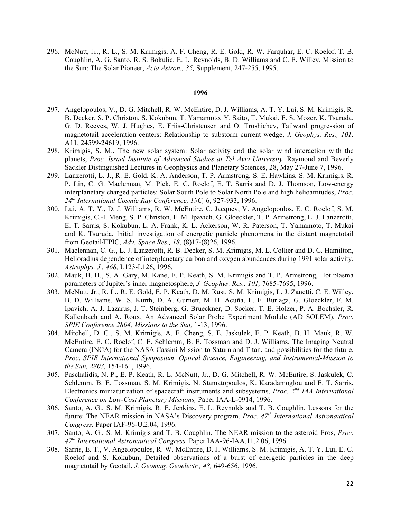296. McNutt, Jr., R. L., S. M. Krimigis, A. F. Cheng, R. E. Gold, R. W. Farquhar, E. C. Roelof, T. B. Coughlin, A. G. Santo, R. S. Bokulic, E. L. Reynolds, B. D. Williams and C. E. Willey, Mission to the Sun: The Solar Pioneer, *Acta Astron., 35,* Supplement, 247-255, 1995.

- 297. Angelopoulos, V., D. G. Mitchell, R. W. McEntire, D. J. Williams, A. T. Y. Lui, S. M. Krimigis, R. B. Decker, S. P. Christon, S. Kokubun, T. Yamamoto, Y. Saito, T. Mukai, F. S. Mozer, K. Tsuruda, G. D. Reeves, W. J. Hughes, E. Friis-Christensen and O. Troshichev, Tailward progression of magnetotail acceleration centers: Relationship to substorm current wedge, *J. Geophys. Res., 101,*  A11, 24599-24619, 1996.
- 298. Krimigis, S. M., The new solar system: Solar activity and the solar wind interaction with the planets, *Proc. Israel Institute of Advanced Studies at Tel Aviv University,* Raymond and Beverly Sackler Distinguished Lectures in Geophysics and Planetary Sciences, 28, May 27-June 7, 1996.
- 299. Lanzerotti, L. J., R. E. Gold, K. A. Anderson, T. P. Armstrong, S. E. Hawkins, S. M. Krimigis, R. P. Lin, C. G. Maclennan, M. Pick, E. C. Roelof, E. T. Sarris and D. J. Thomson, Low-energy interplanetary charged particles: Solar South Pole to Solar North Pole and high helioattitudes, *Proc. 24th International Cosmic Ray Conference, 19C,* 6, 927-933, 1996.
- 300. Lui, A. T. Y., D. J. Williams, R. W. McEntire, C. Jacquey, V. Angelopoulos, E. C. Roelof, S. M. Krimigis, C.-I. Meng, S. P. Christon, F. M. Ipavich, G. Gloeckler, T. P. Armstrong, L. J. Lanzerotti, E. T. Sarris, S. Kokubun, L. A. Frank, K. L. Ackerson, W. R. Paterson, T. Yamamoto, T. Mukai and K. Tsuruda, Initial investigation of energetic particle phenomena in the distant magnetotail from Geotail/EPIC, *Adv. Space Res., 18,* (8)17-(8)26, 1996.
- 301. Maclennan, C. G., L. J. Lanzerotti, R. B. Decker, S. M. Krimigis, M. L. Collier and D. C. Hamilton, Helioradius dependence of interplanetary carbon and oxygen abundances during 1991 solar activity, *Astrophys. J., 468,* L123-L126, 1996.
- 302. Mauk, B. H., S. A. Gary, M. Kane, E. P. Keath, S. M. Krimigis and T. P. Armstrong, Hot plasma parameters of Jupiter's inner magnetosphere, *J. Geophys. Res., 101,* 7685-7695, 1996.
- 303. McNutt, Jr., R. L., R. E. Gold, E. P. Keath, D. M. Rust, S. M. Krimigis, L. J. Zanetti, C. E. Willey, B. D. Williams, W. S. Kurth, D. A. Gurnett, M. H. Acuña, L. F. Burlaga, G. Gloeckler, F. M. Ipavich, A. J. Lazarus, J. T. Steinberg, G. Brueckner, D. Socker, T. E. Holzer, P. A. Bochsler, R. Kallenbach and A. Roux, An Advanced Solar Probe Experiment Module (AD SOLEM), *Proc. SPIE Conference 2804, Missions to the Sun,* 1-13, 1996.
- 304. Mitchell, D. G., S. M. Krimigis, A. F. Cheng, S. E. Jaskulek, E. P. Keath, B. H. Mauk, R. W. McEntire, E. C. Roelof, C. E. Schlemm, B. E. Tossman and D. J. Williams, The Imaging Neutral Camera (INCA) for the NASA Cassini Mission to Saturn and Titan, and possibilities for the future, *Proc. SPIE International Symposium, Optical Science, Engineering, and Instrumental-Mission to the Sun, 2803,* 154-161, 1996.
- 305. Paschalidis, N. P., E. P. Keath, R. L. McNutt, Jr., D. G. Mitchell, R. W. McEntire, S. Jaskulek, C. Schlemm, B. E. Tossman, S. M. Krimigis, N. Stamatopoulos, K. Karadamoglou and E. T. Sarris, Electronics miniaturization of spacecraft instruments and subsystems, *Proc. 2nd IAA International Conference on Low-Cost Planetary Missions,* Paper IAA-L-0914, 1996.
- 306. Santo, A. G., S. M. Krimigis, R. E. Jenkins, E. L. Reynolds and T. B. Coughlin, Lessons for the future: The NEAR mission in NASA's Discovery program, *Proc. 47th International Astronautical Congress,* Paper IAF-96-U.2.04, 1996.
- 307. Santo, A. G., S. M. Krimigis and T. B. Coughlin, The NEAR mission to the asteroid Eros, *Proc. 47th International Astronautical Congress,* Paper IAA-96-IAA.11.2.06, 1996.
- 308. Sarris, E. T., V. Angelopoulos, R. W. McEntire, D. J. Williams, S. M. Krimigis, A. T. Y. Lui, E. C. Roelof and S. Kokubun, Detailed observations of a burst of energetic particles in the deep magnetotail by Geotail, *J. Geomag. Geoelectr., 48,* 649-656, 1996.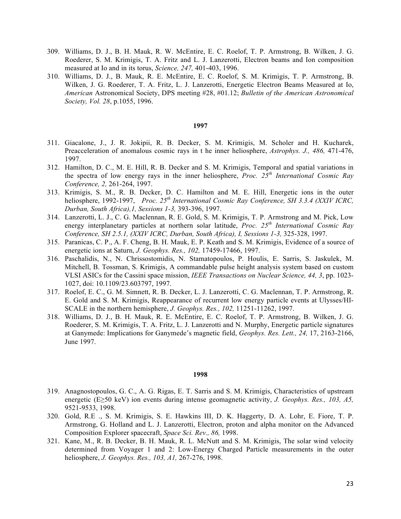- 309. Williams, D. J., B. H. Mauk, R. W. McEntire, E. C. Roelof, T. P. Armstrong, B. Wilken, J. G. Roederer, S. M. Krimigis, T. A. Fritz and L. J. Lanzerotti, Electron beams and Ion composition measured at Io and in its torus, *Science, 247,* 401-403, 1996.
- 310. Williams, D. J., B. Mauk, R. E. McEntire, E. C. Roelof, S. M. Krimigis, T. P. Armstrong, B. Wilken, J. G. Roederer, T. A. Fritz, L. J. Lanzerotti, Energetic Electron Beams Measured at Io, *American* Astronomical Society, DPS meeting #28, #01.12; *Bulletin of the American Astronomical Society, Vol. 28*, p.1055, 1996.

- 311. Giacalone, J., J. R. Jokipii, R. B. Decker, S. M. Krimigis, M. Scholer and H. Kucharek, Preacceleration of anomalous cosmic rays in t he inner heliosphere, *Astrophys. J., 486,* 471-476, 1997.
- 312. Hamilton, D. C., M. E. Hill, R. B. Decker and S. M. Krimigis, Temporal and spatial variations in the spectra of low energy rays in the inner heliosphere, *Proc. 25th International Cosmic Ray Conference, 2,* 261-264, 1997.
- 313. Krimigis, S. M., R. B. Decker, D. C. Hamilton and M. E. Hill, Energetic ions in the outer heliosphere, 1992-1997, *Proc. 25th International Cosmic Ray Conference, SH 3.3.4 (XXIV ICRC, Durban, South Africa),1, Sessions 1-3,* 393-396, 1997.
- 314. Lanzerotti, L. J., C. G. Maclennan, R. E. Gold, S. M. Krimigis, T. P. Armstrong and M. Pick, Low energy interplanetary particles at northern solar latitude, *Proc. 25th International Cosmic Ray Conference, SH 2.5.1, (XXIV ICRC, Durban, South Africa), I, Sessions 1-3,* 325-328, 1997.
- 315. Paranicas, C. P., A. F. Cheng, B. H. Mauk, E. P. Keath and S. M. Krimigis, Evidence of a source of energetic ions at Saturn, *J. Geophys. Res., 102,* 17459-17466, 1997.
- 316. Paschalidis, N., N. Chrissostomidis, N. Stamatopoulos, P. Houlis, E. Sarris, S. Jaskulek, M. Mitchell, B. Tossman, S. Krimigis, A commandable pulse height analysis system based on custom VLSI ASICs for the Cassini space mission, *IEEE Transactions on Nuclear Science, 44, 3*, pp. 1023- 1027, doi: 10.1109/23.603797, 1997.
- 317. Roelof, E. C., G. M. Simnett, R. B. Decker, L. J. Lanzerotti, C. G. Maclennan, T. P. Armstrong, R. E. Gold and S. M. Krimigis, Reappearance of recurrent low energy particle events at Ulysses/HI-SCALE in the northern hemisphere, *J. Geophys. Res., 102,* 11251-11262, 1997.
- 318. Williams, D. J., B. H. Mauk, R. E. McEntire, E. C. Roelof, T. P. Armstrong, B. Wilken, J. G. Roederer, S. M. Krimigis, T. A. Fritz, L. J. Lanzerotti and N. Murphy, Energetic particle signatures at Ganymede: Implications for Ganymede's magnetic field, *Geophys. Res. Lett., 24,* 17, 2163-2166, June 1997.

- 319. Anagnostopoulos, G. C., A. G. Rigas, E. T. Sarris and S. M. Krimigis, Characteristics of upstream energetic (E≥50 keV) ion events during intense geomagnetic activity, *J. Geophys. Res., 103, A5,*  9521-9533, 1998.
- 320. Gold, R.E ., S. M. Krimigis, S. E. Hawkins III, D. K. Haggerty, D. A. Lohr, E. Fiore, T. P. Armstrong, G. Holland and L. J. Lanzerotti, Electron, proton and alpha monitor on the Advanced Composition Explorer spacecraft, *Space Sci. Rev., 86,* 1998.
- 321. Kane, M., R. B. Decker, B. H. Mauk, R. L. McNutt and S. M. Krimigis, The solar wind velocity determined from Voyager 1 and 2: Low-Energy Charged Particle measurements in the outer heliosphere, *J. Geophys. Res., 103, A1,* 267-276, 1998.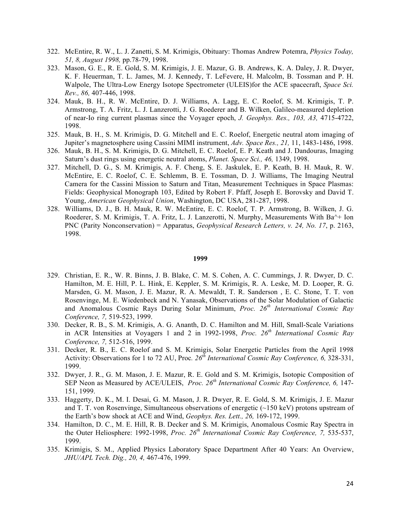- 322. McEntire, R. W., L. J. Zanetti, S. M. Krimigis, Obituary: Thomas Andrew Potemra, *Physics Today, 51, 8, August 1998,* pp.78-79, 1998.
- 323. Mason, G. E., R. E. Gold, S. M. Krimigis, J. E. Mazur, G. B. Andrews, K. A. Daley, J. R. Dwyer, K. F. Heuerman, T. L. James, M. J. Kennedy, T. LeFevere, H. Malcolm, B. Tossman and P. H. Walpole, The Ultra-Low Energy Isotope Spectrometer (ULEIS)for the ACE spacecraft, *Space Sci. Rev., 86,* 407-446, 1998.
- 324. Mauk, B. H., R. W. McEntire, D. J. Williams, A. Lagg, E. C. Roelof, S. M. Krimigis, T. P. Armstrong, T. A. Fritz, L. J. Lanzerotti, J. G. Roederer and B. Wilken, Galileo-measured depletion of near-Io ring current plasmas since the Voyager epoch, *J. Geophys. Res., 103, A3,* 4715-4722, 1998.
- 325. Mauk, B. H., S. M. Krimigis, D. G. Mitchell and E. C. Roelof, Energetic neutral atom imaging of Jupiter's magnetosphere using Cassini MIMI instrument, *Adv. Space Res., 21,* 11, 1483-1486, 1998.
- 326. Mauk, B. H., S. M. Krimigis, D. G. Mitchell, E. C. Roelof, E. P. Keath and J. Dandouras, Imaging Saturn's dust rings using energetic neutral atoms, *Planet. Space Sci., 46,* 1349, 1998.
- 327. Mitchell, D. G., S. M. Krimigis, A. F. Cheng, S. E. Jaskulek, E. P. Keath, B. H. Mauk, R. W. McEntire, E. C. Roelof, C. E. Schlemm, B. E. Tossman, D. J. Williams, The Imaging Neutral Camera for the Cassini Mission to Saturn and Titan, Measurement Techniques in Space Plasmas: Fields: Geophysical Monograph 103, Edited by Robert F. Pfaff, Joseph E. Borovsky and David T. Young, *American Geophysical Union*, Washington, DC USA, 281-287, 1998.
- 328. Williams, D. J., B. H. Mauk, R. W. McEntire, E. C. Roelof, T. P. Armstrong, B. Wilken, J. G. Roederer, S. M. Krimigis, T. A. Fritz, L. J. Lanzerotti, N. Murphy, Measurements With Ba^+ Ion PNC (Parity Nonconservation) = Apparatus, *Geophysical Research Letters, v. 24, No. 17*, p. 2163, 1998.

- 329. Christian, E. R., W. R. Binns, J. B. Blake, C. M. S. Cohen, A. C. Cummings, J. R. Dwyer, D. C. Hamilton, M. E. Hill, P. L. Hink, E. Keppler, S. M. Krimigis, R. A. Leske, M. D. Looper, R. G. Marsden, G. M. Mason, J. E. Mazur, R. A. Mewaldt, T. R. Sanderson , E. C. Stone, T. T. von Rosenvinge, M. E. Wiedenbeck and N. Yanasak, Observations of the Solar Modulation of Galactic and Anomalous Cosmic Rays During Solar Minimum, *Proc. 26th International Cosmic Ray Conference, 7,* 519-523, 1999.
- 330. Decker, R. B., S. M. Krimigis, A. G. Ananth, D. C. Hamilton and M. Hill, Small-Scale Variations in ACR Intensities at Voyagers 1 and 2 in 1992-1998, *Proc. 26th International Cosmic Ray Conference, 7,* 512-516, 1999.
- 331. Decker, R. B., E. C. Roelof and S. M. Krimigis, Solar Energetic Particles from the April 1998 Activity: Observations for 1 to 72 AU, Proc*. 26th International Cosmic Ray Conference, 6,* 328-331, 1999.
- 332. Dwyer, J. R., G. M. Mason, J. E. Mazur, R. E. Gold and S. M. Krimigis, Isotopic Composition of SEP Neon as Measured by ACE/ULEIS, *Proc. 26th International Cosmic Ray Conference, 6,* 147- 151, 1999.
- 333. Haggerty, D. K., M. I. Desai, G. M. Mason, J. R. Dwyer, R. E. Gold, S. M. Krimigis, J. E. Mazur and T. T. von Rosenvinge, Simultaneous observations of energetic  $(\sim 150 \text{ keV})$  protons upstream of the Earth's bow shock at ACE and Wind, *Geophys. Res. Lett., 26,* 169-172, 1999.
- 334. Hamilton, D. C., M. E. Hill, R. B. Decker and S. M. Krimigis, Anomalous Cosmic Ray Spectra in the Outer Heliosphere: 1992-1998, *Proc. 26th International Cosmic Ray Conference, 7,* 535-537, 1999.
- 335. Krimigis, S. M., Applied Physics Laboratory Space Department After 40 Years: An Overview, *JHU/APL Tech. Dig., 20, 4,* 467-476, 1999.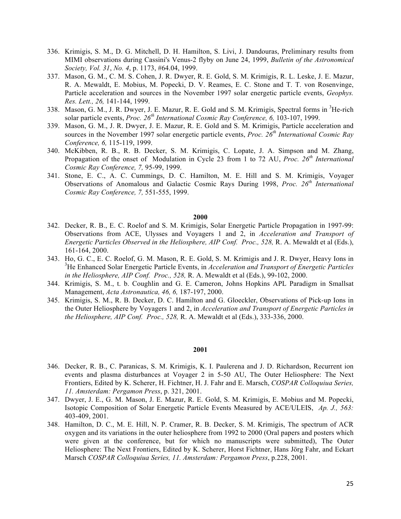- 336. Krimigis, S. M., D. G. Mitchell, D. H. Hamilton, S. Livi, J. Dandouras, Preliminary results from MIMI observations during Cassini's Venus-2 flyby on June 24, 1999, *Bulletin of the Astronomical Society, Vol. 31*, *No. 4*, p. 1173, #64.04, 1999.
- 337. Mason, G. M., C. M. S. Cohen, J. R. Dwyer, R. E. Gold, S. M. Krimigis, R. L. Leske, J. E. Mazur, R. A. Mewaldt, E. Mobius, M. Popecki, D. V. Reames, E. C. Stone and T. T. von Rosenvinge, Particle acceleration and sources in the November 1997 solar energetic particle events, *Geophys. Res. Lett., 26,* 141-144, 1999.
- 338. Mason, G. M., J. R. Dwyer, J. E. Mazur, R. E. Gold and S. M. Krimigis, Spectral forms in <sup>3</sup>He-rich solar particle events, *Proc. 26th International Cosmic Ray Conference, 6,* 103-107, 1999.
- 339. Mason, G. M., J. R. Dwyer, J. E. Mazur, R. E. Gold and S. M. Krimigis, Particle acceleration and sources in the November 1997 solar energetic particle events, *Proc. 26th International Cosmic Ray Conference, 6,* 115-119, 1999.
- 340. McKibben, R. B., R. B. Decker, S. M. Krimigis, C. Lopate, J. A. Simpson and M. Zhang, Propagation of the onset of Modulation in Cycle 23 from 1 to 72 AU, *Proc. 26th International Cosmic Ray Conference, 7,* 95-99, 1999.
- 341. Stone, E. C., A. C. Cummings, D. C. Hamilton, M. E. Hill and S. M. Krimigis, Voyager Observations of Anomalous and Galactic Cosmic Rays During 1998, *Proc. 26th International Cosmic Ray Conference, 7,* 551-555, 1999.

- 342. Decker, R. B., E. C. Roelof and S. M. Krimigis, Solar Energetic Particle Propagation in 1997-99: Observations from ACE, Ulysses and Voyagers 1 and 2, in *Acceleration and Transport of Energetic Particles Observed in the Heliosphere, AIP Conf. Proc., 528, R. A. Mewaldt et al (Eds.),* 161-164, 2000.
- 343. Ho, G. C., E. C. Roelof, G. M. Mason, R. E. Gold, S. M. Krimigis and J. R. Dwyer, Heavy Ions in 3 He Enhanced Solar Energetic Particle Events, in *Acceleration and Transport of Energetic Particles in the Heliosphere, AIP Conf. Proc., 528,* R. A. Mewaldt et al (Eds.), 99-102, 2000.
- 344. Krimigis, S. M., t. b. Coughlin and G. E. Cameron, Johns Hopkins APL Paradigm in Smallsat Management, *Acta Astronautica, 46, 6,* 187-197, 2000.
- 345. Krimigis, S. M., R. B. Decker, D. C. Hamilton and G. Gloeckler, Observations of Pick-up Ions in the Outer Heliosphere by Voyagers 1 and 2, in *Acceleration and Transport of Energetic Particles in the Heliosphere, AIP Conf. Proc., 528,* R. A. Mewaldt et al (Eds.), 333-336, 2000.

- 346. Decker, R. B., C. Paranicas, S. M. Krimigis, K. I. Paulerena and J. D. Richardson, Recurrent ion events and plasma disturbances at Voyager 2 in 5-50 AU, The Outer Heliosphere: The Next Frontiers, Edited by K. Scherer, H. Fichtner, H. J. Fahr and E. Marsch, *COSPAR Colloquiua Series, 11. Amsterdam: Pergamon Press*, p. 321, 2001.
- 347. Dwyer, J. E., G. M. Mason, J. E. Mazur, R. E. Gold, S. M. Krimigis, E. Mobius and M. Popecki, Isotopic Composition of Solar Energetic Particle Events Measured by ACE/ULEIS, *Ap. J., 563:* 403-409, 2001.
- 348. Hamilton, D. C., M. E. Hill, N. P. Cramer, R. B. Decker, S. M. Krimigis, The spectrum of ACR oxygen and its variations in the outer heliosphere from 1992 to 2000 (Oral papers and posters which were given at the conference, but for which no manuscripts were submitted), The Outer Heliosphere: The Next Frontiers, Edited by K. Scherer, Horst Fichtner, Hans Jörg Fahr, and Eckart Marsch *COSPAR Colloquiua Series, 11. Amsterdam: Pergamon Press*, p.228, 2001.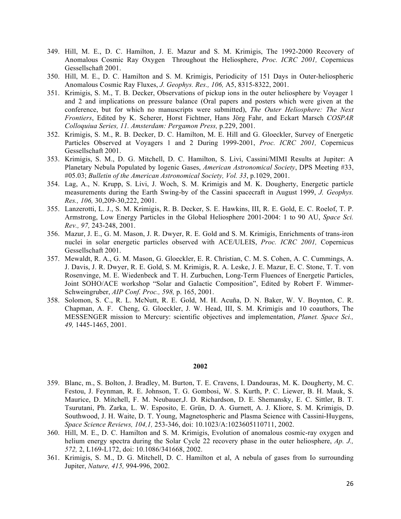- 349. Hill, M. E., D. C. Hamilton, J. E. Mazur and S. M. Krimigis, The 1992-2000 Recovery of Anomalous Cosmic Ray Oxygen Throughout the Heliosphere, *Proc. ICRC 2001,* Copernicus Gessellschaft 2001.
- 350. Hill, M. E., D. C. Hamilton and S. M. Krimigis, Periodicity of 151 Days in Outer-heliospheric Anomalous Cosmic Ray Fluxes, *J. Geophys. Res., 106,* A5, 8315-8322, 2001.
- 351. Krimigis, S. M., T. B. Decker, Observations of pickup ions in the outer heliosphere by Voyager 1 and 2 and implications on pressure balance (Oral papers and posters which were given at the conference, but for which no manuscripts were submitted), *The Outer Heliosphere: The Next Frontiers*, Edited by K. Scherer, Horst Fichtner, Hans Jörg Fahr, and Eckart Marsch *COSPAR Colloquiua Series, 11. Amsterdam: Pergamon Press,* p.229, 2001.
- 352. Krimigis, S. M., R. B. Decker, D. C. Hamilton, M. E. Hill and G. Gloeckler, Survey of Energetic Particles Observed at Voyagers 1 and 2 During 1999-2001, *Proc. ICRC 2001,* Copernicus Gessellschaft 2001.
- 353. Krimigis, S. M., D. G. Mitchell, D. C. Hamilton, S. Livi, Cassini/MIMI Results at Jupiter: A Planetary Nebula Populated by Iogenic Gases, *American Astronomical Society*, DPS Meeting #33, #05.03; *Bulletin of the American Astronomical Society, Vol. 33*, p.1029, 2001.
- 354. Lag, A., N. Krupp, S. Livi, J. Woch, S. M. Krimigis and M. K. Dougherty, Energetic particle measurements during the Earth Swing-by of the Cassini spacecraft in August 1999, *J. Geophys. Res., 106,* 30,209-30,222, 2001.
- 355. Lanzerotti, L. J., S. M. Krimigis, R. B. Decker, S. E. Hawkins, III, R. E. Gold, E. C. Roelof, T. P. Armstrong, Low Energy Particles in the Global Heliosphere 2001-2004: 1 to 90 AU, *Space Sci. Rev., 97,* 243-248, 2001.
- 356. Mazur, J. E., G. M. Mason, J. R. Dwyer, R. E. Gold and S. M. Krimigis, Enrichments of trans-iron nuclei in solar energetic particles observed with ACE/ULEIS, *Proc. ICRC 2001,* Copernicus Gessellschaft 2001.
- 357. Mewaldt, R. A., G. M. Mason, G. Gloeckler, E. R. Christian, C. M. S. Cohen, A. C. Cummings, A. J. Davis, J. R. Dwyer, R. E. Gold, S. M. Krimigis, R. A. Leske, J. E. Mazur, E. C. Stone, T. T. von Rosenvinge, M. E. Wiedenbeck and T. H. Zurbuchen, Long-Term Fluences of Energetic Particles, Joint SOHO/ACE workshop "Solar and Galactic Composition", Edited by Robert F. Wimmer-Schweingruber, *AIP Conf. Proc., 598,* p. 165, 2001.
- 358. Solomon, S. C., R. L. McNutt, R. E. Gold, M. H. Acuña, D. N. Baker, W. V. Boynton, C. R. Chapman, A. F. Cheng, G. Gloeckler, J. W. Head, III, S. M. Krimigis and 10 coauthors, The MESSENGER mission to Mercury: scientific objectives and implementation, *Planet. Space Sci., 49,* 1445-1465, 2001.

- 359. Blanc, m., S. Bolton, J. Bradley, M. Burton, T. E. Cravens, I. Dandouras, M. K. Dougherty, M. C. Festou, J. Feynman, R. E. Johnson, T. G. Gombosi, W. S. Kurth, P. C. Liewer, B. H. Mauk, S. Maurice, D. Mitchell, F. M. Neubauer,J. D. Richardson, D. E. Shemansky, E. C. Sittler, B. T. Tsurutani, Ph. Zarka, L. W. Esposito, E. Grün, D. A. Gurnett, A. J. Kliore, S. M. Krimigis, D. Southwood, J. H. Waite, D. T. Young, Magnetospheric and Plasma Science with Cassini-Huygens, *Space Science Reviews, 104,1,* 253-346, doi: 10.1023/A:1023605110711, 2002.
- 360. Hill, M. E., D. C. Hamilton and S. M. Krimigis, Evolution of anomalous cosmic-ray oxygen and helium energy spectra during the Solar Cycle 22 recovery phase in the outer heliosphere, *Ap. J.*, *572,* 2, L169-L172, doi: 10.1086/341668, 2002.
- 361. Krimigis, S. M., D. G. Mitchell, D. C. Hamilton et al, A nebula of gases from Io surrounding Jupiter, *Nature, 415,* 994-996, 2002.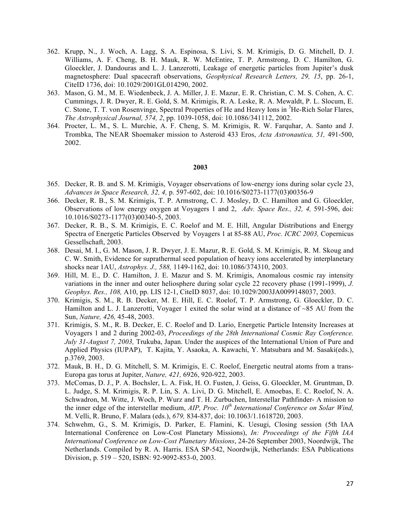- 362. Krupp, N., J. Woch, A. Lagg, S. A. Espinosa, S. Livi, S. M. Krimigis, D. G. Mitchell, D. J. Williams, A. F. Cheng, B. H. Mauk, R. W. McEntire, T. P. Armstrong, D. C. Hamilton, G. Gloeckler, J. Dandouras and L. J. Lanzerotti, Leakage of energetic particles from Jupiter's dusk magnetosphere: Dual spacecraft observations, *Geophysical Research Letters, 29, 15*, pp. 26-1, CiteID 1736, doi: 10.1029/2001GL014290, 2002.
- 363. Mason, G. M., M. E. Wiedenbeck, J. A. Miller, J. E. Mazur, E. R. Christian, C. M. S. Cohen, A. C. Cummings, J. R. Dwyer, R. E. Gold, S. M. Krimigis, R. A. Leske, R. A. Mewaldt, P. L. Slocum, E. C. Stone, T. T. von Rosenvinge, Spectral Properties of He and Heavy Ions in <sup>3</sup>He-Rich Solar Flares, *The Astrophysical Journal, 574, 2*, pp. 1039-1058, doi: 10.1086/341112, 2002.
- 364. Procter, L. M., S. L. Murchie, A. F. Cheng, S. M. Krimigis, R. W. Farquhar, A. Santo and J. Trombka, The NEAR Shoemaker mission to Asteroid 433 Eros, *Acta Astronautica, 51,* 491-500, 2002.

- 365. Decker, R. B. and S. M. Krimigis, Voyager observations of low-energy ions during solar cycle 23, *Advances in Space Research, 32, 4,* p. 597-602, doi: 10.1016/S0273-1177(03)00356-9
- 366. Decker, R. B., S. M. Krimigis, T. P. Armstrong, C. J. Mosley, D. C. Hamilton and G. Gloeckler, Observations of low energy oxygen at Voyagers 1 and 2, *Adv. Space Res., 32, 4,* 591-596, doi: 10.1016/S0273-1177(03)00340-5, 2003.
- 367. Decker, R. B., S. M. Krimigis, E. C. Roelof and M. E. Hill, Angular Distributions and Energy Spectra of Energetic Particles Observed by Voyagers 1 at 85-88 AU, *Proc. ICRC 2003,* Copernicus Gessellschaft, 2003.
- 368. Desai, M. I., G. M. Mason, J. R. Dwyer, J. E. Mazur, R. E. Gold, S. M. Krimigis, R. M. Skoug and C. W. Smith, Evidence for suprathermal seed population of heavy ions accelerated by interplanetary shocks near 1AU, *Astrophys. J., 588,* 1149-1162, doi: 10.1086/374310, 2003.
- 369. Hill, M. E., D. C. Hamilton, J. E. Mazur and S. M. Krimigis, Anomalous cosmic ray intensity variations in the inner and outer heliosphere during solar cycle 22 recovery phase (1991-1999), *J. Geophys. Res., 108,* A10, pp. LIS 12-1, CiteID 8037, doi: 10.1029/2003JA0099148037, 2003.
- 370. Krimigis, S. M., R. B. Decker, M. E. Hill, E. C. Roelof, T. P. Armstrong, G. Gloeckler, D. C. Hamilton and L. J. Lanzerotti, Voyager 1 exited the solar wind at a distance of  $\sim$ 85 AU from the Sun, *Nature, 426,* 45-48, 2003.
- 371. Krimigis, S. M., R. B. Decker, E. C. Roelof and D. Lario, Energetic Particle Intensity Increases at Voyagers 1 and 2 during 2002-03, *Proceedings of the 28th International Cosmic Ray Conference. July 31-August 7, 2003,* Trukuba, Japan. Under the auspices of the International Union of Pure and Applied Physics (IUPAP), T. Kajita, Y. Asaoka, A. Kawachi, Y. Matsubara and M. Sasaki(eds.), p.3769, 2003.
- 372. Mauk, B. H., D. G. Mitchell, S. M. Krimigis, E. C. Roelof, Energetic neutral atoms from a trans-Europa gas torus at Jupiter, *Nature, 421,* 6926, 920-922, 2003.
- 373. McComas, D. J., P. A. Bochsler, L. A. Fisk, H. O. Fusten, J. Geiss, G. Gloeckler, M. Gruntman, D. L. Judge, S. M. Krimigis, R. P. Lin, S. A. Livi, D. G. Mitchell, E. Amoebas, E. C. Roelof, N. A. Schwadron, M. Witte, J. Woch, P. Wurz and T. H. Zurbuchen, Interstellar Pathfinder- A mission to the inner edge of the interstellar medium, *AIP, Proc. 10th International Conference on Solar Wind,*  M. Velli, R. Bruno, F. Malara (eds.), *679,* 834-837, doi: 10.1063/1.1618720, 2003.
- 374. Schwehm, G., S. M. Krimigis, D. Parker, E. Flamini, K. Uesugi, Closing session (5th IAA International Conference on Low-Cost Planetary Missions), *In: Proceedings of the Fifth IAA International Conference on Low-Cost Planetary Missions*, 24-26 September 2003, Noordwijk, The Netherlands. Compiled by R. A. Harris. ESA SP-542, Noordwijk, Netherlands: ESA Publications Division, p. 519 – 520, ISBN: 92-9092-853-0, 2003.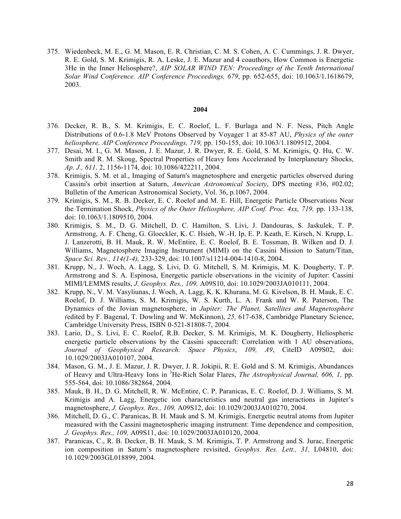375. Wiedenbeck, M. E., G. M. Mason, E. R. Christian, C. M. S. Cohen, A. C. Cummings, J. R. Dwyer, R. E. Gold, S. M. Krimigis, R. A. Leske, J. E. Mazur and 4 coauthors, How Common is Energetic 3He in the Inner Heliosphere?, *AIP SOLAR WIND TEN: Proceedings of the Tenth International Solar Wind Conference. AIP Conference Proceedings, 679*, pp. 652-655, doi: 10.1063/1.1618679, 2003.

- 376. Decker, R. B., S. M. Krimigis, E. C. Roelof, L. F. Burlaga and N. F. Ness, Pitch Angle Distributions of 0.6-1.8 MeV Protons Observed by Voyager 1 at 85-87 AU, *Physics of the outer heliosphere, AIP Conference Proceedings, 719,* pp. 150-155, doi: 10.1063/1.1809512, 2004.
- 377. Desai, M. I., G. M. Mason, J. E. Mazur, J. R. Dwyer, R. E. Gold, S. M. Krimigis, Q. Hu, C. W. Smith and R. M. Skoug, Spectral Properties of Heavy Ions Accelerated by Interplanetary Shocks, *Ap. J., 611,* 2, 1156-1174, doi: 10.1086/422211, 2004.
- 378. Krimigis, S. M. et al., Imaging of Saturn's magnetosphere and energetic particles observed during Cassini's orbit insertion at Saturn, *American Astronomical Society*, DPS meeting #36, #02.02; Bulletin of the American Astronomical Society, Vol. 36, p.1067, 2004.
- 379. Krimigis, S. M., R. B. Decker, E. C. Roelof and M. E. Hill, Energetic Particle Observations Near the Termination Shock, *Physics of the Outer Heliosphere, AIP Conf. Proc. 4xx, 719,* pp. 133-138, doi: 10.1063/1.1809510, 2004.
- 380. Krimigis, S. M., D. G. Mitchell, D. C. Hamilton, S. Livi, J. Dandouras, S. Jaskulek, T. P. Armstrong, A. F. Cheng, G. Gloeckler, K. C. Hsieh, W.-H. Ip, E. P. Keath, E. Kirsch, N. Krupp, L. J. Lanzerotti, B. H. Mauk, R. W. McEntire, E. C. Roelof, B. E. Tossman, B. Wilken and D. J. Williams, Magnetosphere Imaging Instrument (MIMI) on the Cassini Mission to Saturn/Titan, *Space Sci. Rev., 114(1-4),* 233-329, doi: 10.1007/s11214-004-1410-8, 2004.
- 381. Krupp, N., J. Woch, A. Lagg, S. Livi, D. G. Mitchell, S. M. Krimigis, M. K. Dougherty, T. P. Armstrong and S. A. Espinosa, Energetic particle observations in the vicinity of Jupiter: Cassini MIMI/LEMMS results, *J. Geophys. Res., 109,* A09S10, doi: 10.1029/2003JA010111, 2004.
- 382. Krupp, N., V. M. Vasyliunas, J. Woch, A. Lagg, K. K. Khurana, M. G. Kivelson, B. H. Mauk, E. C. Roelof, D. J. Williams, S. M. Krimigis, W. S. Kurth, L. A. Frank and W. R. Paterson, The Dynamics of the Jovian magnetosphere, in *Jupiter: The Planet, Satellites and Magnetosphere (*edited by F. Bagenal, T. Dowling and W. McKinnon), *25,* 617-638, Cambridge Planetary Science, Cambridge University Press, ISBN 0-521-81808-7, 2004.
- 383. Lario, D., S. Livi, E. C. Roelof, R.B. Decker, S. M. Krimigis, M. K. Dougherty, Heliospheric energetic particle observations by the Cassini spacecraft: Correlation with 1 AU observations, *Journal of Geophysical Research: Space Physics*, *109, A9*, CiteID A09S02, doi: 10.1029/2003JA010107, 2004.
- 384. Mason, G. M., J. E. Mazur, J. R. Dwyer, J. R. Jokipii, R. E. Gold and S. M. Krimigis, Abundances of Heavy and Ultra-Heavy Ions in <sup>3</sup>He-Rich Solar Flares, *The Astrophysical Journal, 606, 1, pp.* 555-564, doi: 10.1086/382864, 2004.
- 385. Mauk, B. H., D. G. Mitchell, R. W. McEntire, C. P. Paranicas, E. C. Roelof, D. J. Williams, S. M. Krimigis and A. Lagg, Energetic ion characteristics and neutral gas interactions in Jupiter's magnetosphere, *J. Geophys. Res., 109,* A09S12, doi: 10.1029/2003JA010270, 2004.
- 386. Mitchell, D. G., C. Paranicas, B. H. Mauk and S. M. Krimigis, Energetic neutral atoms from Jupiter measured with the Cassini magnetospheric imaging instrument: Time dependence and composition, *J. Geophys. Res., 109,* A09S11, doi: 10.1029/2003JA010120, 2004.
- 387. Paranicas, C., R. B. Decker, B. H. Mauk, S. M. Krimigis, T. P. Armstrong and S. Jurac, Energetic ion composition in Saturn's magnetosphere revisited, *Geophys. Res. Lett., 31,* L04810, doi: 10.1029/2003GL018899, 2004.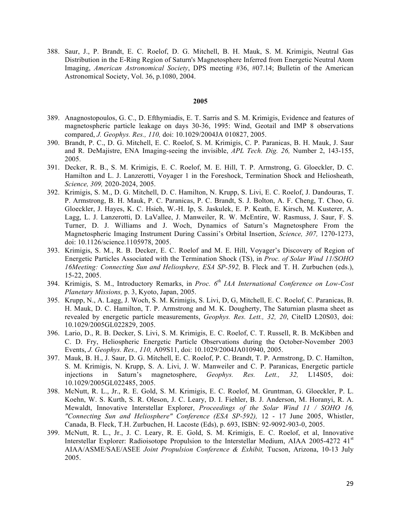388. Saur, J., P. Brandt, E. C. Roelof, D. G. Mitchell, B. H. Mauk, S. M. Krimigis, Neutral Gas Distribution in the E-Ring Region of Saturn's Magnetosphere Inferred from Energetic Neutral Atom Imaging, *American Astronomical Society*, DPS meeting #36, #07.14; Bulletin of the American Astronomical Society, Vol. 36, p.1080, 2004.

- 389. Anagnostopoulos, G. C., D. Efthymiadis, E. T. Sarris and S. M. Krimigis, Evidence and features of magnetospheric particle leakage on days 30-36, 1995: Wind, Geotail and IMP 8 observations compared, *J. Geophys. Res., 110,* doi: 10.1029/2004JA 010827, 2005.
- 390. Brandt, P. C., D. G. Mitchell, E. C. Roelof, S. M. Krimigis, C. P. Paranicas, B. H. Mauk, J. Saur and R. DeMajistre, ENA Imaging-seeing the invisible, *APL Tech. Dig. 26,* Number 2, 143-155, 2005.
- 391. Decker, R. B., S. M. Krimigis, E. C. Roelof, M. E. Hill, T. P. Armstrong, G. Gloeckler, D. C. Hamilton and L. J. Lanzerotti, Voyager 1 in the Foreshock, Termination Shock and Heliosheath, *Science, 309,* 2020-2024, 2005.
- 392. Krimigis, S. M., D. G. Mitchell, D. C. Hamilton, N. Krupp, S. Livi, E. C. Roelof, J. Dandouras, T. P. Armstrong, B. H. Mauk, P. C. Paranicas, P. C. Brandt, S. J. Bolton, A. F. Cheng, T. Choo, G. Gloeckler, J. Hayes, K. C. Hsieh, W.-H. Ip, S. Jaskulek, E. P. Keath, E. Kirsch, M. Kusterer, A. Lagg, L. J. Lanzerotti, D. LaVallee, J. Manweiler, R. W. McEntire, W. Rasmuss, J. Saur, F. S. Turner, D. J. Williams and J. Woch, Dynamics of Saturn's Magnetosphere From the Magnetospheric Imaging Instrument During Cassini's Orbital Insertion, *Science, 307,* 1270-1273, doi: 10.1126/science.1105978, 2005.
- 393. Krimigis, S. M., R. B. Decker, E. C. Roelof and M. E. Hill, Voyager's Discovery of Region of Energetic Particles Associated with the Termination Shock (TS), in *Proc. of Solar Wind 11/SOHO 16Meeting: Connecting Sun and Heliosphere, ESA SP-592,* B. Fleck and T. H. Zurbuchen (eds.), 15-22, 2005.
- 394. Krimigis, S. M., Introductory Remarks, in *Proc. 6th IAA International Conference on Low-Cost Planetary Missions,* p. 3, Kyoto, Japan, 2005.
- 395. Krupp, N., A. Lagg, J. Woch, S. M. Krimigis, S. Livi, D, G, Mitchell, E. C. Roelof, C. Paranicas, B. H. Mauk, D. C. Hamilton, T. P. Armstrong and M. K. Dougherty, The Saturnian plasma sheet as revealed by energetic particle measurements, *Geophys. Res. Lett., 32, 20*, CiteID L20S03, doi: 10.1029/2005GL022829, 2005.
- 396. Lario, D., R. B. Decker, S. Livi, S. M. Krimigis, E. C. Roelof, C. T. Russell, R. B. McKibben and C. D. Fry, Heliospheric Energetic Particle Observations during the October-November 2003 Events, *J. Geophys. Res., 110,* A09S11, doi: 10.1029/2004JA010940, 2005.
- 397. Mauk, B. H., J. Saur, D. G. Mitchell, E. C. Roelof, P. C. Brandt, T. P. Armstrong, D. C. Hamilton, S. M. Krimigis, N. Krupp, S. A. Livi, J. W. Manweiler and C. P. Paranicas, Energetic particle injections in Saturn's magnetosphere, *Geophys. Res. Lett., 32,* L14S05, doi: 10.1029/2005GL022485, 2005.
- 398. McNutt, R. L., Jr., R. E. Gold, S. M. Krimigis, E. C. Roelof, M. Gruntman, G. Gloeckler, P. L. Koehn, W. S. Kurth, S. R. Oleson, J. C. Leary, D. I. Fiehler, B. J. Anderson, M. Horanyi, R. A. Mewaldt, Innovative Interstellar Explorer, *Proceedings of the Solar Wind 11 / SOHO 16, "Connecting Sun and Heliosphere" Conference (ESA SP-592),* 12 - 17 June 2005, Whistler, Canada, B. Fleck, T.H. Zurbuchen, H. Lacoste (Eds), p. 693, ISBN: 92-9092-903-0, 2005.
- 399. McNutt, R. L., Jr., J. C. Leary, R. E. Gold, S. M. Krimigis, E. C. Roelof, et al, Innovative Interstellar Explorer: Radioisotope Propulsion to the Interstellar Medium, AIAA 2005-4272 41<sup>st</sup> AIAA/ASME/SAE/ASEE *Joint Propulsion Conference & Exhibit,* Tucson, Arizona, 10-13 July 2005.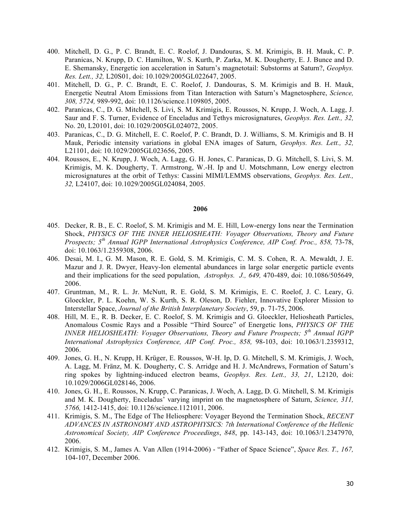- 400. Mitchell, D. G., P. C. Brandt, E. C. Roelof, J. Dandouras, S. M. Krimigis, B. H. Mauk, C. P. Paranicas, N. Krupp, D. C. Hamilton, W. S. Kurth, P. Zarka, M. K. Dougherty, E. J. Bunce and D. E. Shemansky, Energetic ion acceleration in Saturn's magnetotail: Substorms at Saturn?, *Geophys. Res. Lett., 32,* L20S01, doi: 10.1029/2005GL022647, 2005.
- 401. Mitchell, D. G., P. C. Brandt, E. C. Roelof, J. Dandouras, S. M. Krimigis and B. H. Mauk, Energetic Neutral Atom Emissions from Titan Interaction with Saturn's Magnetosphere, *Science, 308, 5724,* 989-992, doi: 10.1126/science.1109805, 2005.
- 402. Paranicas, C., D. G. Mitchell, S. Livi, S. M. Krimigis, E. Roussos, N. Krupp, J. Woch, A. Lagg, J. Saur and F. S. Turner, Evidence of Enceladus and Tethys microsignatures, *Geophys. Res. Lett., 32,*  No. 20, L20101, doi: 10.1029/2005GL024072, 2005.
- 403. Paranicas, C., D. G. Mitchell, E. C. Roelof, P. C. Brandt, D. J. Williams, S. M. Krimigis and B. H Mauk, Periodic intensity variations in global ENA images of Saturn, *Geophys. Res. Lett., 32,* L21101, doi: 10.1029/2005GL023656, 2005.
- 404. Roussos, E., N. Krupp, J. Woch, A. Lagg, G. H. Jones, C. Paranicas, D. G. Mitchell, S. Livi, S. M. Krimigis, M. K. Dougherty, T. Armstrong, W.-H. Ip and U. Motschmann, Low energy electron microsignatures at the orbit of Tethys: Cassini MIMI/LEMMS observations, *Geophys. Res. Lett., 32,* L24107, doi: 10.1029/2005GL024084, 2005.

- 405. Decker, R. B., E. C. Roelof, S. M. Krimigis and M. E. Hill, Low-energy Ions near the Termination Shock, *PHYSICS OF THE INNER HELIOSHEATH: Voyager Observations, Theory and Future Prospects; 5th Annual IGPP International Astrophysics Conference, AIP Conf. Proc., 858,* 73-78, doi: 10.1063/1.2359308, 2006.
- 406. Desai, M. I., G. M. Mason, R. E. Gold, S. M. Krimigis, C. M. S. Cohen, R. A. Mewaldt, J. E. Mazur and J. R. Dwyer, Heavy-Ion elemental abundances in large solar energetic particle events and their implications for the seed population, *Astrophys. J., 649,* 470-489, doi: 10.1086/505649, 2006.
- 407. Gruntman, M., R. L. Jr. McNutt, R. E. Gold, S. M. Krimigis, E. C. Roelof, J. C. Leary, G. Gloeckler, P. L. Koehn, W. S. Kurth, S. R. Oleson, D. Fiehler, Innovative Explorer Mission to Interstellar Space, *Journal of the British Interplanetary Society*, 59, p. 71-75, 2006.
- 408. Hill, M. E., R. B. Decker, E. C. Roelof, S. M. Krimigis and G. Gloeckler, Heliosheath Particles, Anomalous Cosmic Rays and a Possible "Third Source" of Energetic Ions, *PHYSICS OF THE INNER HELIOSHEATH: Voyager Observations, Theory and Future Prospects; 5th Annual IGPP International Astrophysics Conference, AIP Conf. Proc., 858,* 98-103, doi: 10.1063/1.2359312, 2006.
- 409. Jones, G. H., N. Krupp, H. Krüger, E. Roussos, W-H. Ip, D. G. Mitchell, S. M. Krimigis, J. Woch, A. Lagg, M. Fränz, M. K. Dougherty, C. S. Arridge and H. J. McAndrews, Formation of Saturn's ring spokes by lightning-induced electron beams, *Geophys. Res. Lett., 33, 21*, L2120, doi: 10.1029/2006GL028146, 2006.
- 410. Jones, G. H., E. Roussos, N. Krupp, C. Paranicas, J. Woch, A. Lagg, D. G. Mitchell, S. M. Krimigis and M. K. Dougherty, Enceladus' varying imprint on the magnetosphere of Saturn, *Science, 311, 5766,* 1412-1415, doi: 10.1126/science.1121011, 2006.
- 411. Krimigis, S. M., The Edge of The Heliosphere: Voyager Beyond the Termination Shock, *RECENT ADVANCES IN ASTRONOMY AND ASTROPHYSICS: 7th International Conference of the Hellenic Astronomical Society, AIP Conference Proceedings*, *848*, pp. 143-143, doi: 10.1063/1.2347970, 2006.
- 412. Krimigis, S. M., James A. Van Allen (1914-2006) "Father of Space Science", *Space Res. T., 167,*  104-107, December 2006.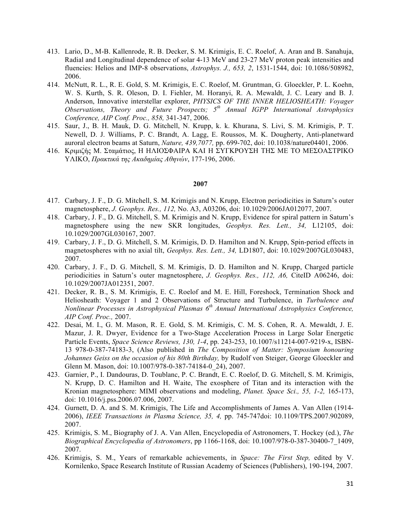- 413. Lario, D., M-B. Kallenrode, R. B. Decker, S. M. Krimigis, E. C. Roelof, A. Aran and B. Sanahuja, Radial and Longitudinal dependence of solar 4-13 MeV and 23-27 MeV proton peak intensities and fluencies: Helios and IMP-8 observations, *Astrophys. J., 653, 2*, 1531-1544, doi: 10.1086/508982, 2006.
- 414. McNutt, R. L., R. E. Gold, S. M. Krimigis, E. C. Roelof, M. Gruntman, G. Gloeckler, P. L. Koehn, W. S. Kurth, S. R. Oleson, D. I. Fiehler, M. Horanyi, R. A. Mewaldt, J. C. Leary and B. J. Anderson, Innovative interstellar explorer, *PHYSICS OF THE INNER HELIOSHEATH: Voyager Observations, Theory and Future Prospects; 5th Annual IGPP International Astrophysics Conference, AIP Conf. Proc., 858,* 341-347, 2006.
- 415. Saur, J., B. H. Mauk, D. G. Mitchell, N. Krupp, k. k. Khurana, S. Livi, S. M. Krimigis, P. T. Newell, D. J. Williams, P. C. Brandt, A. Lagg, E. Roussos, M. K. Dougherty, Anti-planetward auroral electron beams at Saturn, *Nature, 439,7077,* pp. 699-702, doi: 10.1038/nature04401, 2006.
- 416. Κριµιζής Μ. Σταµάτιος, Η ΗΛΙΟΣΦΑΙΡΑ ΚΑΙ Η ΣΥΓΚΡΟΥΣΗ ΤΗΣ ΜΕ ΤΟ ΜΕΣΟΑΣΤΡΙΚΟ ΥΛΙΚΟ, *Πρακτικά της Ακαδηµίας Αθηνών*, 177-196, 2006.

- 417. Carbary, J. F., D. G. Mitchell, S. M. Krimigis and N. Krupp, Electron periodicities in Saturn's outer magnetosphere, *J. Geophys. Res., 112,* No. A3, A03206, doi: 10.1029/2006JA012077, 2007.
- 418. Carbary, J. F., D. G. Mitchell, S. M. Krimigis and N. Krupp, Evidence for spiral pattern in Saturn's magnetosphere using the new SKR longitudes, *Geophys. Res. Lett., 34,* L12105, doi: 10.1029/2007GL030167, 2007.
- 419. Carbary, J. F., D. G. Mitchell, S. M. Krimigis, D. D. Hamilton and N. Krupp, Spin-period effects in magnetospheres with no axial tilt, *Geophys. Res. Lett., 34,* LD1807, doi: 10.1029/2007GL030483, 2007.
- 420. Carbary, J. F., D. G. Mitchell, S. M. Krimigis, D. D. Hamilton and N. Krupp, Charged particle periodicities in Saturn's outer magnetosphere, *J. Geophys. Res., 112, A6,* CiteID A06246, doi: 10.1029/2007JA012351, 2007.
- 421. Decker, R. B., S. M. Krimigis, E. C. Roelof and M. E. Hill, Foreshock, Termination Shock and Heliosheath: Voyager 1 and 2 Observations of Structure and Turbulence, in *Turbulence and Nonlinear Processes in Astrophysical Plasmas 6th Annual International Astrophysics Conference, AIP Conf. Proc.,* 2007.
- 422. Desai, M. I., G. M. Mason, R. E. Gold, S. M. Krimigis, C. M. S. Cohen, R. A. Mewaldt, J. E. Mazur, J. R. Dwyer, Evidence for a Two-Stage Acceleration Process in Large Solar Energetic Particle Events, *Space Science Reviews, 130, 1-4*, pp. 243-253, 10.1007/s11214-007-9219-x, ISBN-13 978-0-387-74183-3, (Also published in *The Composition of Matter: Symposium honouring Johannes Geiss on the occasion of his 80th Birthday,* by Rudolf von Steiger, George Gloeckler and Glenn M. Mason, doi: 10.1007/978-0-387-74184-0\_24), 2007.
- 423. Garnier, P., I. Dandouras, D. Toublanc, P. C. Brandt, E. C. Roelof, D. G. Mitchell, S. M. Krimigis, N. Krupp, D. C. Hamilton and H. Waite, The exosphere of Titan and its interaction with the Kronian magnetosphere: MIMI observations and modeling, *Planet. Space Sci., 55, 1-2,* 165-173, doi: 10.1016/j.pss.2006.07.006, 2007.
- 424. Gurnett, D. A. and S. M. Krimigis, The Life and Accomplishments of James A. Van Allen (1914- 2006), *IEEE Transactions in Plasma Science, 35, 4,* pp. 745-747doi: 10.1109/TPS.2007.902089, 2007.
- 425. Krimigis, S. M., Biography of J. A. Van Allen, Encyclopedia of Astronomers, T. Hockey (ed.), *The Biographical Encyclopedia of Astronomers*, pp 1166-1168, doi: 10.1007/978-0-387-30400-7\_1409, 2007.
- 426. Krimigis, S. M., Years of remarkable achievements, in *Space: The First Step,* edited by V. Kornilenko, Space Research Institute of Russian Academy of Sciences (Publishers), 190-194, 2007.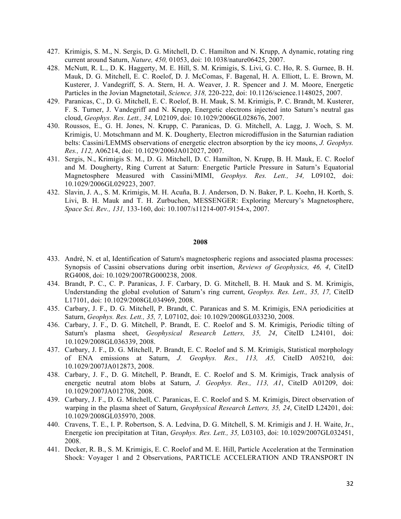- 427. Krimigis, S. M., N. Sergis, D. G. Mitchell, D. C. Hamilton and N. Krupp, A dynamic, rotating ring current around Saturn, *Nature, 450,* 01053, doi: 10.1038/nature06425, 2007.
- 428. McNutt, R. L., D. K. Haggerty, M. E. Hill, S. M. Krimigis, S. Livi, G. C. Ho, R. S. Gurnee, B. H. Mauk, D. G. Mitchell, E. C. Roelof, D. J. McComas, F. Bagenal, H. A. Elliott, L. E. Brown, M. Kusterer, J. Vandegriff, S. A. Stern, H. A. Weaver, J. R. Spencer and J. M. Moore, Energetic Particles in the Jovian Magnetotail, *Science, 318,* 220-222, doi: 10.1126/science.1148025, 2007.
- 429. Paranicas, C., D. G. Mitchell, E. C. Roelof, B. H. Mauk, S. M. Krimigis, P. C. Brandt, M. Kusterer, F. S. Turner, J. Vandegriff and N. Krupp, Energetic electrons injected into Saturn's neutral gas cloud, *Geophys. Res. Lett., 34,* L02109, doi: 10.1029/2006GL028676, 2007.
- 430. Roussos, E., G. H. Jones, N. Krupp, C. Paranicas, D. G. Mitchell, A. Lagg, J. Woch, S. M. Krimigis, U. Motschmann and M. K. Dougherty, Electron microdiffusion in the Saturnian radiation belts: Cassini/LEMMS observations of energetic electron absorption by the icy moons, *J. Geophys. Res., 112,* A06214, doi: 10.1029/2006JA012027, 2007.
- 431. Sergis, N., Krimigis S. M., D. G. Mitchell, D. C. Hamilton, N. Krupp, B. H. Mauk, E. C. Roelof and M. Dougherty, Ring Current at Saturn: Energetic Particle Pressure in Saturn's Equatorial Magnetosphere Measured with Cassini/MIMI, *Geophys. Res. Lett., 34,* L09102, doi: 10.1029/2006GL029223, 2007.
- 432. Slavin, J. A., S. M. Krimigis, M. H. Acuña, B. J. Anderson, D. N. Baker, P. L. Koehn, H. Korth, S. Livi, B. H. Mauk and T. H. Zurbuchen, MESSENGER: Exploring Mercury's Magnetosphere, *Space Sci. Rev., 131,* 133-160, doi: 10.1007/s11214-007-9154-x, 2007.

- 433. André, N. et al, Identification of Saturn's magnetospheric regions and associated plasma processes: Synopsis of Cassini observations during orbit insertion, *Reviews of Geophysics, 46, 4*, CiteID RG4008, doi: 10.1029/2007RG000238, 2008.
- 434. Brandt, P. C., C. P. Paranicas, J. F. Carbary, D. G. Mitchell, B. H. Mauk and S. M. Krimigis, Understanding the global evolution of Saturn's ring current, *Geophys. Res. Lett., 35, 17,* CiteID L17101, doi: 10.1029/2008GL034969, 2008.
- 435. Carbary, J. F., D. G. Mitchell, P. Brandt, C. Paranicas and S. M. Krimigis, ENA periodicities at Saturn, *Geophys. Res. Lett., 35, 7,* L07102, doi: 10.1029/2008GL033230, 2008.
- 436. Carbary, J. F., D. G. Mitchell, P. Brandt, E. C. Roelof and S. M. Krimigis, Periodic tilting of Saturn's plasma sheet, *Geophysical Research Letters, 35, 24*, CiteID L24101, doi: 10.1029/2008GL036339, 2008.
- 437. Carbary, J. F., D. G. Mitchell, P. Brandt, E. C. Roelof and S. M. Krimigis, Statistical morphology of ENA emissions at Saturn, *J. Geophys. Res., 113, A5,* CiteID A05210, doi: 10.1029/2007JA012873, 2008.
- 438. Carbary, J. F., D. G. Mitchell, P. Brandt, E. C. Roelof and S. M. Krimigis, Track analysis of energetic neutral atom blobs at Saturn, *J. Geophys. Res., 113, A1*, CiteID A01209, doi: 10.1029/2007JA012708, 2008.
- 439. Carbary, J. F., D. G. Mitchell, C. Paranicas, E. C. Roelof and S. M. Krimigis, Direct observation of warping in the plasma sheet of Saturn, *Geophysical Research Letters, 35, 24*, CiteID L24201, doi: 10.1029/2008GL035970, 2008.
- 440. Cravens, T. E., I. P. Robertson, S. A. Ledvina, D. G. Mitchell, S. M. Krimigis and J. H. Waite, Jr., Energetic ion precipitation at Titan, *Geophys. Res. Lett., 35,* L03103, doi: 10.1029/2007GL032451, 2008.
- 441. Decker, R. B., S. M. Krimigis, E. C. Roelof and M. E. Hill, Particle Acceleration at the Termination Shock: Voyager 1 and 2 Observations, PARTICLE ACCELERATION AND TRANSPORT IN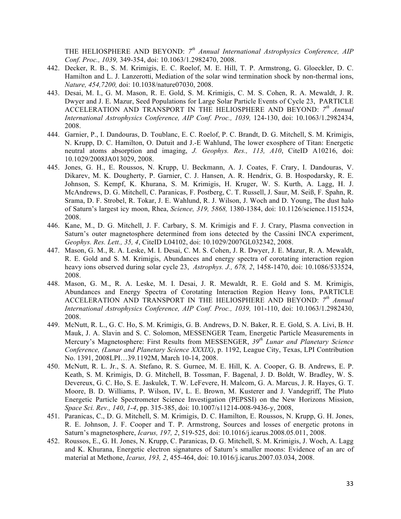THE HELIOSPHERE AND BEYOND: *7th Annual International Astrophysics Conference, AIP Conf. Proc., 1039,* 349-354, doi: 10.1063/1.2982470, 2008.

- 442. Decker, R. B., S. M. Krimigis, E. C. Roelof, M. E. Hill, T. P. Armstrong, G. Gloeckler, D. C. Hamilton and L. J. Lanzerotti, Mediation of the solar wind termination shock by non-thermal ions, *Nature, 454,7200,* doi: 10.1038/nature07030, 2008.
- 443. Desai, M. I., G. M. Mason, R. E. Gold, S. M. Krimigis, C. M. S. Cohen, R. A. Mewaldt, J. R. Dwyer and J. E. Mazur, Seed Populations for Large Solar Particle Events of Cycle 23, PARTICLE ACCELERATION AND TRANSPORT IN THE HELIOSPHERE AND BEYOND: *7th Annual International Astrophysics Conference, AIP Conf. Proc., 1039,* 124-130, doi: 10.1063/1.2982434, 2008.
- 444. Garnier, P., I. Dandouras, D. Toublanc, E. C. Roelof, P. C. Brandt, D. G. Mitchell, S. M. Krimigis, N. Krupp, D. C. Hamilton, O. Dutuit and J.-E Wahlund, The lower exosphere of Titan: Energetic neutral atoms absorption and imaging, *J. Geophys. Res., 113, A10*, CiteID A10216, doi: 10.1029/2008JA013029, 2008.
- 445. Jones, G. H., E. Roussos, N. Krupp, U. Beckmann, A. J. Coates, F. Crary, I. Dandouras, V. Dikarev, M. K. Dougherty, P. Garnier, C. J. Hansen, A. R. Hendrix, G. B. Hospodarsky, R. E. Johnson, S. Kempf, K. Khurana, S. M. Krimigis, H. Kruger, W. S. Kurth, A. Lagg, H. J. McAndrews, D. G. Mitchell, C. Paranicas, F. Postberg, C. T. Russell, J. Saur, M. Seiß, F. Spahn, R. Srama, D. F. Strobel, R. Tokar, J. E. Wahlund, R. J. Wilson, J. Woch and D. Young, The dust halo of Saturn's largest icy moon, Rhea, *Science, 319, 5868,* 1380-1384, doi: 10.1126/science.1151524, 2008.
- 446. Kane, M., D. G. Mitchell, J. F. Carbary, S. M. Krimigis and F. J. Crary, Plasma convection in Saturn's outer magnetosphere determined from ions detected by the Cassini INCA experiment, *Geophys. Res. Lett., 35, 4*, CiteID L04102, doi: 10.1029/2007GL032342, 2008.
- 447. Mason, G. M., R. A. Leske, M. I. Desai, C. M. S. Cohen, J. R. Dwyer, J. E. Mazur, R. A. Mewaldt, R. E. Gold and S. M. Krimigis, Abundances and energy spectra of corotating interaction region heavy ions observed during solar cycle 23, *Astrophys. J., 678, 2*, 1458-1470, doi: 10.1086/533524, 2008.
- 448. Mason, G. M., R. A. Leske, M. I. Desai, J. R. Mewaldt, R. E. Gold and S. M. Krimigis, Abundances and Energy Spectra of Corotating Interaction Region Heavy Ions, PARTICLE ACCELERATION AND TRANSPORT IN THE HELIOSPHERE AND BEYOND: *7th Annual International Astrophysics Conference, AIP Conf. Proc., 1039,* 101-110, doi: 10.1063/1.2982430, 2008.
- 449. McNutt, R. L., G. C. Ho, S. M. Krimigis, G. B. Andrews, D. N. Baker, R. E. Gold, S. A. Livi, B. H. Mauk, J. A. Slavin and S. C. Solomon, MESSENGER Team, Energetic Particle Measurements in Mercury's Magnetosphere: First Results from MESSENGER, *39th Lunar and Planetary Science Conference, (Lunar and Planetary Science XXXIX)*, p. 1192, League City, Texas, LPI Contribution No. 1391, 2008LPI…39.1192M, March 10-14, 2008.
- 450. McNutt, R. L. Jr., S. A. Stefano, R. S. Gurnee, M. E. Hill, K. A. Cooper, G. B. Andrews, E. P. Keath, S. M. Krimigis, D. G. Mitchell, B. Tossman, F. Bagenal, J. D. Boldt, W. Bradley, W. S. Devereux, G. C. Ho, S. E. Jaskulek, T. W. LeFevere, H. Malcom, G. A. Marcus, J. R. Hayes, G. T. Moore, B. D. Williams, P. Wilson, IV, L. E. Brown, M. Kusterer and J. Vandegriff, The Pluto Energetic Particle Spectrometer Science Investigation (PEPSSI) on the New Horizons Mission, *Space Sci. Rev., 140*, *1-4*, pp. 315-385, doi: 10.1007/s11214-008-9436-y, 2008,
- 451. Paranicas, C., D. G. Mitchell, S. M. Krimigis, D. C. Hamilton, E. Roussos, N. Krupp, G. H. Jones, R. E. Johnson, J. F. Cooper and T. P. Armstrong, Sources and losses of energetic protons in Saturn's magnetosphere, *Icarus, 197, 2*, 519-525, doi: 10.1016/j.icarus.2008.05.011, 2008.
- 452. Roussos, E., G. H. Jones, N. Krupp, C. Paranicas, D. G. Mitchell, S. M. Krimigis, J. Woch, A. Lagg and K. Khurana, Energetic electron signatures of Saturn's smaller moons: Evidence of an arc of material at Methone, *Icarus, 193, 2*, 455-464, doi: 10.1016/j.icarus.2007.03.034, 2008.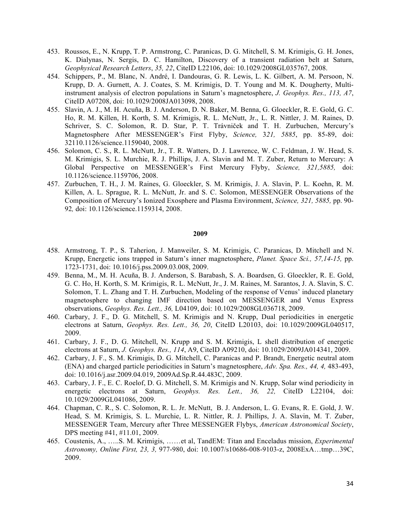- 453. Roussos, E., N. Krupp, T. P. Armstrong, C. Paranicas, D. G. Mitchell, S. M. Krimigis, G. H. Jones, K. Dialynas, N. Sergis, D. C. Hamilton, Discovery of a transient radiation belt at Saturn, *Geophysical Research Letters*, *35, 22*, CiteID L22106, doi: 10.1029/2008GL035767, 2008.
- 454. Schippers, P., M. Blanc, N. André, I. Dandouras, G. R. Lewis, L. K. Gilbert, A. M. Persoon, N. Krupp, D. A. Gurnett, A. J. Coates, S. M. Krimigis, D. T. Young and M. K. Dougherty, Multiinstrument analysis of electron populations in Saturn's magnetosphere, *J. Geophys. Res., 113, A7*, CiteID A07208, doi: 10.1029/2008JA013098, 2008.
- 455. Slavin, A. J., M. H. Acuña, B. J. Anderson, D. N. Baker, M. Benna, G. Gloeckler, R. E. Gold, G. C. Ho, R. M. Killen, H. Korth, S. M. Krimigis, R. L. McNutt, Jr., L. R. Nittler, J. M. Raines, D. Schriver, S. C. Solomon, R. D. Star, P. T. Trávniček and T. H. Zurbuchen, Mercury's Magnetosphere After MESSENGER's First Flyby, *Science,* 3*21, 5885*, pp. 85-89, doi: 32110.1126/science.1159040, 2008.
- 456. Solomon, C. S., R. L. McNutt, Jr., T. R. Watters, D. J. Lawrence, W. C. Feldman, J. W. Head, S. M. Krimigis, S. L. Murchie, R. J. Phillips, J. A. Slavin and M. T. Zuber, Return to Mercury: A Global Perspective on MESSENGER's First Mercury Flyby, *Science, 321,5885,* doi: 10.1126/science.1159706, 2008.
- 457. Zurbuchen, T. H., J. M. Raines, G. Gloeckler, S. M. Krimigis, J. A. Slavin, P. L. Koehn, R. M. Killen, A. L. Sprague, R. L. McNutt, Jr. and S. C. Solomon, MESSENGER Observations of the Composition of Mercury's Ionized Exosphere and Plasma Environment, *Science, 321, 5885,* pp. 90- 92*,* doi: 10.1126/science.1159314, 2008.

- 458. Armstrong, T. P., S. Taherion, J. Manweiler, S. M. Krimigis, C. Paranicas, D. Mitchell and N. Krupp, Energetic ions trapped in Saturn's inner magnetosphere, *Planet. Space Sci., 57,14-15,* pp. 1723-1731, doi: 10.1016/j.pss.2009.03.008, 2009.
- 459. Benna, M., M. H. Acuña, B. J. Anderson, S. Barabash, S. A. Boardsen, G. Gloeckler, R. E. Gold, G. C. Ho, H. Korth, S. M. Krimigis, R. L. McNutt, Jr., J. M. Raines, M. Sarantos, J. A. Slavin, S. C. Solomon, T. L. Zhang and T. H. Zurbuchen, Modeling of the response of Venus' induced planetary magnetosphere to changing IMF direction based on MESSENGER and Venus Express observations, *Geophys. Res. Lett., 36,* L04109, doi: 10.1029/2008GL036718, 2009.
- 460. Carbary, J. F., D. G. Mitchell, S. M. Krimigis and N. Krupp, Dual periodicities in energetic electrons at Saturn, *Geophys. Res. Lett., 36, 20*, CiteID L20103, doi: 10.1029/2009GL040517, 2009.
- 461. Carbary, J. F., D. G. Mitchell, N. Krupp and S. M. Krimigis, L shell distribution of energetic electrons at Saturn, *J. Geophys. Res., 114*, A9, CiteID A09210, doi: 10.1029/2009JA014341, 2009.
- 462. Carbary, J. F., S. M. Krimigis, D. G. Mitchell, C. Paranicas and P. Brandt, Energetic neutral atom (ENA) and charged particle periodicities in Saturn's magnetosphere, *Adv. Spa. Res., 44, 4,* 483-493, doi: 10.1016/j.asr.2009.04.019, 2009Ad.Sp.R.44.483C, 2009.
- 463. Carbary, J. F., E. C. Roelof, D. G. Mitchell, S. M. Krimigis and N. Krupp, Solar wind periodicity in energetic electrons at Saturn, *Geophys. Res. Lett., 36, 22,* CiteID L22104, doi: 10.1029/2009GL041086, 2009.
- 464. Chapman, C. R., S. C. Solomon, R. L. Jr. McNutt, B. J. Anderson, L. G. Evans, R. E. Gold, J. W. Head, S. M. Krimigis, S. L. Murchie, L. R. Nittler, R. J. Phillips, J. A. Slavin, M. T. Zuber, MESSENGER Team, Mercury after Three MESSENGER Flybys, *American Astronomical Society*, DPS meeting #41, #11.01, 2009.
- 465. Coustenis, A., …..S. M. Krimigis, ……et al, TandEM: Titan and Enceladus mission, *Experimental Astronomy, Online First, 23, 3,* 977-980, doi: 10.1007/s10686-008-9103-z, 2008ExA…tmp…39C, 2009.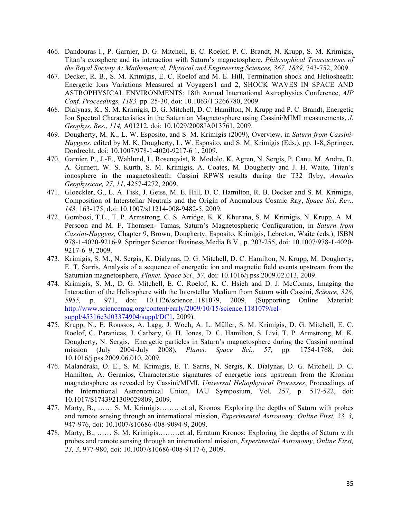- 466. Dandouras I., P. Garnier, D. G. Mitchell, E. C. Roelof, P. C. Brandt, N. Krupp, S. M. Krimigis, Titan's exosphere and its interaction with Saturn's magnetosphere, *Philosophical Transactions of the Royal Society A: Mathematical, Physical and Engineering Sciences, 367, 1889,* 743-752, 2009.
- 467. Decker, R. B., S. M. Krimigis, E. C. Roelof and M. E. Hill, Termination shock and Heliosheath: Energetic Ions Variations Measured at Voyagers1 and 2, SHOCK WAVES IN SPACE AND ASTROPHYSICAL ENVIRONMENTS: 18th Annual International Astrophysics Conference, *AIP Conf. Proceedings, 1183,* pp. 25-30, doi: 10.1063/1.3266780, 2009.
- 468. Dialynas, K., S. M. Krimigis, D. G. Mitchell, D. C. Hamilton, N. Krupp and P. C. Brandt, Energetic Ion Spectral Characteristics in the Saturnian Magnetosphere using Cassini/MIMI measurements, *J. Geophys. Res., 114,* A01212, doi: 10.1029/2008JA013761, 2009.
- 469. Dougherty, M. K., L. W. Esposito, and S. M. Krimigis (2009), Overview, in *Saturn from Cassini-Huygens*, edited by M. K. Dougherty, L. W. Esposito, and S. M. Krimigis (Eds.), pp. 1-8, Springer, Dordrecht, doi: 10.1007/978-1-4020-9217-6 1, 2009.
- 470. Garnier, P., J.-E., Wahlund, L. Rosenqvist, R. Modolo, K. Agren, N. Sergis, P. Canu, M. Andre, D. A. Gurnett, W. S. Kurth, S. M. Krimigis, A. Coates, M. Dougherty and J. H. Waite, Titan's ionosphere in the magnetosheath: Cassini RPWS results during the T32 flyby, *Annales Geophysicae, 27, 11*, 4257-4272, 2009.
- 471. Gloeckler, G., L. A. Fisk, J. Geiss, M. E. Hill, D. C. Hamilton, R. B. Decker and S. M. Krimigis, Composition of Interstellar Neutrals and the Origin of Anomalous Cosmic Ray, *Space Sci. Rev., 143,* 163-175, doi: 10.1007/s11214-008-9482-5, 2009.
- 472. Gombosi, T.L., T. P. Armstrong, C. S. Arridge, K. K. Khurana, S. M. Krimigis, N. Krupp, A. M. Persoon and M. F. Thomsen- Tamas, Saturn's Magnetospheric Configuration, in *Saturn from Cassini-Huygens,* Chapter 9, Brown, Dougherty, Esposito, Krimigis, Lebreton, Waite (eds.), ISBN 978-1-4020-9216-9. Springer Science+Business Media B.V., p. 203-255, doi: 10.1007/978-1-4020- 9217-6\_9, 2009.
- 473. Krimigis, S. M., N. Sergis, K. Dialynas, D. G. Mitchell, D. C. Hamilton, N. Krupp, M. Dougherty, E. T. Sarris, Analysis of a sequence of energetic ion and magnetic field events upstream from the Saturnian magnetosphere, *Planet. Space Sci., 57,* doi: 10.1016/j.pss.2009.02.013, 2009.
- 474. Krimigis, S. M., D. G. Mitchell, E. C. Roelof, K. C. Hsieh and D. J. McComas, Imaging the Interaction of the Heliosphere with the Interstellar Medium from Saturn with Cassini, *Science, 326, 5955,* p. 971, doi: 10.1126/science.1181079, 2009, (Supporting Online Material: http://www.sciencemag.org/content/early/2009/10/15/science.1181079/relsuppl/45316c3d03374904/suppl/DC1, 2009).
- 475. Krupp, N., E. Roussos, A. Lagg, J. Woch, A. L. Müller, S. M. Krimigis, D. G. Mitchell, E. C. Roelof, C. Paranicas, J. Carbary, G. H. Jones, D. C. Hamilton, S. Livi, T. P. Armstrong, M. K. Dougherty, N. Sergis, Energetic particles in Saturn's magnetosphere during the Cassini nominal mission (July 2004-July 2008), *Planet. Space Sci., 57,* pp. 1754-1768, doi: 10.1016/j.pss.2009.06.010, 2009.
- 476. Malandraki, O. E., S. M. Krimigis, E. T. Sarris, N. Sergis, K. Dialynas, D. G. Mitchell, D. C. Hamilton, A. Geranios, Characteristic signatures of energetic ions upstream from the Kronian magnetosphere as revealed by Cassini/MIMI, *Universal Heliophysical Processes*, Proceedings of the International Astronomical Union, IAU Symposium, Vol. 257, p. 517-522, doi: 10.1017/S1743921309029809, 2009.
- 477. Marty, B., …… S. M. Krimigis………et al, Kronos: Exploring the depths of Saturn with probes and remote sensing through an international mission, *Experimental Astronomy, Online First, 23, 3,* 947-976, doi: 10.1007/s10686-008-9094-9, 2009.
- 478. Marty, B., …… S. M. Krimigis………et al, Erratum Kronos: Exploring the depths of Saturn with probes and remote sensing through an international mission, *Experimental Astronomy, Online First, 23, 3*, 977-980, doi: 10.1007/s10686-008-9117-6, 2009.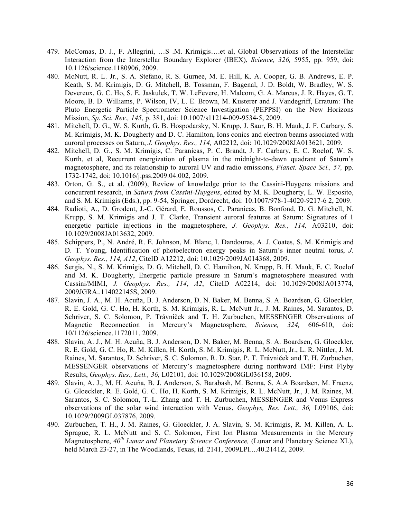- 479. McComas, D. J., F. Allegrini, …S .M. Krimigis….et al, Global Observations of the Interstellar Interaction from the Interstellar Boundary Explorer (IBEX), *Science, 326,* 5955, pp. 959, doi: 10.1126/science.1180906, 2009.
- 480. McNutt, R. L. Jr., S. A. Stefano, R. S. Gurnee, M. E. Hill, K. A. Cooper, G. B. Andrews, E. P. Keath, S. M. Krimigis, D. G. Mitchell, B. Tossman, F. Bagenal, J. D. Boldt, W. Bradley, W. S. Devereux, G. C. Ho, S. E. Jaskulek, T. W. LeFevere, H. Malcom, G. A. Marcus, J. R. Hayes, G. T. Moore, B. D. Williams, P. Wilson, IV, L. E. Brown, M. Kusterer and J. Vandegriff, Erratum: The Pluto Energetic Particle Spectrometer Science Investigation (PEPPSI) on the New Horizons Mission, *Sp. Sci. Rev., 145,* p. 381, doi: 10.1007/s11214-009-9534-5, 2009.
- 481. Mitchell, D. G., W. S. Kurth, G. B. Hospodarsky, N. Krupp, J. Saur, B. H. Mauk, J. F. Carbary, S. M. Krimigis, M. K. Dougherty and D. C. Hamilton, Ions conics and electron beams associated with auroral processes on Saturn, *J. Geophys. Res., 114,* A02212, doi: 10.1029/2008JA013621, 2009.
- 482. Mitchell, D. G., S. M. Krimigis, C. Paranicas, P. C. Brandt, J. F. Carbary, E. C. Roelof, W. S. Kurth, et al, Recurrent energization of plasma in the midnight-to-dawn quadrant of Saturn's magnetosphere, and its relationship to auroral UV and radio emissions, *Planet. Space Sci., 57,* pp. 1732-1742, doi: 10.1016/j.pss.2009.04.002, 2009.
- 483. Orton, G. S., et al. (2009), Review of knowledge prior to the Cassini-Huygens missions and concurrent research, in *Saturn from Cassini-Huygens*, edited by M. K. Dougherty, L. W. Esposito, and S. M. Krimigis (Eds.), pp. 9-54, Springer, Dordrecht, doi: 10.1007/978-1-4020-9217-6 2, 2009.
- 484. Radioti, A., D. Grodent, J.-C. Gérard, E. Roussos, C. Paranicas, B. Bonfond, D. G. Mitchell, N. Krupp, S. M. Krimigis and J. T. Clarke, Transient auroral features at Saturn: Signatures of 1 energetic particle injections in the magnetosphere, *J. Geophys. Res., 114,* A03210, doi: 10.1029/2008JA013632, 2009.
- 485. Schippers, P., N. André, R. E. Johnson, M. Blanc, I. Dandouras, A. J. Coates, S. M. Krimigis and D. T. Young, Identification of photoelectron energy peaks in Saturn's inner neutral torus, *J. Geophys. Res., 114, A12*, CiteID A12212, doi: 10.1029/2009JA014368, 2009.
- 486. Sergis, N., S. M. Krimigis, D. G. Mitchell, D. C. Hamilton, N. Krupp, B. H. Mauk, E. C. Roelof and M. K. Dougherty, Energetic particle pressure in Saturn's magnetosphere measured with Cassini/MIMI, *J. Geophys. Res., 114*, *A2*, CiteID A02214, doi: 10.1029/2008JA013774, 2009JGRA..114022145S, 2009.
- 487. Slavin, J. A., M. H. Acuña, B. J. Anderson, D. N. Baker, M. Benna, S. A. Boardsen, G. Gloeckler, R. E. Gold, G. C. Ho, H. Korth, S. M. Krimigis, R. L. McNutt Jr., J. M. Raines, M. Sarantos, D. Schriver, S. C. Solomon, P. Trávniček and T. H. Zurbuchen, MESSENGER Observations of Magnetic Reconnection in Mercury's Magnetosphere, *Science, 324,* 606-610, doi: 10/1126/science.1172011, 2009.
- 488. Slavin, A. J., M. H. Acuña, B. J. Anderson, D. N. Baker, M. Benna, S. A. Boardsen, G. Gloeckler, R. E. Gold, G. C. Ho, R. M. Killen, H. Korth, S. M. Krimigis, R. L. McNutt, Jr., L. R. Nittler, J. M. Raines, M. Sarantos, D. Schriver, S. C. Solomon, R. D. Star, P. T. Trávniček and T. H. Zurbuchen, MESSENGER observations of Mercury's magnetosphere during northward IMF: First Flyby Results, *Geophys. Res., Lett., 36,* L02101, doi: 10.1029/2008GL036158, 2009.
- 489. Slavin, A. J., M. H. Acuña, B. J. Anderson, S. Barabash, M. Benna, S. A.A Boardsen, M. Fraenz, G. Gloeckler, R. E. Gold, G. C. Ho, H. Korth, S. M. Krimigis, R. L. McNutt, Jr., J. M. Raines, M. Sarantos, S. C. Solomon, T.-L. Zhang and T. H. Zurbuchen, MESSENGER and Venus Express observations of the solar wind interaction with Venus, *Geophys, Res. Lett., 36,* L09106, doi: 10.1029/2009GL037876, 2009.
- 490. Zurbuchen, T. H., J. M. Raines, G. Gloeckler, J. A. Slavin, S. M. Krimigis, R. M. Killen, A. L. Sprague, R. L. McNutt and S. C. Solomon, First Ion Plasma Measurements in the Mercury Magnetosphere, *40th Lunar and Planetary Science Conference,* (Lunar and Planetary Science XL), held March 23-27, in The Woodlands, Texas, id. 2141, 2009LPI....40.2141Z, 2009.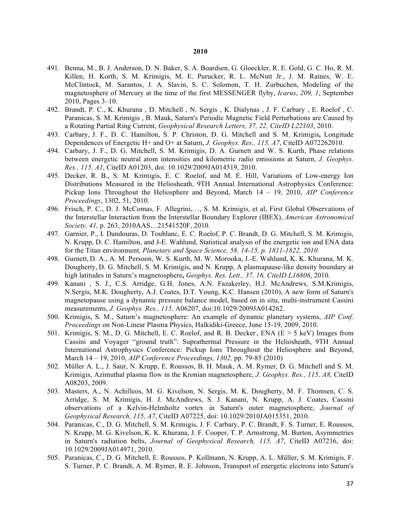- 491. Benna, M., B. J. Anderson, D. N. Baker, S. A. Boardsen, G. Gloeckler, R. E. Gold, G. C. Ho, R. M. Killen, H. Korth, S. M. Krimigis, M. E. Purucker, R. L. McNutt Jr., J. M. Raines, W. E. McClintock, M. Sarantos, J. A. Slavin, S. C. Solomon, T. H. Zurbuchen, Modeling of the magnetosphere of Mercury at the time of the first MESSENGER flyby, *Icarus*, *209, 1*, September 2010, Pages 3–10.
- 492. Brandt, P. C., K. Khurana , D. Mitchell , N. Sergis , K. Dialynas , J. F. Carbary , E. Roelof , C. Paranicas, S. M. Krimigis , B. Mauk, Saturn's Periodic Magnetic Field Perturbations are Caused by a Rotating Partial Ring Current, *Geophysical Research Letters, 37, 22, CiteID L22103*, 2010.
- 493. Carbary, J. F., D. C. Hamilton, S. P. Christon, D. G. Mitchell and S. M. Krimigis**,** Longitude Dependences of Energetic H+ and O+ at Saturn, *J. Geophys. Res., 115, A7*, CiteID A072262010.
- 494. Carbary, J. F., D. G. Mitchell, S. M. Krimigis, D. A. Gurnett and W. S. Kurth, Phase relations between energetic neutral atom intensities and kilometric radio emissions at Saturn, *J. Geophys. Res., 115, A1*, CiteID A01203, doi: 10.1029/2009JA014519, 2010.
- 495. Decker, R. B., S. M. Krimigis, E. C. Roelof, and M. E. Hill, Variations of Low-energy Ion Distributions Measured in the Heliosheath, 9TH Annual International Astrophysics Conference: Pickup Ions Throughout the Heliosphere and Beyond, March 14 – 19, 2010, *AIP Conference Proceedings*, 1302, 51, 2010.
- 496. Frisch, P. C., D. J. McComas, F. Allegrini,…, S. M. Krimigis, et al, First Global Observations of the Interstellar Interaction from the Interstellar Boundary Explorer (IBEX), *American Astronomical Society, 41,* p. 263, 2010AAS…21541520F, 2010.
- 497. Garnier, P., I. Dandouras, D. Toublanc, E. C. Roelof, P. C. Brandt, D. G. Mitchell, S. M. Krimigis, N. Krupp, D. C. Hamilton, and J-E. Wahlund, Statistical analysis of the energetic ion and ENA data for the Titan environment*, Planetary and Space Science, 58, 14-15, p. 1811-1822, 2010.*
- 498. Gurnett, D. A., A. M. Persoon, W. S. Kurth, M. W. Morooka, J.-E. Wahlund, K. K. Khurana, M. K. Dougherty, D. G. Mitchell, S. M. Krimigis, and N. Krupp, A plasmapause-like density boundary at high latitudes in Saturn's magnetosphere**,** *Geophys. Res. Lett., 37, 16, CiteID L16806*, 2010.
- 499. Kanani , S. J., C.S. Arridge, G.H. Jones, A.N. Fazakerley, H.J. McAndrews, S.M.Krimigis, N.Sergis, M.K. Dougherty, A.J. Coates, D.T. Young, K.C. Hansen (2010), A new form of Saturn's magnetopause using a dynamic pressure balance model, based on in situ, multi-instrument Cassini measurements, *J. Geophys. Res., 115,* A06207, doi:10.1029/2009JA014262.
- 500. Krimigis, S. M., Saturn's magnetosphere: An example of dynamic planetary systems, *AIP Conf. Proceedings* on Non-Linear Plasma Physics, Halkidiki-Greece, June 15-19, 2009, 2010.
- 501. Krimigis, S. M., D. G. Mitchell, E. C. Roelof, and R. B. Decker, ENA ( $E > 5$  keV) Images from Cassini and Voyager "ground truth": Suprathermal Pressure in the Heliosheath, 9TH Annual International Astrophysics Conference: Pickup Ions Throughout the Heliosphere and Beyond, March 14 – 19, 2010, *AIP Conference Proceedings, 1302,* pp. 79-85 (2010)
- 502. Müller A. L., J. Saur, N. Krupp, E. Roussos, B. H. Mauk, A. M. Rymer, D. G. Mitchell and S. M. Krimigis, Azimuthal plasma flow in the Kronian magnetosphere, *J. Geophys. Res., 115, A8,* CiteID A08203, 2009.
- 503. Masters, A., N. Achilleos, M. G. Kivelson, N. Sergis, M. K. Dougherty, M. F. Thomsen, C. S. Arridge, S. M. Krimigis, H. J. McAndrews, S. J. Kanani, N. Krupp, A. J. Coates, Cassini observations of a Kelvin-Helmholtz vortex in Saturn's outer magnetosphere, *Journal of Geophysical Research, 115, A7*, CiteID A07225, doi: 10.1029/2010JA015351, 2010.
- 504. Paranicas, C., D. G. Mitchell, S. M. Krimigis, J. F. Carbary, P. C. Brandt, F. S. Turner, E. Roussos, N. Krupp, M. G. Kivelson, K. K. Khurana, J. F. Cooper, T. P. Armstrong, M. Burton, Asymmetries in Saturn's radiation belts, *Journal of Geophysical Research, 115, A7*, CiteID A07216, doi: 10.1029/2009JA014971, 2010.
- 505. Paranicas, C., D. G. Mitchell, E. Roussos, P. Kollmann, N. Krupp, A. L. Müller, S. M. Krimigis, F. S. Turner, P. C. Brandt, A. M. Rymer, R. E. Johnson, Transport of energetic electrons into Saturn's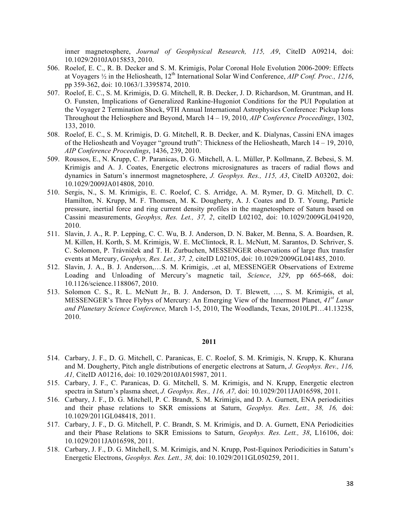inner magnetosphere, *Journal of Geophysical Research, 115, A9*, CiteID A09214, doi: 10.1029/2010JA015853, 2010.

- 506. Roelof, E. C., R. B. Decker and S. M. Krimigis, Polar Coronal Hole Evolution 2006-2009: Effects at Voyagers <sup>1</sup>/<sub>2</sub> in the Heliosheath, 12<sup>th</sup> International Solar Wind Conference, *AIP Conf. Proc., 1216*, pp 359-362, doi: 10.1063/1.3395874, 2010.
- 507. Roelof, E. C., S. M. Krimigis, D. G. Mitchell, R. B. Decker, J. D. Richardson, M. Gruntman, and H. O. Funsten, Implications of Generalized Rankine-Hugoniot Conditions for the PUI Population at the Voyager 2 Termination Shock, 9TH Annual International Astrophysics Conference: Pickup Ions Throughout the Heliosphere and Beyond, March 14 – 19, 2010, *AIP Conference Proceedings*, 1302, 133, 2010.
- 508. Roelof, E. C., S. M. Krimigis, D. G. Mitchell, R. B. Decker, and K. Dialynas, Cassini ENA images of the Heliosheath and Voyager "ground truth": Thickness of the Heliosheath, March 14 – 19, 2010, *AIP Conference Proceedings*, 1436, 239, 2010.
- 509. Roussos, E., N. Krupp, C. P. Paranicas, D. G. Mitchell, A. L. Müller, P. Kollmann, Z. Bebesi, S. M. Krimigis and A. J. Coates, Energetic electrons microsignatures as tracers of radial flows and dynamics in Saturn's innermost magnetosphere, *J. Geophys. Res., 115, A3*, CiteID A03202, doi: 10.1029/2009JA014808, 2010.
- 510. Sergis, N., S. M. Krimigis, E. C. Roelof, C. S. Arridge, A. M. Rymer, D. G. Mitchell, D. C. Hamilton, N. Krupp, M. F. Thomsen, M. K. Dougherty, A. J. Coates and D. T. Young, Particle pressure, inertial force and ring current density profiles in the magnetosphere of Saturn based on Cassini measurements, *Geophys, Res. Let., 37, 2*, citeID L02102, doi: 10.1029/2009GL041920, 2010.
- 511. Slavin, J. A., R. P. Lepping, C. C. Wu, B. J. Anderson, D. N. Baker, M. Benna, S. A. Boardsen, R. M. Killen, H. Korth, S. M. Krimigis, W. E. McClintock, R. L. McNutt, M. Sarantos, D. Schriver, S. C. Solomon, P. Trávniček and T. H. Zurbuchen, MESSENGER observations of large flux transfer events at Mercury, *Geophys, Res. Let., 37, 2,* citeID L02105, doi: 10.1029/2009GL041485, 2010.
- 512. Slavin, J. A., B. J. Anderson,…S. M. Krimigis, ..et al, MESSENGER Observations of Extreme Loading and Unloading of Mercury's magnetic tail, *Science*, *329*, pp 665-668, doi: 10.1126/science.1188067, 2010.
- 513. Solomon C. S., R. L. McNutt Jr., B. J. Anderson, D. T. Blewett, …, S. M. Krimigis, et al, MESSENGER's Three Flybys of Mercury: An Emerging View of the Innermost Planet, *41st Lunar and Planetary Science Conference,* March 1-5, 2010, The Woodlands, Texas, 2010LPI…41.1323S, 2010.

- 514. Carbary, J. F., D. G. Mitchell, C. Paranicas, E. C. Roelof, S. M. Krimigis, N. Krupp, K. Khurana and M. Dougherty, Pitch angle distributions of energetic electrons at Saturn, *J. Geophys. Rev., 116, A1,* CiteID A01216, doi: 10.1029/2010JA015987, 2011.
- 515. Carbary, J. F., C. Paranicas, D. G. Mitchell, S. M. Krimigis, and N. Krupp, Energetic electron spectra in Saturn's plasma sheet, *J. Geophys. Res., 116, A7,* doi: 10.1029/2011JA016598, 2011.
- 516. Carbary, J. F., D. G. Mitchell, P. C. Brandt, S. M. Krimigis, and D. A. Gurnett, ENA periodicities and their phase relations to SKR emissions at Saturn, *Geophys. Res. Lett., 38, 16,* doi: 10.1029/2011GL048418, 2011.
- 517. Carbary, J. F., D. G. Mitchell, P. C. Brandt, S. M. Krimigis, and D. A. Gurnett, ENA Periodicities and their Phase Relations to SKR Emissions to Saturn, *Geophys. Res. Lett., 38*, L16106, doi: 10.1029/2011JA016598, 2011.
- 518. Carbary, J. F., D. G. Mitchell, S. M. Krimigis, and N. Krupp, Post-Equinox Periodicities in Saturn's Energetic Electrons, *Geophys. Res. Lett., 38,* doi: 10.1029/2011GL050259, 2011.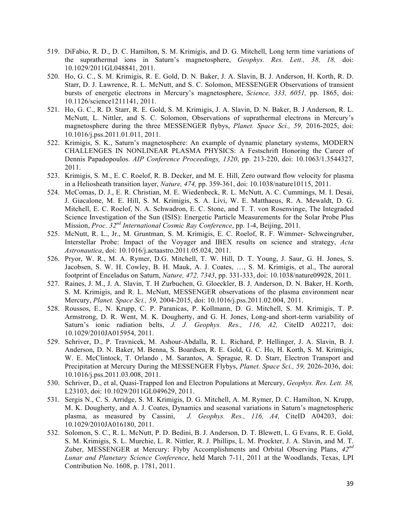- 519. DiFabio, R. D., D. C. Hamilton, S. M. Krimigis, and D. G. Mitchell, Long term time variations of the suprathermal ions in Saturn's magnetosphere, *Geophys. Res. Lett., 38, 18,* doi: 10.1029/2011GL048841, 2011.
- 520. Ho, G. C., S. M. Krimigis, R. E. Gold, D. N. Baker, J. A. Slavin, B. J. Anderson, H. Korth, R. D. Starr, D. J. Lawrence, R. L. McNutt, and S. C. Solomon, MESSENGER Observations of transient bursts of energetic electrons in Mercury's magnetosphere, *Science, 333, 6051,* pp. 1865, doi: 10.1126/science1211141, 2011.
- 521. Ho, G. C., R. D. Starr, R. E. Gold, S. M. Krimigis, J. A. Slavin, D. N. Baker, B. J Anderson, R. L. McNutt, L. Nittler, and S. C. Solomon, Observations of suprathermal electrons in Mercury's magnetosphere during the three MESSENGER flybys, *Planet. Space Sci., 59,* 2016-2025, doi: 10.1016/j.pss.2011.01.011, 2011.
- 522. Krimigis, S. K., Saturn's magnetosphere: An example of dynamic planetary systems, MODERN CHALLENGES IN NONLINEAR PLASMA PHYSICS: A Festschrift Honoring the Career of Dennis Papadopoulos. *AIP Conference Proceedings, 1320*, pp. 213-220, doi: 10.1063/1.3544327, 2011.
- 523. Krimigis, S. M., E. C. Roelof, R. B. Decker, and M. E. Hill, Zero outward flow velocity for plasma in a Heliosheath transition layer, *Nature, 474,* pp. 359-361, doi: 10.1038/nature10115, 2011.
- 524. McComas, D. J., E. R. Christian, M. E. Wiedenbeck, R. L. McNutt, A. C. Cummings, M. I. Desai, J. Giacalone, M. E. Hill, S. M. Krimigis, S. A. Livi, W. E. Matthaeus, R. A. Mewaldt, D. G. Mitchell, E. C. Roelof, N. A. Schwadron, E. C. Stone, and T. T. von Rosenvinge, The Integraded Science Investigation of the Sun (ISIS): Energetic Particle Measurements for the Solar Probe Plus Mission, *Proc. 32nd International Cosmic Ray Conference*, pp. 1-4, Beijing, 2011.
- 525. McNutt, R. L., Jr., M. Gruntman, S. M. Krimigis, E. C. Roelof, R. F. Wimmer- Schweingruber, Interstellar Probe: Impact of the Voyager and IBEX results on science and strategy, *Acta Astronautica*, doi: 10.1016/j.actaastro.2011.05.024, 2011.
- 526. Pryor, W. R., M. A. Rymer, D.G. Mitchell, T. W. Hill, D. T. Young, J. Saur, G. H. Jones, S. Jacobsen, S. W. H. Cowley, B. H. Mauk, A. J. Coates, …, S. M. Krimigis, et al., The auroral footprint of Enceladus on Saturn, *Nature, 472, 7343*, pp. 331-333, doi: 10.1038/nature09928, 2011.
- 527. Raines, J. M., J. A. Slavin, T. H Zurbuchen, G. Gloeckler, B. J. Anderson, D. N. Baker, H. Korth, S. M. Krimigis, and R. L. McNutt, MESSENGER observations of the plasma environment near Mercury, *Planet. Space Sci., 59,* 2004-2015, doi: 10.1016/j.pss.2011.02.004, 2011.
- 528. Roussos, E., N. Krupp, C. P. Paranicas, P. Kollmann, D. G. Mitchell, S. M. Krimigis, T. P. Armstrong, D. R. Went, M. K. Dougherty, and G. H. Jones, Long-and short-term variability of Saturn's ionic radiation belts, *J. J. Geophys. Res., 116, A2,* CiteID A02217, doi: 10.1029/2010JA015954, 2011.
- 529. Schriver, D., P. Travnicek, M. Ashour-Abdalla, R. L. Richard, P. Hellinger, J. A. Slavin, B. J. Anderson, D. N. Baker, M. Benna, S. Boardsen, R. E. Gold, G. C. Ho, H. Korth, S. M. Krimigis, W. E. McClintock, T. Orlando , M. Sarantos, A. Sprague, R. D. Starr, Electron Transport and Precipitation at Mercury During the MESSENGER Flybys, *Planet. Space Sci., 59,* 2026-2036, doi: 10.1016/j.pss.2011.03.008, 2011.
- 530. Schriver, D., et al, Quasi-Trapped Ion and Electron Populations at Mercury, *Geophys. Res. Lett. 38,*  L23103, doi: 10.1029/2011GL049629, 2011.
- 531. Sergis N., C. S. Arridge, S. M. Krimigis, D. G. Mitchell, A. M. Rymer, D. C. Hamilton, N. Krupp, M. K. Dougherty, and A. J. Coates, Dynamics and seasonal variations in Saturn's magnetospheric plasma, as measured by Cassini, *J. Geophys. Res., 116, A4,* CiteID A04203, doi: 10.1029/2010JA016180, 2011.
- 532. Solomon, S. C., R. L. McNutt, P. D. Bedini, B. J. Anderson, D. T. Blewett, L. G Evans, R. E. Gold, S. M. Krimigis, S. L. Murchie, L. R. Nittler, R. J. Phillips, L. M. Prockter, J. A. Slavin, and M. T. Zuber, MESSENGER at Mercury: Flyby Accomplishments and Orbital Observing Plans, *42nd Lunar and Planetary Science Conference*, held March 7-11, 2011 at the Woodlands, Texas, LPI Contribution No. 1608, p. 1781, 2011.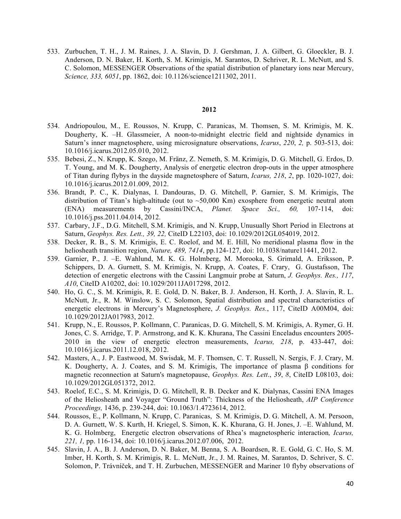533. Zurbuchen, T. H., J. M. Raines, J. A. Slavin, D. J. Gershman, J. A. Gilbert, G. Gloeckler, B. J. Anderson, D. N. Baker, H. Korth, S. M. Krimigis, M. Sarantos, D. Schriver, R. L. McNutt, and S. C. Solomon, MESSENGER Observations of the spatial distribution of planetary ions near Mercury, *Science, 333, 6051*, pp. 1862, doi: 10.1126/science1211302, 2011.

- 534. Andriopoulou, M., E. Roussos, N. Krupp, C. Paranicas, M. Thomsen, S. M. Krimigis, M. K. Dougherty, K. –H. Glassmeier, A noon-to-midnight electric field and nightside dynamics in Saturn's inner magnetosphere, using microsignature observations, *Icarus*, *220*, *2,* p. 503-513, doi: 10.1016/j.icarus.2012.05.010, 2012.
- 535. Bebesi, Z., N. Krupp, K. Szego, M. Fränz, Z. Nemeth, S. M. Krimigis, D. G. Mitchell, G. Erdos, D. T. Young, and M. K. Dougherty, Analysis of energetic electron drop-outs in the upper atmosphere of Titan during flybys in the dayside magnetosphere of Saturn, *Icarus, 218*, *2*, pp. 1020-1027, doi: 10.1016/j.icarus.2012.01.009, 2012.
- 536. Brandt, P. C., K. Dialynas, I. Dandouras, D. G. Mitchell, P. Garnier, S. M. Krimigis, The distribution of Titan's high-altitude (out to  $\sim$  50,000 Km) exosphere from energetic neutral atom (ENA) measurements by Cassini/INCA, *Planet. Space Sci., 60,* 107-114, doi: 10.1016/j.pss.2011.04.014, 2012.
- 537. Carbary, J.F., D.G. Mitchell, S.M. Krimigis, and N. Krupp, Unusually Short Period in Electrons at Saturn, *Geophys. Res. Lett., 39, 22,* CiteID L22103, doi: 10.1029/2012GL054019, 2012.
- 538. Decker, R. B., S. M. Krimigis, E. C. Roelof, and M. E. Hill, No meridional plasma flow in the heliosheath transition region, *Nature, 489, 7414*, pp.124-127, doi: 10.1038/nature11441, 2012.
- 539. Garnier, P., J. –E. Wahlund, M. K. G. Holmberg, M. Morooka, S. Grimald, A. Eriksson, P. Schippers, D. A. Gurnett, S. M. Krimigis, N. Krupp, A. Coates, F. Crary, G. Gustafsson, The detection of energetic electrons with the Cassini Langmuir probe at Saturn, *J. Geophys. Res., 117*, *A10*, CiteID A10202, doi: 10.1029/2011JA017298, 2012.
- 540. Ho, G. C., S. M. Krimigis, R. E. Gold, D. N. Baker, B. J. Anderson, H. Korth, J. A. Slavin, R. L. McNutt, Jr., R. M. Winslow, S. C. Solomon, Spatial distribution and spectral characteristics of energetic electrons in Mercury's Magnetosphere, *J. Geophys. Res.*, 117, CiteID A00M04, doi: 10.1029/2012JA017983, 2012.
- 541. Krupp, N., E. Roussos, P. Kollmann, C. Paranicas, D. G. Mitchell, S. M. Krimigis, A. Rymer, G. H. Jones, C. S. Arridge, T. P. Armstrong, and K. K. Khurana, The Cassini Enceladus encounters 2005- 2010 in the view of energetic electron measurements, *Icarus, 218*, p. 433-447, doi: 10.1016/j.icarus.2011.12.018, 2012.
- 542. Masters, A., J. P. Eastwood, M. Swisdak, M. F. Thomsen, C. T. Russell, N. Sergis, F. J. Crary, M. K. Dougherty, A. J. Coates, and S. M. Krimigis, The importance of plasma β conditions for magnetic reconnection at Saturn's magnetopause, *Geophys. Res. Lett*., *39*, *8*, CiteID L08103, doi: 10.1029/2012GL051372, 2012.
- 543. Roelof, E.C., S. M. Krimigis, D. G. Mitchell, R. B. Decker and K. Dialynas, Cassini ENA Images of the Heliosheath and Voyager "Ground Truth": Thickness of the Heliosheath, *AIP Conference Proceedings,* 1436, p. 239-244, doi: 10.1063/1.4723614, 2012.
- 544. Roussos, E., P. Kollmann, N. Krupp, C. Paranicas, S. M. Krimigis, D. G. Mitchell, A. M. Persoon, D. A. Gurnett, W. S. Kurth, H. Kriegel, S. Simon, K. K. Khurana, G. H. Jones, J. –E. Wahlund, M. K. G. Holmberg, Energetic electron observations of Rhea's magnetospheric interaction*, Icarus, 221, 1,* pp. 116-134, doi: 10.1016/j.icarus.2012.07.006, 2012.
- 545. Slavin, J. A., B. J. Anderson, D. N. Baker, M. Benna, S. A. Boardsen, R. E. Gold, G. C. Ho, S. M. Imber, H. Korth, S. M. Krimigis, R. L. McNutt, Jr., J. M. Raines, M. Sarantos, D. Schriver, S. C. Solomon, P. Trávníček, and T. H. Zurbuchen, MESSENGER and Mariner 10 flyby observations of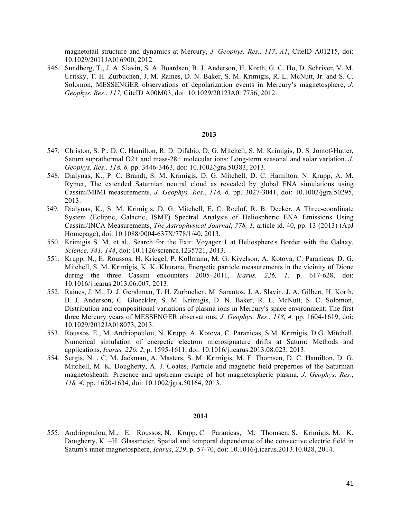magnetotail structure and dynamics at Mercury, *J. Geophys. Res., 117*, *A1*, CiteID A01215, doi: 10.1029/2011JA016900, 2012.

546. Sundberg, T., J. A. Slavin, S. A. Boardsen, B. J. Anderson, H. Korth, G. C. Ho, D. Schriver, V. M. Uritsky, T. H. Zurbuchen, J. M. Raines, D. N. Baker, S. M. Krimigis, R. L. McNutt, Jr. and S. C. Solomon, MESSENGER observations of depolarization events in Mercury's magnetosphere, *J. Geophys. Res*., *117,* CiteID A00M03, doi: 10.1029/2012JA017756, 2012.

## **2013**

- 547. Christon, S. P., D. C. Hamilton, R. D. Difabio, D. G. Mitchell, S. M. Krimigis, D. S. Jontof-Hutter, Saturn suprathermal O2+ and mass-28+ molecular ions: Long-term seasonal and solar variation, *J. Geophys. Res*.*, 118, 6,* pp. 3446-3463, doi: 10.1002/jgra.50383, 2013.
- 548. Dialynas, K., P. C. Brandt, S. M. Krimigis, D. G. Mitchell, D. C. Hamilton, N. Krupp, A. M. Rymer, The extended Saturnian neutral cloud as revealed by global ENA simulations using Cassini/MIMI measurements, *J. Geophys. Res*., *118, 6,* pp. 3027-3041, doi: 10.1002/jgra.50295, 2013.
- 549. Dialynas, K., S. M. Krimigis, D. G. Mitchell, E. C. Roelof, R. B. Decker, A Three-coordinate System (Ecliptic, Galactic, ISMF) Spectral Analysis of Heliospheric ENA Emissions Using Cassini/INCA Measurements, *The Astrophysical Journal*, *778, 1*, article id. 40, pp. 13 (2013) (ApJ Homepage), doi: 10.1088/0004-637X/778/1/40, 2013.
- 550. Krimigis S. M. et al., Search for the Exit: Voyager 1 at Heliosphere's Border with the Galaxy, *Science, 341, 144*, doi: 10.1126/science.1235721, 2013.
- 551. Krupp, N., E. Roussos, H. Kriegel, P. Kollmann, M. G. Kivelson, A. Kotova, C. Paranicas, D. G. Mitchell, S. M. Krimigis, K. K. Khurana, Energetic particle measurements in the vicinity of Dione during the three Cassini encounters 2005–2011, *Icarus, 226, 1,* p. 617-628, doi: 10.1016/j.icarus.2013.06.007, 2013.
- 552. Raines, J. M., D. J. Gershman, T. H. Zurbuchen, M. Sarantos, J. A. Slavin, J. A. Gilbert, H. Korth, B. J. Anderson, G. Gloeckler, S. M. Krimigis, D. N. Baker, R. L. McNutt, S. C. Solomon, Distribution and compositional variations of plasma ions in Mercury's space environment: The first three Mercury years of MESSENGER observations, *J. Geophys. Res*., *118, 4,* pp. 1604-1619, doi: 10.1029/2012JA018073, 2013.
- 553. Roussos, E., M. Andriopoulou, N. Krupp, A. Kotova, C. Paranicas, S.M. Krimigis, D.G. Mitchell, Numerical simulation of energetic electron microsignature drifts at Saturn: Methods and applications, *Icarus, 226*, *2*, p. 1595-1611, doi: 10.1016/j.icarus.2013.08.023, 2013.
- 554. Sergis, N. , C. M. Jackman, A. Masters, S. M. Krimigis, M. F. Thomsen, D. C. Hamilton, D. G. Mitchell, M. K. Dougherty, A. J. Coates, Particle and magnetic field properties of the Saturnian magnetosheath: Presence and upstream escape of hot magnetospheric plasma, *J. Geophys. Res*., *118, 4*, pp. 1620-1634, doi: 10.1002/jgra.50164, 2013.

#### **2014**

555. Andriopoulou, M., E. Roussos, N. Krupp, C. Paranicas, M. Thomsen, S. Krimigis, M. K. Dougherty, K. –H. Glassmeier, Spatial and temporal dependence of the convective electric field in Saturn's inner magnetosphere, *Icarus*, *229*, p. 57-70, doi: 10.1016/j.icarus.2013.10.028, 2014.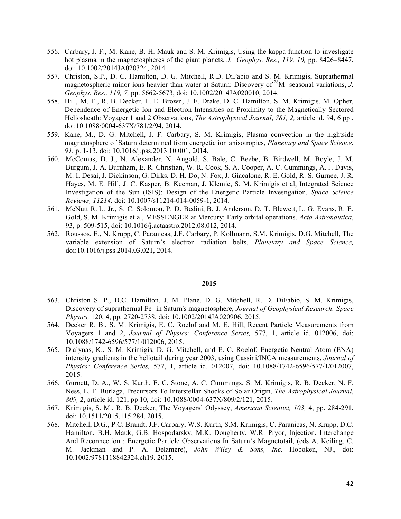- 556. Carbary, J. F., M. Kane, B. H. Mauk and S. M. Krimigis, Using the kappa function to investigate hot plasma in the magnetospheres of the giant planets, *J. Geophys. Res., 119, 10,* pp. 8426–8447, doi: 10.1002/2014JA020324, 2014.
- 557. Christon, S.P., D. C. Hamilton, D. G. Mitchell, R.D. DiFabio and S. M. Krimigis, Suprathermal magnetospheric minor ions heavier than water at Saturn: Discovery of 28M+ seasonal variations, *J. Geophys. Res., 119, 7,* pp. 5662-5673, doi: 10.1002/2014JA020010, 2014.
- 558. Hill, M. E., R. B. Decker, L. E. Brown, J. F. Drake, D. C. Hamilton, S. M. Krimigis, M. Opher, Dependence of Energetic Ion and Electron Intensities on Proximity to the Magnetically Sectored Heliosheath: Voyager 1 and 2 Observations, *The Astrophysical Journal*, *781, 2,* article id. 94, 6 pp., doi:10.1088/0004-637X/781/2/94, 2014.
- 559. Kane, M., D. G. Mitchell, J. F. Carbary, S. M. Krimigis, Plasma convection in the nightside magnetosphere of Saturn determined from energetic ion anisotropies, *Planetary and Space Science*, *91*, p. 1-13, doi: 10.1016/j.pss.2013.10.001, 2014.
- 560. McComas, D. J., N. Alexander, N. Angold, S. Bale, C. Beebe, B. Birdwell, M. Boyle, J. M. Burgum, J. A. Burnham, E. R. Christian, W. R. Cook, S. A. Cooper, A. C. Cummings, A. J. Davis, M. I. Desai, J. Dickinson, G. Dirks, D. H. Do, N. Fox, J. Giacalone, R. E. Gold, R. S. Gurnee, J. R. Hayes, M. E. Hill, J. C. Kasper, B. Kecman, J. Klemic, S. M. Krimigis et al, Integrated Science Investigation of the Sun (ISIS): Design of the Energetic Particle Investigation, *Space Science Reviews, 11214,* doi: 10.1007/s11214-014-0059-1, 2014.
- 561. McNutt R. L. Jr., S. C. Solomon, P. D. Bedini, B. J. Anderson, D. T. Blewett, L. G. Evans, R. E. Gold, S. M. Krimigis et al, MESSENGER at Mercury: Early orbital operations, *Acta Astronautica*, 93, p. 509-515, doi: 10.1016/j.actaastro.2012.08.012, 2014.
- 562. Roussos, E., N. Krupp, C. Paranicas, J.F. Carbary, P. Kollmann, S.M. Krimigis, D.G. Mitchell, The variable extension of Saturn's electron radiation belts, *Planetary and Space Science,*  doi:10.1016/j.pss.2014.03.021, 2014.

- 563. Christon S. P., D.C. Hamilton, J. M. Plane, D. G. Mitchell, R. D. DiFabio, S. M. Krimigis, Discovery of suprathermal Fe<sup>+</sup> in Saturn's magnetosphere, *Journal of Geophysical Research: Space Physics,* 120, 4, pp. 2720-2738, doi: 10.1002/2014JA020906, 2015.
- 564. Decker R. B., S. M. Krimigis, E. C. Roelof and M. E. Hill, Recent Particle Measurements from Voyagers 1 and 2, *Journal of Physics: Conference Series,* 577, 1, article id. 012006, doi: 10.1088/1742-6596/577/1/012006, 2015.
- 565. Dialynas, K., S. M. Krimigis, D. G. Mitchell, and E. C. Roelof, Energetic Neutral Atom (ENA) intensity gradients in the heliotail during year 2003, using Cassini/INCA measurements, *Journal of Physics: Conference Series,* 577, 1, article id. 012007, doi: 10.1088/1742-6596/577/1/012007, 2015.
- 566. Gurnett, D. A., W. S. Kurth, E. C. Stone, A. C. Cummings, S. M. Krimigis, R. B. Decker, N. F. Ness, L. F. Burlaga, Precursors To Interstellar Shocks of Solar Origin, *The Astrophysical Journal*, *809,* 2, article id. 121, pp 10, doi: 10.1088/0004-637X/809/2/121, 2015.
- 567. Krimigis, S. M., R. B. Decker, The Voyagers' Odyssey, *American Scientist, 103,* 4, pp. 284-291, doi: 10.1511/2015.115.284, 2015.
- 568. Mitchell, D.G., P.C. Brandt, J.F. Carbary, W.S. Kurth, S.M. Krimigis, C. Paranicas, N. Krupp, D.C. Hamilton, B.H. Mauk, G.B. Hospodarsky, M.K. Dougherty, W.R. Pryor, Injection, Interchange And Reconnection : Energetic Particle Observations In Saturn's Magnetotail, (eds A. Keiling, C. M. Jackman and P. A. Delamere), *John Wiley & Sons, Inc,* Hoboken, NJ., doi: 10.1002/9781118842324.ch19, 2015.